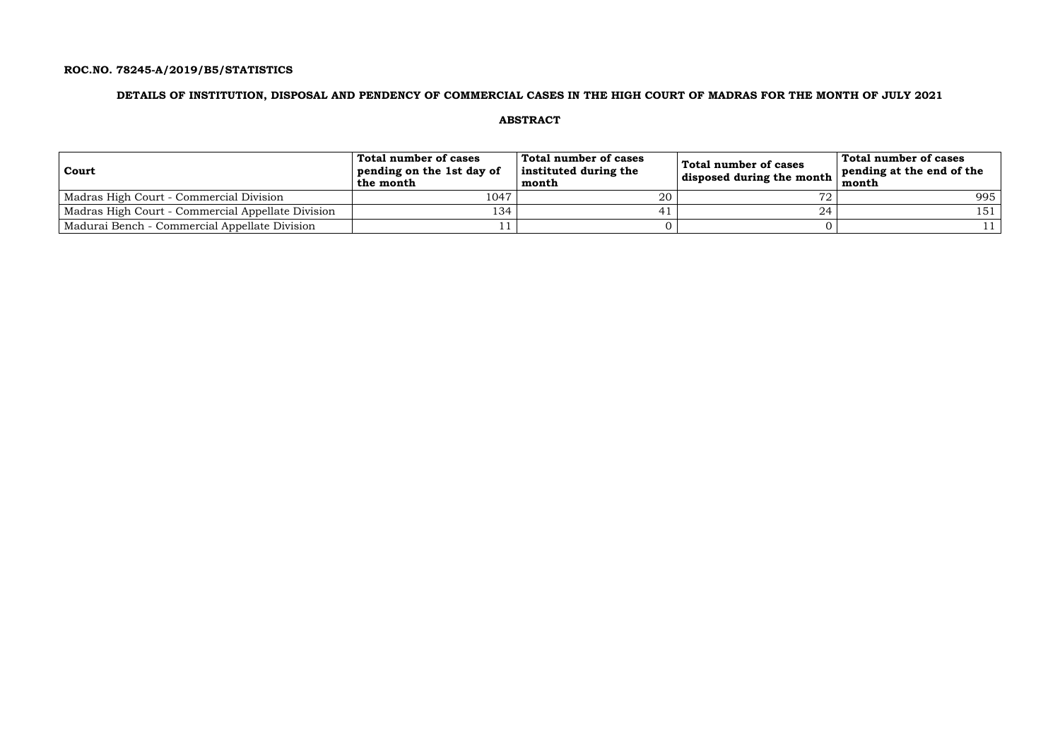### **ROC.NO. 78245-A/2019/B5/STATISTICS**

### **DETAILS OF INSTITUTION, DISPOSAL AND PENDENCY OF COMMERCIAL CASES IN THE HIGH COURT OF MADRAS FOR THE MONTH OF JULY 2021**

### **ABSTRACT**

| Court                                             | Total number of cases<br>pending on the 1st day of<br>the month | Total number of cases<br>instituted during the<br>month | Total number of cases<br>disposed during the month | Total number of cases<br>pending at the end of the<br>month |
|---------------------------------------------------|-----------------------------------------------------------------|---------------------------------------------------------|----------------------------------------------------|-------------------------------------------------------------|
| Madras High Court - Commercial Division           | 1047                                                            | 20                                                      |                                                    | 995                                                         |
| Madras High Court - Commercial Appellate Division | 134                                                             |                                                         |                                                    | 151                                                         |
| Madurai Bench - Commercial Appellate Division     |                                                                 |                                                         |                                                    |                                                             |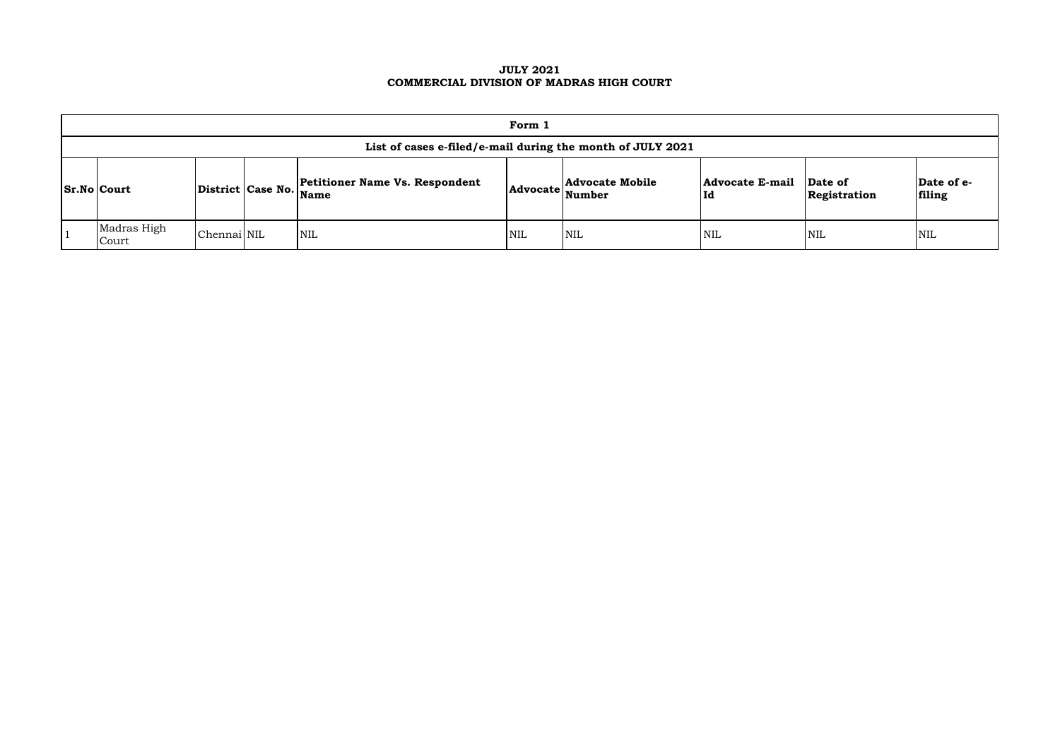### **JULY 2021 COMMERCIAL DIVISION OF MADRAS HIGH COURT**

| Form 1                                                     |             |  |                                                                 |            |                                         |                               |                         |                      |  |  |  |
|------------------------------------------------------------|-------------|--|-----------------------------------------------------------------|------------|-----------------------------------------|-------------------------------|-------------------------|----------------------|--|--|--|
| List of cases e-filed/e-mail during the month of JULY 2021 |             |  |                                                                 |            |                                         |                               |                         |                      |  |  |  |
| <b>Sr.No Court</b>                                         |             |  | <b>Petitioner Name Vs. Respondent</b><br>District Case No. Name | Advocate   | <b>Advocate Mobile</b><br><b>Number</b> | <b>Advocate E-mail</b><br> Id | Date of<br>Registration | Date of e-<br>filing |  |  |  |
| Madras High<br>Court                                       | Chennai NIL |  | NIL                                                             | <b>NIL</b> | <b>NIL</b>                              | <b>NIL</b>                    | <b>NIL</b>              | <b>NIL</b>           |  |  |  |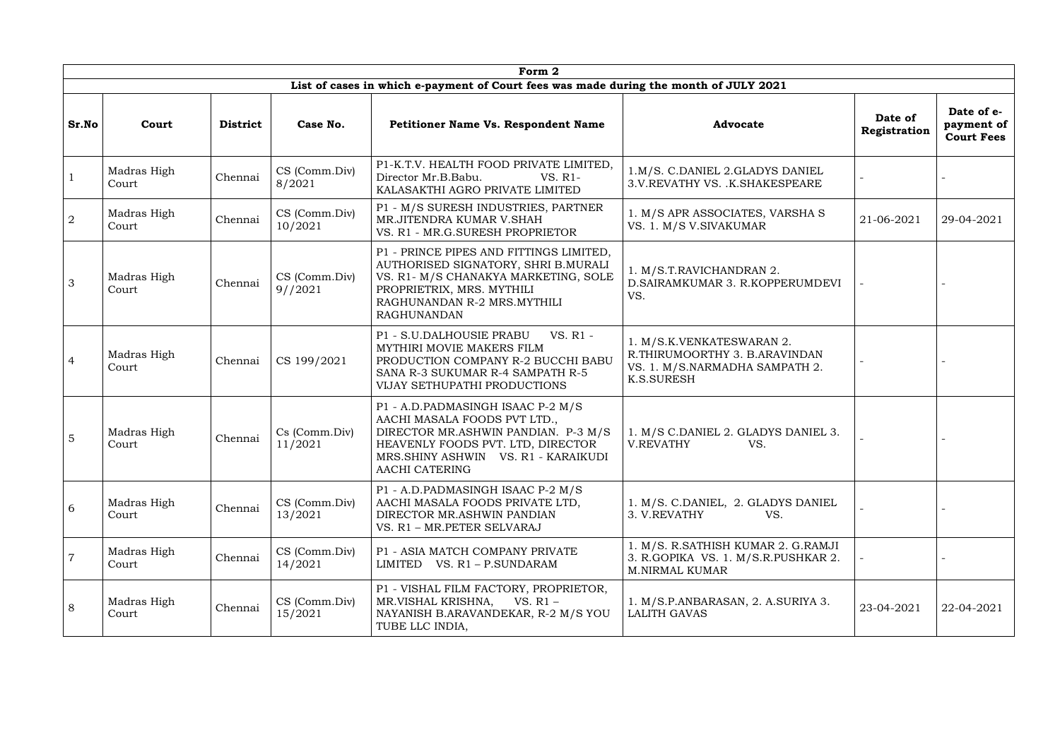|                | Form 2               |                 |                          |                                                                                                                                                                                                               |                                                                                                                   |                         |                                               |  |  |  |  |  |
|----------------|----------------------|-----------------|--------------------------|---------------------------------------------------------------------------------------------------------------------------------------------------------------------------------------------------------------|-------------------------------------------------------------------------------------------------------------------|-------------------------|-----------------------------------------------|--|--|--|--|--|
|                |                      |                 |                          | List of cases in which e-payment of Court fees was made during the month of JULY 2021                                                                                                                         |                                                                                                                   |                         |                                               |  |  |  |  |  |
| Sr.No          | Court                | <b>District</b> | Case No.                 | <b>Petitioner Name Vs. Respondent Name</b>                                                                                                                                                                    | <b>Advocate</b>                                                                                                   | Date of<br>Registration | Date of e-<br>payment of<br><b>Court Fees</b> |  |  |  |  |  |
|                | Madras High<br>Court | Chennai         | CS (Comm.Div)<br>8/2021  | P1-K.T.V. HEALTH FOOD PRIVATE LIMITED,<br>Director Mr.B.Babu.<br>VS. R1-<br>KALASAKTHI AGRO PRIVATE LIMITED                                                                                                   | 1.M/S. C.DANIEL 2.GLADYS DANIEL<br>3.V.REVATHY VS. .K.SHAKESPEARE                                                 |                         |                                               |  |  |  |  |  |
| 2              | Madras High<br>Court | Chennai         | CS (Comm.Div)<br>10/2021 | P1 - M/S SURESH INDUSTRIES, PARTNER<br>MR.JITENDRA KUMAR V.SHAH<br>VS. R1 - MR.G.SURESH PROPRIETOR                                                                                                            | 1. M/S APR ASSOCIATES, VARSHA S<br>VS. 1. M/S V. SIVAKUMAR                                                        | 21-06-2021              | 29-04-2021                                    |  |  |  |  |  |
| $\mathfrak{Z}$ | Madras High<br>Court | Chennai         | CS (Comm.Div)<br>9//2021 | P1 - PRINCE PIPES AND FITTINGS LIMITED,<br>AUTHORISED SIGNATORY, SHRI B.MURALI<br>VS. R1- M/S CHANAKYA MARKETING, SOLE<br>PROPRIETRIX, MRS. MYTHILI<br>RAGHUNANDAN R-2 MRS.MYTHILI<br><b>RAGHUNANDAN</b>      | 1. M/S.T.RAVICHANDRAN 2.<br>D.SAIRAMKUMAR 3. R.KOPPERUMDEVI<br>VS.                                                |                         |                                               |  |  |  |  |  |
| $\overline{4}$ | Madras High<br>Court | Chennai         | CS 199/2021              | P1 - S.U.DALHOUSIE PRABU<br>VS. R1 -<br>MYTHIRI MOVIE MAKERS FILM<br>PRODUCTION COMPANY R-2 BUCCHI BABU<br>SANA R-3 SUKUMAR R-4 SAMPATH R-5<br>VIJAY SETHUPATHI PRODUCTIONS                                   | 1. M/S.K.VENKATESWARAN 2.<br>R.THIRUMOORTHY 3. B.ARAVINDAN<br>VS. 1. M/S.NARMADHA SAMPATH 2.<br><b>K.S.SURESH</b> |                         |                                               |  |  |  |  |  |
| $5\phantom{.}$ | Madras High<br>Court | Chennai         | Cs (Comm.Div)<br>11/2021 | P1 - A.D.PADMASINGH ISAAC P-2 M/S<br>AACHI MASALA FOODS PVT LTD.,<br>DIRECTOR MR.ASHWIN PANDIAN. P-3 M/S<br>HEAVENLY FOODS PVT. LTD, DIRECTOR<br>MRS.SHINY ASHWIN VS. R1 - KARAIKUDI<br><b>AACHI CATERING</b> | 1. M/S C.DANIEL 2. GLADYS DANIEL 3.<br>V.REVATHY<br>VS.                                                           |                         |                                               |  |  |  |  |  |
| 6              | Madras High<br>Court | Chennai         | CS (Comm.Div)<br>13/2021 | P1 - A.D.PADMASINGH ISAAC P-2 M/S<br>AACHI MASALA FOODS PRIVATE LTD,<br>DIRECTOR MR.ASHWIN PANDIAN<br>VS. R1 - MR.PETER SELVARAJ                                                                              | 1. M/S. C.DANIEL, 2. GLADYS DANIEL<br>3. V.REVATHY<br>VS.                                                         |                         |                                               |  |  |  |  |  |
| $\overline{7}$ | Madras High<br>Court | Chennai         | CS (Comm.Div)<br>14/2021 | P1 - ASIA MATCH COMPANY PRIVATE<br>LIMITED VS. R1 - P.SUNDARAM                                                                                                                                                | 1. M/S. R.SATHISH KUMAR 2. G.RAMJI<br>3. R.GOPIKA VS. 1. M/S.R.PUSHKAR 2.<br><b>M.NIRMAL KUMAR</b>                |                         |                                               |  |  |  |  |  |
| 8              | Madras High<br>Court | Chennai         | CS (Comm.Div)<br>15/2021 | P1 - VISHAL FILM FACTORY, PROPRIETOR,<br>MR.VISHAL KRISHNA,<br>VS. R1 -<br>NAYANISH B.ARAVANDEKAR, R-2 M/S YOU<br>TUBE LLC INDIA,                                                                             | 1. M/S.P.ANBARASAN, 2. A.SURIYA 3.<br><b>LALITH GAVAS</b>                                                         | 23-04-2021              | 22-04-2021                                    |  |  |  |  |  |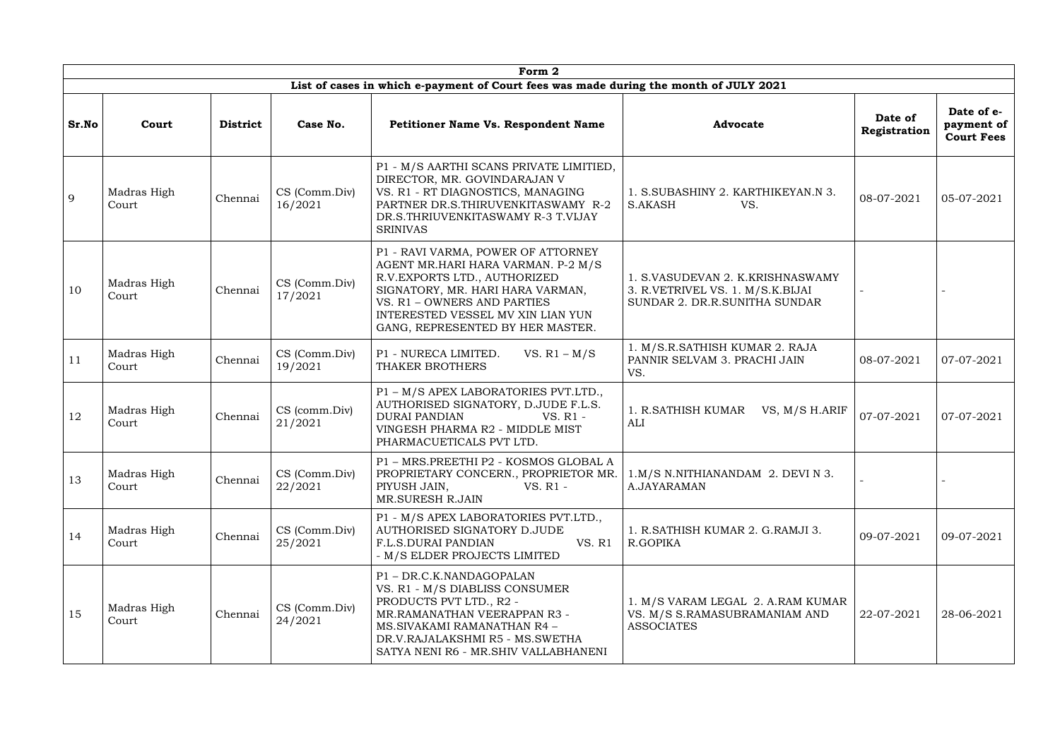|       |                      |                 |                          | Form 2                                                                                                                                                                                                                                                |                                                                                                       |                         |                                               |
|-------|----------------------|-----------------|--------------------------|-------------------------------------------------------------------------------------------------------------------------------------------------------------------------------------------------------------------------------------------------------|-------------------------------------------------------------------------------------------------------|-------------------------|-----------------------------------------------|
|       |                      |                 |                          | List of cases in which e-payment of Court fees was made during the month of JULY 2021                                                                                                                                                                 |                                                                                                       |                         |                                               |
| Sr.No | Court                | <b>District</b> | Case No.                 | <b>Petitioner Name Vs. Respondent Name</b>                                                                                                                                                                                                            | <b>Advocate</b>                                                                                       | Date of<br>Registration | Date of e-<br>payment of<br><b>Court Fees</b> |
| 9     | Madras High<br>Court | Chennai         | CS (Comm.Div)<br>16/2021 | P1 - M/S AARTHI SCANS PRIVATE LIMITIED,<br>DIRECTOR, MR. GOVINDARAJAN V<br>VS. R1 - RT DIAGNOSTICS, MANAGING<br>PARTNER DR.S.THIRUVENKITASWAMY R-2<br>DR.S.THRIUVENKITASWAMY R-3 T.VIJAY<br><b>SRINIVAS</b>                                           | 1. S.SUBASHINY 2. KARTHIKEYAN.N 3.<br>S.AKASH<br>VS.                                                  | 08-07-2021              | 05-07-2021                                    |
| 10    | Madras High<br>Court | Chennai         | CS (Comm.Div)<br>17/2021 | P1 - RAVI VARMA, POWER OF ATTORNEY<br>AGENT MR.HARI HARA VARMAN. P-2 M/S<br>R.V. EXPORTS LTD., AUTHORIZED<br>SIGNATORY, MR. HARI HARA VARMAN,<br>VS. R1 - OWNERS AND PARTIES<br>INTERESTED VESSEL MV XIN LIAN YUN<br>GANG, REPRESENTED BY HER MASTER. | 1. S.VASUDEVAN 2. K.KRISHNASWAMY<br>3. R.VETRIVEL VS. 1. M/S.K.BIJAI<br>SUNDAR 2. DR.R.SUNITHA SUNDAR |                         |                                               |
| 11    | Madras High<br>Court | Chennai         | CS (Comm.Div)<br>19/2021 | VS. $R1 - M/S$<br>P1 - NURECA LIMITED.<br>THAKER BROTHERS                                                                                                                                                                                             | 1. M/S.R.SATHISH KUMAR 2. RAJA<br>PANNIR SELVAM 3. PRACHI JAIN<br>VS.                                 | 08-07-2021              | 07-07-2021                                    |
| 12    | Madras High<br>Court | Chennai         | CS (comm.Div)<br>21/2021 | P1 - M/S APEX LABORATORIES PVT.LTD.,<br>AUTHORISED SIGNATORY, D.JUDE F.L.S.<br><b>DURAI PANDIAN</b><br>VS. R1 -<br>VINGESH PHARMA R2 - MIDDLE MIST<br>PHARMACUETICALS PVT LTD.                                                                        | 1. R.SATHISH KUMAR VS, M/S H.ARIF<br><b>ALI</b>                                                       | 07-07-2021              | 07-07-2021                                    |
| 13    | Madras High<br>Court | Chennai         | CS (Comm.Div)<br>22/2021 | P1 - MRS.PREETHI P2 - KOSMOS GLOBAL A<br>PROPRIETARY CONCERN., PROPRIETOR MR.<br>PIYUSH JAIN,<br>VS. R1 -<br>MR.SURESH R.JAIN                                                                                                                         | 1.M/S N.NITHIANANDAM 2. DEVI N 3.<br>A.JAYARAMAN                                                      |                         |                                               |
| 14    | Madras High<br>Court | Chennai         | CS (Comm.Div)<br>25/2021 | P1 - M/S APEX LABORATORIES PVT.LTD.,<br>AUTHORISED SIGNATORY D.JUDE<br>F.L.S.DURAI PANDIAN<br>VS. R1<br>- M/S ELDER PROJECTS LIMITED                                                                                                                  | 1. R.SATHISH KUMAR 2. G.RAMJI 3.<br>R.GOPIKA                                                          | 09-07-2021              | 09-07-2021                                    |
| 15    | Madras High<br>Court | Chennai         | CS (Comm.Div)<br>24/2021 | P1-DR.C.K.NANDAGOPALAN<br>VS. R1 - M/S DIABLISS CONSUMER<br>PRODUCTS PVT LTD., R2 -<br>MR.RAMANATHAN VEERAPPAN R3 -<br>MS.SIVAKAMI RAMANATHAN R4 -<br>DR.V.RAJALAKSHMI R5 - MS.SWETHA<br>SATYA NENI R6 - MR.SHIV VALLABHANENI                         | 1. M/S VARAM LEGAL 2. A.RAM KUMAR<br>VS. M/S S.RAMASUBRAMANIAM AND<br><b>ASSOCIATES</b>               | 22-07-2021              | 28-06-2021                                    |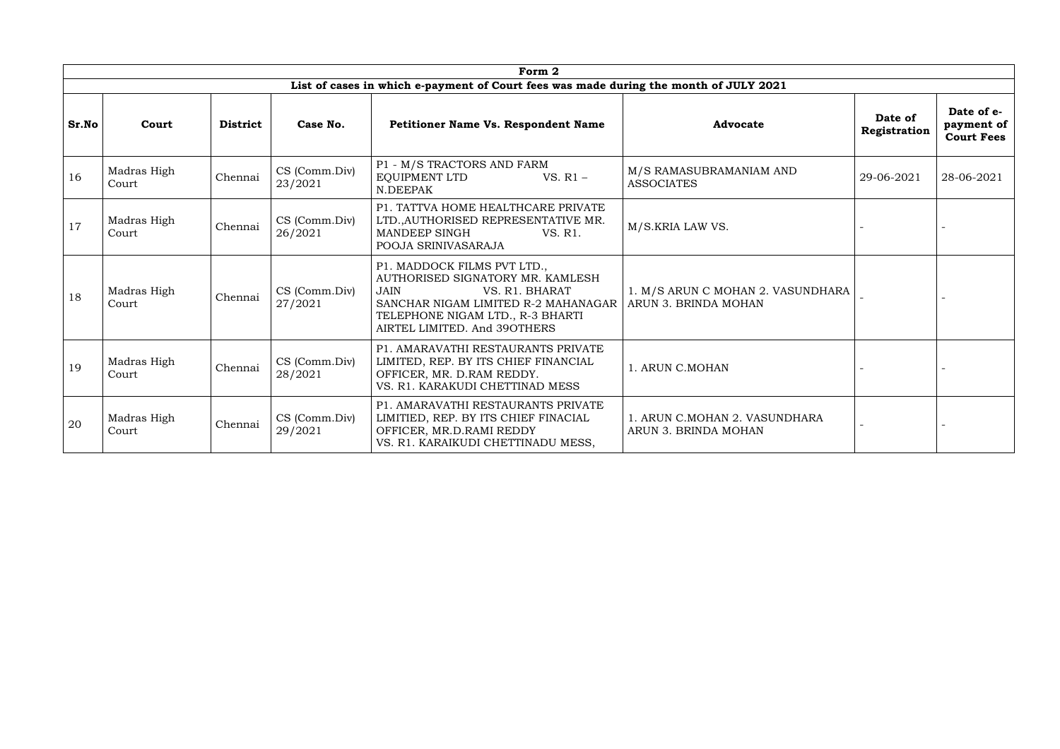|       | Form 2               |                 |                          |                                                                                                                                                                                                             |                                                           |                         |                                               |  |  |  |  |  |
|-------|----------------------|-----------------|--------------------------|-------------------------------------------------------------------------------------------------------------------------------------------------------------------------------------------------------------|-----------------------------------------------------------|-------------------------|-----------------------------------------------|--|--|--|--|--|
|       |                      |                 |                          | List of cases in which e-payment of Court fees was made during the month of JULY 2021                                                                                                                       |                                                           |                         |                                               |  |  |  |  |  |
| Sr.No | Court                | <b>District</b> | Case No.                 | <b>Petitioner Name Vs. Respondent Name</b>                                                                                                                                                                  | <b>Advocate</b>                                           | Date of<br>Registration | Date of e-<br>payment of<br><b>Court Fees</b> |  |  |  |  |  |
| 16    | Madras High<br>Court | Chennai         | CS (Comm.Div)<br>23/2021 | P1 - M/S TRACTORS AND FARM<br>EQUIPMENT LTD<br>VS. $R1 -$<br>N.DEEPAK                                                                                                                                       | M/S RAMASUBRAMANIAM AND<br><b>ASSOCIATES</b>              | 29-06-2021              | 28-06-2021                                    |  |  |  |  |  |
| 17    | Madras High<br>Court | Chennai         | CS (Comm.Div)<br>26/2021 | P1. TATTVA HOME HEALTHCARE PRIVATE<br>LTD., AUTHORISED REPRESENTATIVE MR.<br>MANDEEP SINGH<br>VS. R1.<br>POOJA SRINIVASARAJA                                                                                | M/S.KRIA LAW VS.                                          |                         |                                               |  |  |  |  |  |
| 18    | Madras High<br>Court | Chennai         | CS (Comm.Div)<br>27/2021 | P1. MADDOCK FILMS PVT LTD.,<br>AUTHORISED SIGNATORY MR. KAMLESH<br>VS. R1. BHARAT<br><b>JAIN</b><br>SANCHAR NIGAM LIMITED R-2 MAHANAGAR<br>TELEPHONE NIGAM LTD., R-3 BHARTI<br>AIRTEL LIMITED. And 390THERS | 1. M/S ARUN C MOHAN 2. VASUNDHARA<br>ARUN 3. BRINDA MOHAN |                         |                                               |  |  |  |  |  |
| 19    | Madras High<br>Court | Chennai         | CS (Comm.Div)<br>28/2021 | P1. AMARAVATHI RESTAURANTS PRIVATE<br>LIMITED, REP. BY ITS CHIEF FINANCIAL<br>OFFICER, MR. D.RAM REDDY.<br>VS. R1. KARAKUDI CHETTINAD MESS                                                                  | 1. ARUN C.MOHAN                                           |                         |                                               |  |  |  |  |  |
| 20    | Madras High<br>Court | Chennai         | CS (Comm.Div)<br>29/2021 | P1. AMARAVATHI RESTAURANTS PRIVATE<br>LIMITIED, REP. BY ITS CHIEF FINACIAL<br>OFFICER, MR.D.RAMI REDDY<br>VS. R1. KARAIKUDI CHETTINADU MESS,                                                                | 1. ARUN C.MOHAN 2. VASUNDHARA<br>ARUN 3. BRINDA MOHAN     |                         |                                               |  |  |  |  |  |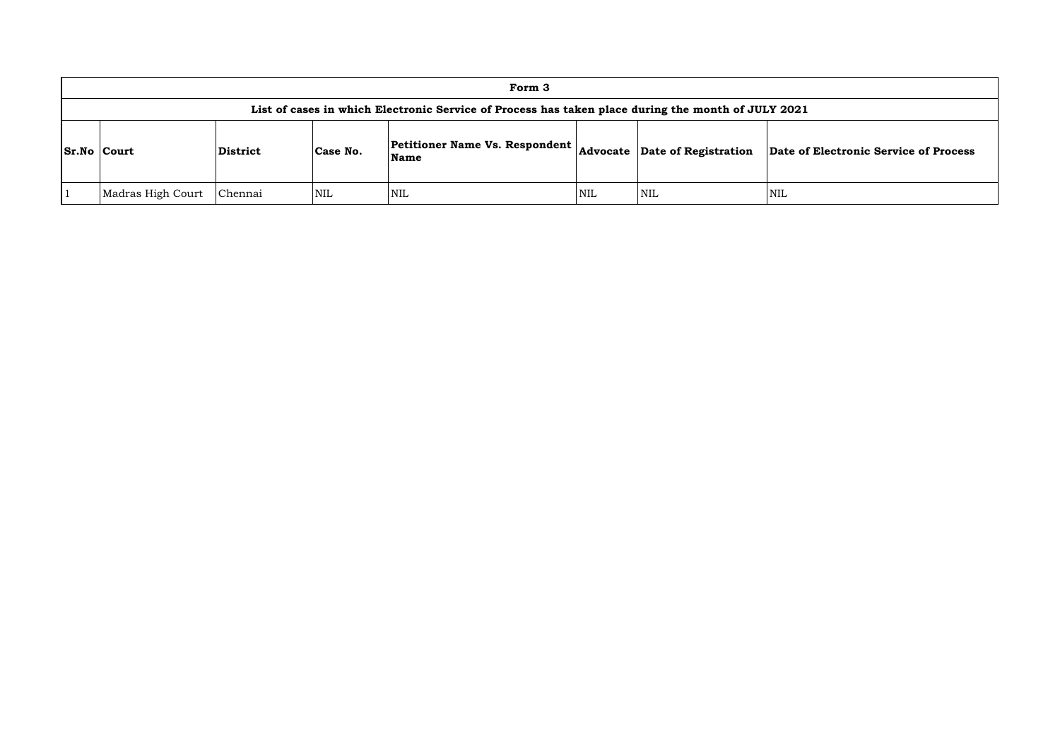|                    |                                                                                                    |                 |          | Form 3                                        |     |                               |            |  |  |  |  |
|--------------------|----------------------------------------------------------------------------------------------------|-----------------|----------|-----------------------------------------------|-----|-------------------------------|------------|--|--|--|--|
|                    | List of cases in which Electronic Service of Process has taken place during the month of JULY 2021 |                 |          |                                               |     |                               |            |  |  |  |  |
| <b>Sr.No Court</b> |                                                                                                    | <b>District</b> | Case No. | <b>Petitioner Name Vs. Respondent</b><br>Name |     | Advocate Date of Registration | Date of    |  |  |  |  |
|                    | Madras High Court                                                                                  | Chennai         | NIL      | <b>NIL</b>                                    | NIL | NIL                           | <b>NIL</b> |  |  |  |  |

**Name Advocate Date of Registration Date of Electronic Service of Process**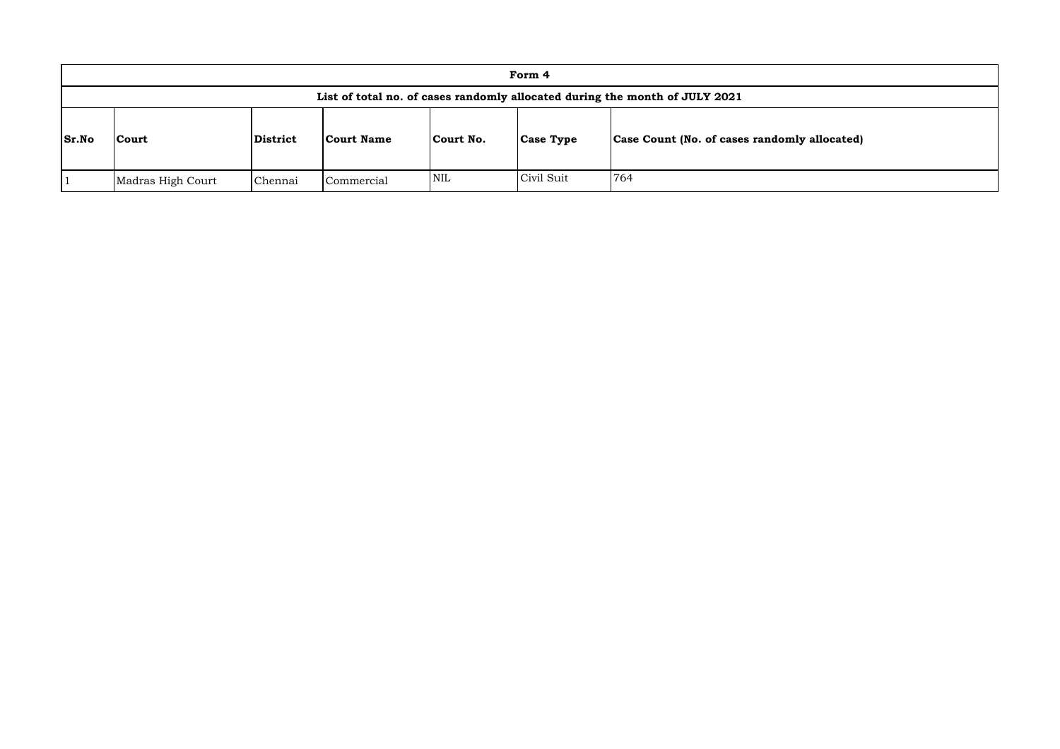|              |                                                                             |          |                   |            | Form 4           |                                              |  |  |  |
|--------------|-----------------------------------------------------------------------------|----------|-------------------|------------|------------------|----------------------------------------------|--|--|--|
|              | List of total no. of cases randomly allocated during the month of JULY 2021 |          |                   |            |                  |                                              |  |  |  |
| <b>Sr.No</b> | <b>Court</b>                                                                | District | <b>Court Name</b> | Court No.  | <b>Case Type</b> | Case Count (No. of cases randomly allocated) |  |  |  |
|              | Madras High Court                                                           | Chennai  | Commercial        | <b>NIL</b> | Civil Suit       | 764                                          |  |  |  |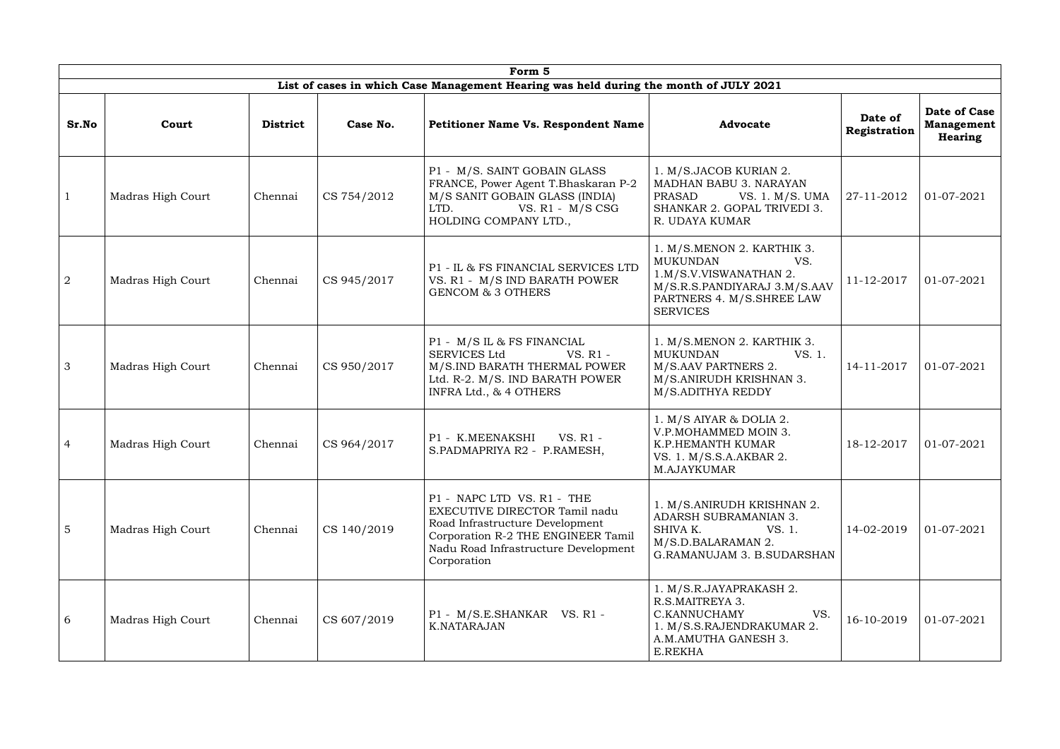|                | Form 5            |                 |             |                                                                                                                                                                                             |                                                                                                                                                                |                         |                                                     |  |  |  |  |
|----------------|-------------------|-----------------|-------------|---------------------------------------------------------------------------------------------------------------------------------------------------------------------------------------------|----------------------------------------------------------------------------------------------------------------------------------------------------------------|-------------------------|-----------------------------------------------------|--|--|--|--|
|                |                   |                 |             | List of cases in which Case Management Hearing was held during the month of JULY 2021                                                                                                       |                                                                                                                                                                |                         |                                                     |  |  |  |  |
| Sr.No          | Court             | <b>District</b> | Case No.    | <b>Petitioner Name Vs. Respondent Name</b>                                                                                                                                                  | <b>Advocate</b>                                                                                                                                                | Date of<br>Registration | <b>Date of Case</b><br><b>Management</b><br>Hearing |  |  |  |  |
|                | Madras High Court | Chennai         | CS 754/2012 | P1 - M/S. SAINT GOBAIN GLASS<br>FRANCE, Power Agent T.Bhaskaran P-2<br>M/S SANIT GOBAIN GLASS (INDIA)<br>VS. $R1 - M/S \text{CSG}$<br>LTD.<br>HOLDING COMPANY LTD.,                         | 1. M/S.JACOB KURIAN 2.<br>MADHAN BABU 3. NARAYAN<br>PRASAD<br>VS. 1. M/S. UMA<br>SHANKAR 2. GOPAL TRIVEDI 3.<br>R. UDAYA KUMAR                                 | 27-11-2012              | 01-07-2021                                          |  |  |  |  |
| $\overline{2}$ | Madras High Court | Chennai         | CS 945/2017 | P1 - IL & FS FINANCIAL SERVICES LTD<br>VS. R1 - M/S IND BARATH POWER<br><b>GENCOM &amp; 3 OTHERS</b>                                                                                        | 1. M/S.MENON 2. KARTHIK 3.<br><b>MUKUNDAN</b><br>VS.<br>1.M/S.V.VISWANATHAN 2.<br>M/S.R.S.PANDIYARAJ 3.M/S.AAV<br>PARTNERS 4. M/S.SHREE LAW<br><b>SERVICES</b> | 11-12-2017              | 01-07-2021                                          |  |  |  |  |
| $\mathcal{S}$  | Madras High Court | Chennai         | CS 950/2017 | P1 - M/S IL & FS FINANCIAL<br><b>SERVICES Ltd</b><br>VS. R1 -<br>M/S.IND BARATH THERMAL POWER<br>Ltd. R-2. M/S. IND BARATH POWER<br>INFRA Ltd., & 4 OTHERS                                  | 1. M/S.MENON 2. KARTHIK 3.<br>MUKUNDAN<br>VS. 1.<br>M/S.AAV PARTNERS 2.<br>M/S.ANIRUDH KRISHNAN 3.<br>M/S.ADITHYA REDDY                                        | 14-11-2017              | 01-07-2021                                          |  |  |  |  |
| $\overline{4}$ | Madras High Court | Chennai         | CS 964/2017 | P1 - K.MEENAKSHI<br>VS. R1 -<br>S.PADMAPRIYA R2 - P.RAMESH,                                                                                                                                 | 1. $M/S$ AIYAR & DOLIA 2.<br>V.P.MOHAMMED MOIN 3.<br>K.P.HEMANTH KUMAR<br>VS. 1. M/S.S.A.AKBAR 2.<br>M.AJAYKUMAR                                               | 18-12-2017              | 01-07-2021                                          |  |  |  |  |
| 5              | Madras High Court | Chennai         | CS 140/2019 | P1 - NAPC LTD VS. R1 - THE<br>EXECUTIVE DIRECTOR Tamil nadu<br>Road Infrastructure Development<br>Corporation R-2 THE ENGINEER Tamil<br>Nadu Road Infrastructure Development<br>Corporation | 1. M/S.ANIRUDH KRISHNAN 2.<br>ADARSH SUBRAMANIAN 3.<br>SHIVA K.<br>VS. 1.<br>M/S.D.BALARAMAN 2.<br>G.RAMANUJAM 3. B.SUDARSHAN                                  | 14-02-2019              | 01-07-2021                                          |  |  |  |  |
| 6              | Madras High Court | Chennai         | CS 607/2019 | P1 - M/S.E.SHANKAR VS. R1 -<br>K.NATARAJAN                                                                                                                                                  | 1. M/S.R.JAYAPRAKASH 2.<br>R.S.MAITREYA 3.<br>C.KANNUCHAMY<br>VS.<br>1. M/S.S.RAJENDRAKUMAR 2.<br>A.M.AMUTHA GANESH 3.<br>E.REKHA                              | 16-10-2019              | 01-07-2021                                          |  |  |  |  |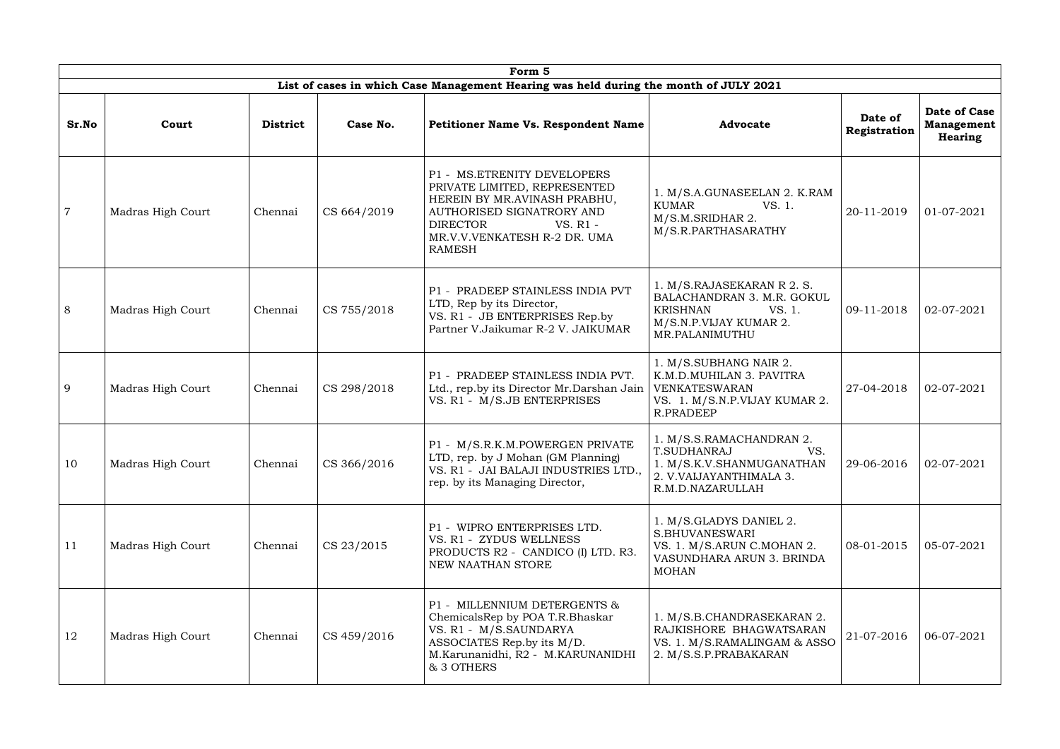|                |                   |                 |             | Form 5                                                                                                                                                                                                   |                                                                                                                                   |                         |                                              |
|----------------|-------------------|-----------------|-------------|----------------------------------------------------------------------------------------------------------------------------------------------------------------------------------------------------------|-----------------------------------------------------------------------------------------------------------------------------------|-------------------------|----------------------------------------------|
|                |                   |                 |             | List of cases in which Case Management Hearing was held during the month of JULY 2021                                                                                                                    |                                                                                                                                   |                         |                                              |
| Sr.No          | Court             | <b>District</b> | Case No.    | Petitioner Name Vs. Respondent Name                                                                                                                                                                      | <b>Advocate</b>                                                                                                                   | Date of<br>Registration | Date of Case<br><b>Management</b><br>Hearing |
| $\overline{7}$ | Madras High Court | Chennai         | CS 664/2019 | P1 - MS.ETRENITY DEVELOPERS<br>PRIVATE LIMITED, REPRESENTED<br>HEREIN BY MR.AVINASH PRABHU,<br>AUTHORISED SIGNATRORY AND<br><b>DIRECTOR</b><br>VS. R1 -<br>MR.V.V.VENKATESH R-2 DR. UMA<br><b>RAMESH</b> | 1. M/S.A.GUNASEELAN 2. K.RAM<br>KUMAR<br>VS. 1.<br>M/S.M.SRIDHAR 2.<br>M/S.R.PARTHASARATHY                                        | 20-11-2019              | 01-07-2021                                   |
| 8              | Madras High Court | Chennai         | CS 755/2018 | P1 - PRADEEP STAINLESS INDIA PVT<br>LTD, Rep by its Director,<br>VS. R1 - JB ENTERPRISES Rep.by<br>Partner V.Jaikumar R-2 V. JAIKUMAR                                                                    | 1. M/S.RAJASEKARAN R 2. S.<br>BALACHANDRAN 3. M.R. GOKUL<br><b>KRISHNAN</b><br>VS. 1.<br>M/S.N.P.VIJAY KUMAR 2.<br>MR.PALANIMUTHU | 09-11-2018              | 02-07-2021                                   |
| 9              | Madras High Court | Chennai         | CS 298/2018 | P1 - PRADEEP STAINLESS INDIA PVT.<br>Ltd., rep.by its Director Mr.Darshan Jain<br>VS. R1 - M/S.JB ENTERPRISES                                                                                            | 1. M/S.SUBHANG NAIR 2.<br>K.M.D.MUHILAN 3. PAVITRA<br>VENKATESWARAN<br>VS. 1. M/S.N.P.VIJAY KUMAR 2.<br>R.PRADEEP                 | 27-04-2018              | 02-07-2021                                   |
| 10             | Madras High Court | Chennai         | CS 366/2016 | P1 - M/S.R.K.M.POWERGEN PRIVATE<br>LTD, rep. by J Mohan (GM Planning)<br>VS. R1 - JAI BALAJI INDUSTRIES LTD.,<br>rep. by its Managing Director,                                                          | 1. M/S.S.RAMACHANDRAN 2.<br>T.SUDHANRAJ<br>VS.<br>1. M/S.K.V.SHANMUGANATHAN<br>2. V.VAIJAYANTHIMALA 3.<br>R.M.D.NAZARULLAH        | 29-06-2016              | $02 - 07 - 2021$                             |
| 11             | Madras High Court | Chennai         | CS 23/2015  | P1 - WIPRO ENTERPRISES LTD.<br>VS. R1 - ZYDUS WELLNESS<br>PRODUCTS R2 - CANDICO (I) LTD. R3.<br>NEW NAATHAN STORE                                                                                        | 1. M/S.GLADYS DANIEL 2.<br>S.BHUVANESWARI<br>VS. 1. M/S.ARUN C.MOHAN 2.<br>VASUNDHARA ARUN 3. BRINDA<br><b>MOHAN</b>              | 08-01-2015              | 05-07-2021                                   |
| 12             | Madras High Court | Chennai         | CS 459/2016 | P1 - MILLENNIUM DETERGENTS &<br>ChemicalsRep by POA T.R.Bhaskar<br>VS. R1 - M/S.SAUNDARYA<br>ASSOCIATES Rep.by its M/D.<br>M.Karunanidhi, R2 - M.KARUNANIDHI<br>& 3 OTHERS                               | 1. M/S.B.CHANDRASEKARAN 2.<br>RAJKISHORE BHAGWATSARAN<br>VS. 1. M/S.RAMALINGAM & ASSO<br>2. M/S.S.P.PRABAKARAN                    | 21-07-2016              | 06-07-2021                                   |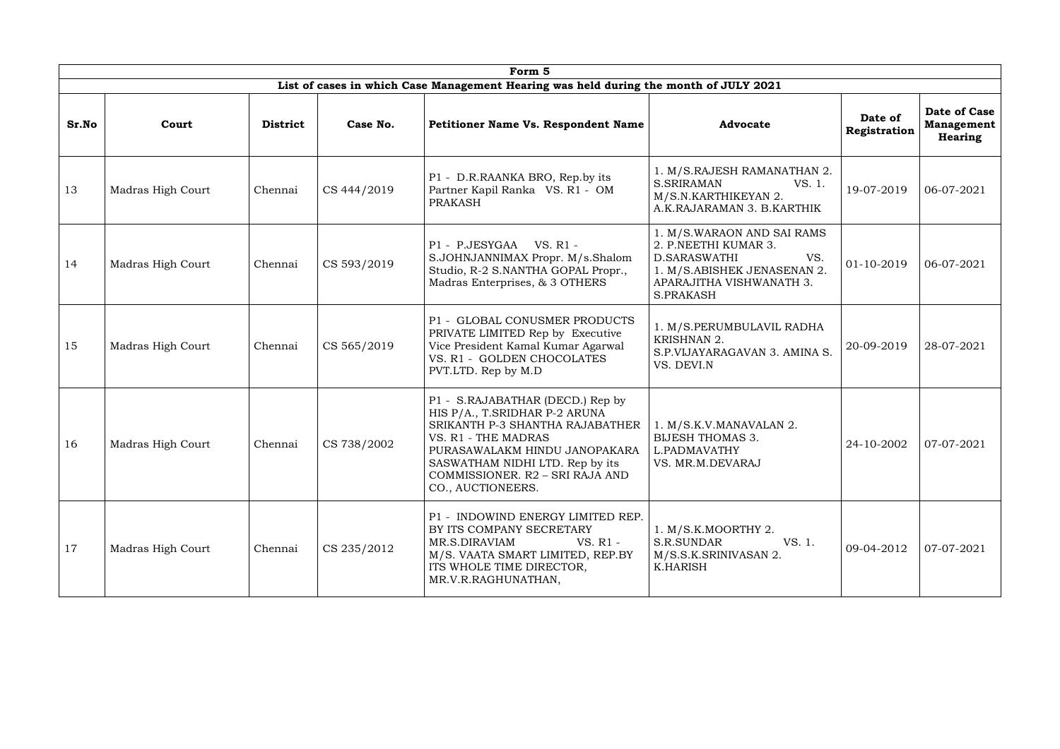|       |                   |                 |             | Form 5                                                                                                                                                                                                                                                  |                                                                                                                                                   |                         |                                                     |
|-------|-------------------|-----------------|-------------|---------------------------------------------------------------------------------------------------------------------------------------------------------------------------------------------------------------------------------------------------------|---------------------------------------------------------------------------------------------------------------------------------------------------|-------------------------|-----------------------------------------------------|
|       |                   |                 |             | List of cases in which Case Management Hearing was held during the month of JULY 2021                                                                                                                                                                   |                                                                                                                                                   |                         |                                                     |
| Sr.No | Court             | <b>District</b> | Case No.    | <b>Petitioner Name Vs. Respondent Name</b>                                                                                                                                                                                                              | <b>Advocate</b>                                                                                                                                   | Date of<br>Registration | Date of Case<br><b>Management</b><br><b>Hearing</b> |
| 13    | Madras High Court | Chennai         | CS 444/2019 | P1 - D.R.RAANKA BRO, Rep.by its<br>Partner Kapil Ranka VS. R1 - OM<br><b>PRAKASH</b>                                                                                                                                                                    | 1. M/S.RAJESH RAMANATHAN 2.<br><b>S.SRIRAMAN</b><br>VS. 1.<br>M/S.N.KARTHIKEYAN 2.<br>A.K.RAJARAMAN 3. B.KARTHIK                                  | 19-07-2019              | 06-07-2021                                          |
| 14    | Madras High Court | Chennai         | CS 593/2019 | P1 - P.JESYGAA<br>VS. R1 -<br>S.JOHNJANNIMAX Propr. M/s.Shalom<br>Studio, R-2 S.NANTHA GOPAL Propr.,<br>Madras Enterprises, & 3 OTHERS                                                                                                                  | 1. M/S.WARAON AND SAI RAMS<br>2. P.NEETHI KUMAR 3.<br>D.SARASWATHI<br>VS.<br>1. M/S.ABISHEK JENASENAN 2.<br>APARAJITHA VISHWANATH 3.<br>S.PRAKASH | 01-10-2019              | 06-07-2021                                          |
| 15    | Madras High Court | Chennai         | CS 565/2019 | P1 - GLOBAL CONUSMER PRODUCTS<br>PRIVATE LIMITED Rep by Executive<br>Vice President Kamal Kumar Agarwal<br>VS. R1 - GOLDEN CHOCOLATES<br>PVT.LTD. Rep by M.D                                                                                            | 1. M/S.PERUMBULAVIL RADHA<br>KRISHNAN 2.<br>S.P.VIJAYARAGAVAN 3. AMINA S.<br>VS. DEVI.N                                                           | 20-09-2019              | 28-07-2021                                          |
| 16    | Madras High Court | Chennai         | CS 738/2002 | P1 - S.RAJABATHAR (DECD.) Rep by<br>HIS P/A., T.SRIDHAR P-2 ARUNA<br>SRIKANTH P-3 SHANTHA RAJABATHER<br>VS. R1 - THE MADRAS<br>PURASAWALAKM HINDU JANOPAKARA<br>SASWATHAM NIDHI LTD. Rep by its<br>COMMISSIONER. R2 - SRI RAJA AND<br>CO., AUCTIONEERS. | 1. M/S.K.V.MANAVALAN 2.<br><b>BIJESH THOMAS 3.</b><br>L.PADMAVATHY<br>VS. MR.M.DEVARAJ                                                            | 24-10-2002              | 07-07-2021                                          |
| 17    | Madras High Court | Chennai         | CS 235/2012 | P1 - INDOWIND ENERGY LIMITED REP.<br>BY ITS COMPANY SECRETARY<br>MR.S.DIRAVIAM<br>VS. R1 -<br>M/S. VAATA SMART LIMITED, REP.BY<br>ITS WHOLE TIME DIRECTOR,<br>MR.V.R.RAGHUNATHAN,                                                                       | 1. M/S.K.MOORTHY 2.<br>VS. 1.<br>S.R.SUNDAR<br>M/S.S.K.SRINIVASAN 2.<br>K.HARISH                                                                  | 09-04-2012              | 07-07-2021                                          |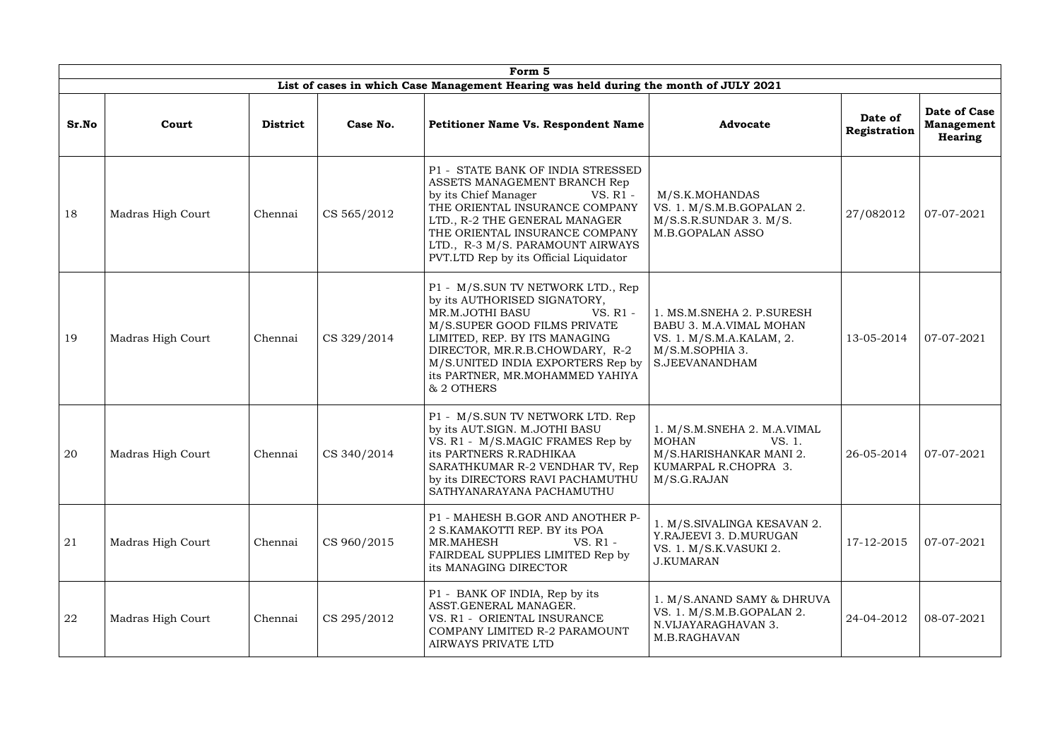|       | Form 5            |                 |             |                                                                                                                                                                                                                                                                                           |                                                                                                                       |                         |                                                     |  |  |  |  |
|-------|-------------------|-----------------|-------------|-------------------------------------------------------------------------------------------------------------------------------------------------------------------------------------------------------------------------------------------------------------------------------------------|-----------------------------------------------------------------------------------------------------------------------|-------------------------|-----------------------------------------------------|--|--|--|--|
|       |                   |                 |             | List of cases in which Case Management Hearing was held during the month of JULY 2021                                                                                                                                                                                                     |                                                                                                                       |                         |                                                     |  |  |  |  |
| Sr.No | Court             | <b>District</b> | Case No.    | Petitioner Name Vs. Respondent Name                                                                                                                                                                                                                                                       | <b>Advocate</b>                                                                                                       | Date of<br>Registration | Date of Case<br><b>Management</b><br><b>Hearing</b> |  |  |  |  |
| 18    | Madras High Court | Chennai         | CS 565/2012 | P1 - STATE BANK OF INDIA STRESSED<br>ASSETS MANAGEMENT BRANCH Rep<br>by its Chief Manager<br>VS. R1 -<br>THE ORIENTAL INSURANCE COMPANY<br>LTD., R-2 THE GENERAL MANAGER<br>THE ORIENTAL INSURANCE COMPANY<br>LTD., R-3 M/S. PARAMOUNT AIRWAYS<br>PVT.LTD Rep by its Official Liquidator  | M/S.K.MOHANDAS<br>VS. 1. M/S.M.B.GOPALAN 2.<br>M/S.S.R.SUNDAR 3. M/S.<br><b>M.B.GOPALAN ASSO</b>                      | 27/082012               | 07-07-2021                                          |  |  |  |  |
| 19    | Madras High Court | Chennai         | CS 329/2014 | P1 - M/S.SUN TV NETWORK LTD., Rep<br>by its AUTHORISED SIGNATORY,<br>MR.M.JOTHI BASU<br>VS. R1 -<br>M/S.SUPER GOOD FILMS PRIVATE<br>LIMITED, REP. BY ITS MANAGING<br>DIRECTOR, MR.R.B.CHOWDARY, R-2<br>M/S.UNITED INDIA EXPORTERS Rep by<br>its PARTNER, MR.MOHAMMED YAHIYA<br>& 2 OTHERS | 1. MS.M.SNEHA 2. P.SURESH<br>BABU 3. M.A.VIMAL MOHAN<br>VS. 1. M/S.M.A.KALAM, 2.<br>M/S.M.SOPHIA 3.<br>S.JEEVANANDHAM | 13-05-2014              | 07-07-2021                                          |  |  |  |  |
| 20    | Madras High Court | Chennai         | CS 340/2014 | P1 - M/S.SUN TV NETWORK LTD. Rep<br>by its AUT.SIGN. M.JOTHI BASU<br>VS. R1 - M/S.MAGIC FRAMES Rep by<br>its PARTNERS R.RADHIKAA<br>SARATHKUMAR R-2 VENDHAR TV, Rep<br>by its DIRECTORS RAVI PACHAMUTHU<br>SATHYANARAYANA PACHAMUTHU                                                      | 1. M/S.M.SNEHA 2. M.A.VIMAL<br>MOHAN<br>VS. 1.<br>M/S.HARISHANKAR MANI 2.<br>KUMARPAL R.CHOPRA 3.<br>M/S.G.RAJAN      | 26-05-2014              | 07-07-2021                                          |  |  |  |  |
| 21    | Madras High Court | Chennai         | CS 960/2015 | P1 - MAHESH B.GOR AND ANOTHER P-<br>2 S.KAMAKOTTI REP. BY its POA<br>MR.MAHESH<br>VS. R1 -<br>FAIRDEAL SUPPLIES LIMITED Rep by<br>its MANAGING DIRECTOR                                                                                                                                   | 1. M/S.SIVALINGA KESAVAN 2.<br>Y.RAJEEVI 3. D.MURUGAN<br>VS. 1. M/S.K.VASUKI 2.<br><b>J.KUMARAN</b>                   | 17-12-2015              | 07-07-2021                                          |  |  |  |  |
| 22    | Madras High Court | Chennai         | CS 295/2012 | P1 - BANK OF INDIA, Rep by its<br>ASST.GENERAL MANAGER.<br>VS. R1 - ORIENTAL INSURANCE<br>COMPANY LIMITED R-2 PARAMOUNT<br>AIRWAYS PRIVATE LTD                                                                                                                                            | 1. M/S.ANAND SAMY & DHRUVA<br>VS. 1. M/S.M.B.GOPALAN 2.<br>N.VIJAYARAGHAVAN 3.<br>M.B.RAGHAVAN                        | 24-04-2012              | 08-07-2021                                          |  |  |  |  |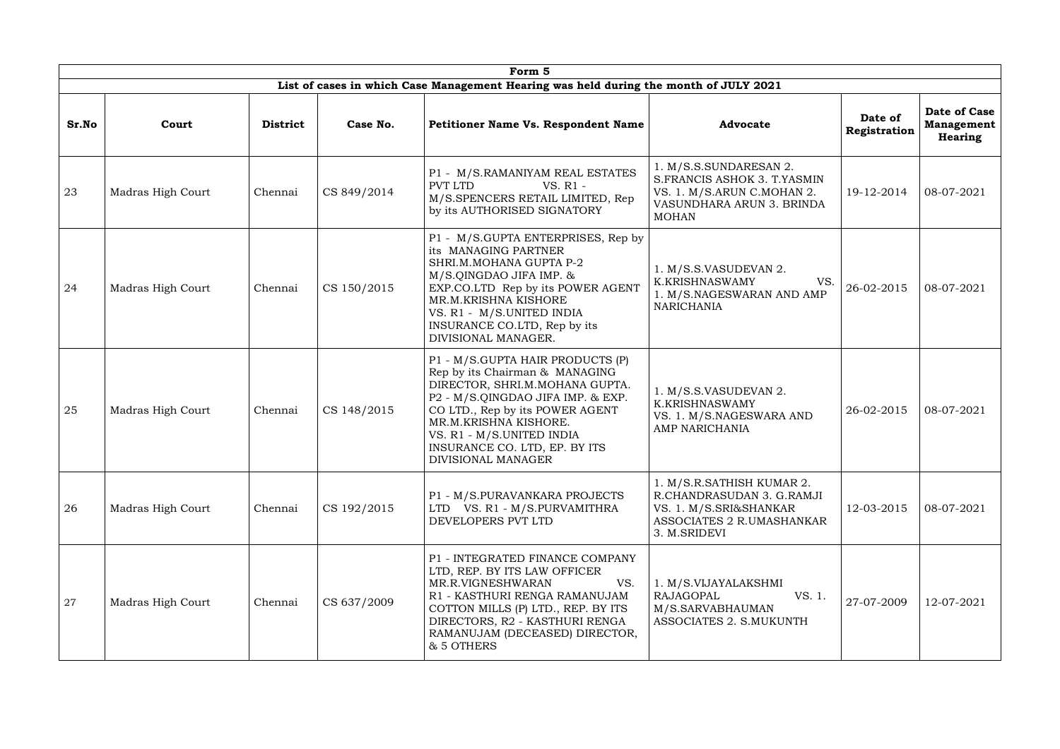|       | Form 5            |                 |             |                                                                                                                                                                                                                                                                                           |                                                                                                                                  |                         |                                              |  |  |  |  |
|-------|-------------------|-----------------|-------------|-------------------------------------------------------------------------------------------------------------------------------------------------------------------------------------------------------------------------------------------------------------------------------------------|----------------------------------------------------------------------------------------------------------------------------------|-------------------------|----------------------------------------------|--|--|--|--|
|       |                   |                 |             | List of cases in which Case Management Hearing was held during the month of JULY 2021                                                                                                                                                                                                     |                                                                                                                                  |                         |                                              |  |  |  |  |
| Sr.No | Court             | <b>District</b> | Case No.    | <b>Petitioner Name Vs. Respondent Name</b>                                                                                                                                                                                                                                                | <b>Advocate</b>                                                                                                                  | Date of<br>Registration | Date of Case<br><b>Management</b><br>Hearing |  |  |  |  |
| 23    | Madras High Court | Chennai         | CS 849/2014 | P1 - M/S.RAMANIYAM REAL ESTATES<br>PVT LTD<br>VS. R1 -<br>M/S.SPENCERS RETAIL LIMITED, Rep<br>by its AUTHORISED SIGNATORY                                                                                                                                                                 | 1. M/S.S.SUNDARESAN 2.<br>S.FRANCIS ASHOK 3. T.YASMIN<br>VS. 1. M/S.ARUN C.MOHAN 2.<br>VASUNDHARA ARUN 3. BRINDA<br><b>MOHAN</b> | 19-12-2014              | 08-07-2021                                   |  |  |  |  |
| 24    | Madras High Court | Chennai         | CS 150/2015 | P1 - M/S.GUPTA ENTERPRISES, Rep by<br>its MANAGING PARTNER<br>SHRI.M.MOHANA GUPTA P-2<br>M/S.QINGDAO JIFA IMP. &<br>EXP.CO.LTD Rep by its POWER AGENT<br>MR.M.KRISHNA KISHORE<br>VS. R1 - M/S.UNITED INDIA<br>INSURANCE CO.LTD, Rep by its<br>DIVISIONAL MANAGER.                         | 1. M/S.S.VASUDEVAN 2.<br><b>K.KRISHNASWAMY</b><br>VS.<br>1. M/S.NAGESWARAN AND AMP<br><b>NARICHANIA</b>                          | 26-02-2015              | 08-07-2021                                   |  |  |  |  |
| 25    | Madras High Court | Chennai         | CS 148/2015 | P1 - M/S.GUPTA HAIR PRODUCTS (P)<br>Rep by its Chairman & MANAGING<br>DIRECTOR, SHRI.M.MOHANA GUPTA.<br>P2 - M/S.QINGDAO JIFA IMP. & EXP.<br>CO LTD., Rep by its POWER AGENT<br>MR.M.KRISHNA KISHORE.<br>VS. R1 - M/S.UNITED INDIA<br>INSURANCE CO. LTD, EP. BY ITS<br>DIVISIONAL MANAGER | 1. M/S.S.VASUDEVAN 2.<br><b>K.KRISHNASWAMY</b><br>VS. 1. M/S.NAGESWARA AND<br>AMP NARICHANIA                                     | 26-02-2015              | 08-07-2021                                   |  |  |  |  |
| 26    | Madras High Court | Chennai         | CS 192/2015 | P1 - M/S.PURAVANKARA PROJECTS<br>LTD VS. R1 - M/S.PURVAMITHRA<br>DEVELOPERS PVT LTD                                                                                                                                                                                                       | 1. M/S.R.SATHISH KUMAR 2.<br>R.CHANDRASUDAN 3. G.RAMJI<br>VS. 1. M/S.SRI&SHANKAR<br>ASSOCIATES 2 R.UMASHANKAR<br>3. M.SRIDEVI    | 12-03-2015              | 08-07-2021                                   |  |  |  |  |
| 27    | Madras High Court | Chennai         | CS 637/2009 | P1 - INTEGRATED FINANCE COMPANY<br>LTD, REP. BY ITS LAW OFFICER<br>VS.<br>MR.R.VIGNESHWARAN<br>R1 - KASTHURI RENGA RAMANUJAM<br>COTTON MILLS (P) LTD., REP. BY ITS<br>DIRECTORS, R2 - KASTHURI RENGA<br>RAMANUJAM (DECEASED) DIRECTOR,<br>& 5 OTHERS                                      | 1. M/S.VIJAYALAKSHMI<br>RAJAGOPAL<br>VS. 1.<br>M/S.SARVABHAUMAN<br>ASSOCIATES 2. S.MUKUNTH                                       | 27-07-2009              | 12-07-2021                                   |  |  |  |  |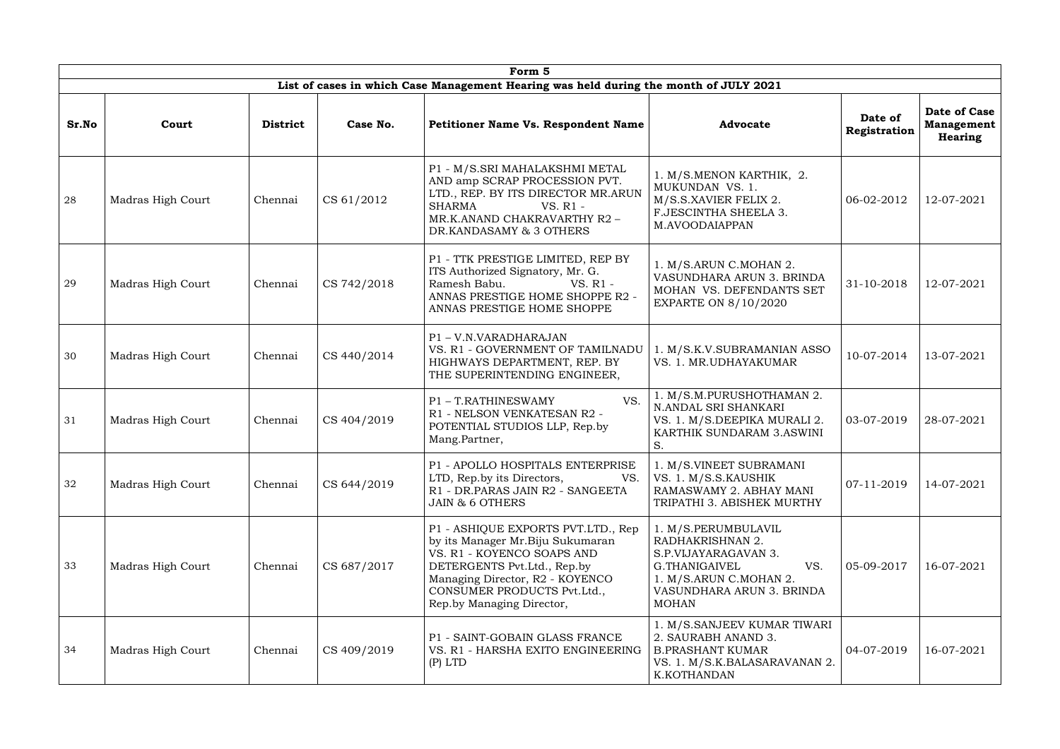|       |                   |                 |             | Form 5                                                                                                                                                                                                                              |                                                                                                                                                                |                         |                                              |
|-------|-------------------|-----------------|-------------|-------------------------------------------------------------------------------------------------------------------------------------------------------------------------------------------------------------------------------------|----------------------------------------------------------------------------------------------------------------------------------------------------------------|-------------------------|----------------------------------------------|
|       |                   |                 |             | List of cases in which Case Management Hearing was held during the month of JULY 2021                                                                                                                                               |                                                                                                                                                                |                         |                                              |
| Sr.No | Court             | <b>District</b> | Case No.    | <b>Petitioner Name Vs. Respondent Name</b>                                                                                                                                                                                          | <b>Advocate</b>                                                                                                                                                | Date of<br>Registration | Date of Case<br><b>Management</b><br>Hearing |
| 28    | Madras High Court | Chennai         | CS 61/2012  | P1 - M/S.SRI MAHALAKSHMI METAL<br>AND amp SCRAP PROCESSION PVT.<br>LTD., REP. BY ITS DIRECTOR MR.ARUN<br><b>SHARMA</b><br>$VS. R1 -$<br>MR.K.ANAND CHAKRAVARTHY R2 -<br>DR.KANDASAMY & 3 OTHERS                                     | 1. M/S.MENON KARTHIK, 2.<br>MUKUNDAN VS. 1.<br>M/S.S.XAVIER FELIX 2.<br>F.JESCINTHA SHEELA 3.<br>M.AVOODAIAPPAN                                                | 06-02-2012              | 12-07-2021                                   |
| 29    | Madras High Court | Chennai         | CS 742/2018 | P1 - TTK PRESTIGE LIMITED, REP BY<br>ITS Authorized Signatory, Mr. G.<br>Ramesh Babu.<br>VS. R1 -<br>ANNAS PRESTIGE HOME SHOPPE R2 -<br>ANNAS PRESTIGE HOME SHOPPE                                                                  | 1. M/S.ARUN C.MOHAN 2.<br>VASUNDHARA ARUN 3. BRINDA<br>MOHAN VS. DEFENDANTS SET<br><b>EXPARTE ON 8/10/2020</b>                                                 | 31-10-2018              | 12-07-2021                                   |
| 30    | Madras High Court | Chennai         | CS 440/2014 | P1-V.N.VARADHARAJAN<br>VS. R1 - GOVERNMENT OF TAMILNADU<br>HIGHWAYS DEPARTMENT, REP. BY<br>THE SUPERINTENDING ENGINEER,                                                                                                             | 1. M/S.K.V.SUBRAMANIAN ASSO<br>VS. 1. MR.UDHAYAKUMAR                                                                                                           | 10-07-2014              | 13-07-2021                                   |
| 31    | Madras High Court | Chennai         | CS 404/2019 | VS.<br>P1 - T.RATHINESWAMY<br>R1 - NELSON VENKATESAN R2 -<br>POTENTIAL STUDIOS LLP, Rep.by<br>Mang.Partner,                                                                                                                         | 1. M/S.M.PURUSHOTHAMAN 2.<br>N.ANDAL SRI SHANKARI<br>VS. 1. M/S.DEEPIKA MURALI 2.<br>KARTHIK SUNDARAM 3.ASWINI<br>S.                                           | 03-07-2019              | 28-07-2021                                   |
| 32    | Madras High Court | Chennai         | CS 644/2019 | P1 - APOLLO HOSPITALS ENTERPRISE<br>LTD, Rep.by its Directors,<br>VS.<br>R1 - DR.PARAS JAIN R2 - SANGEETA<br><b>JAIN &amp; 6 OTHERS</b>                                                                                             | 1. M/S.VINEET SUBRAMANI<br>VS. 1. M/S.S.KAUSHIK<br>RAMASWAMY 2. ABHAY MANI<br>TRIPATHI 3. ABISHEK MURTHY                                                       | 07-11-2019              | 14-07-2021                                   |
| 33    | Madras High Court | Chennai         | CS 687/2017 | P1 - ASHIQUE EXPORTS PVT.LTD., Rep<br>by its Manager Mr. Biju Sukumaran<br>VS. R1 - KOYENCO SOAPS AND<br>DETERGENTS Pvt.Ltd., Rep.by<br>Managing Director, R2 - KOYENCO<br>CONSUMER PRODUCTS Pvt.Ltd.,<br>Rep.by Managing Director, | 1. M/S.PERUMBULAVIL<br>RADHAKRISHNAN 2.<br>S.P.VIJAYARAGAVAN 3.<br>G.THANIGAIVEL<br>VS.<br>1. M/S.ARUN C.MOHAN 2.<br>VASUNDHARA ARUN 3. BRINDA<br><b>MOHAN</b> | 05-09-2017              | 16-07-2021                                   |
| 34    | Madras High Court | Chennai         | CS 409/2019 | P1 - SAINT-GOBAIN GLASS FRANCE<br>VS. R1 - HARSHA EXITO ENGINEERING<br>$(P)$ LTD                                                                                                                                                    | 1. M/S.SANJEEV KUMAR TIWARI<br>2. SAURABH ANAND 3.<br><b>B.PRASHANT KUMAR</b><br>VS. 1. M/S.K.BALASARAVANAN 2.<br>K.KOTHANDAN                                  | 04-07-2019              | 16-07-2021                                   |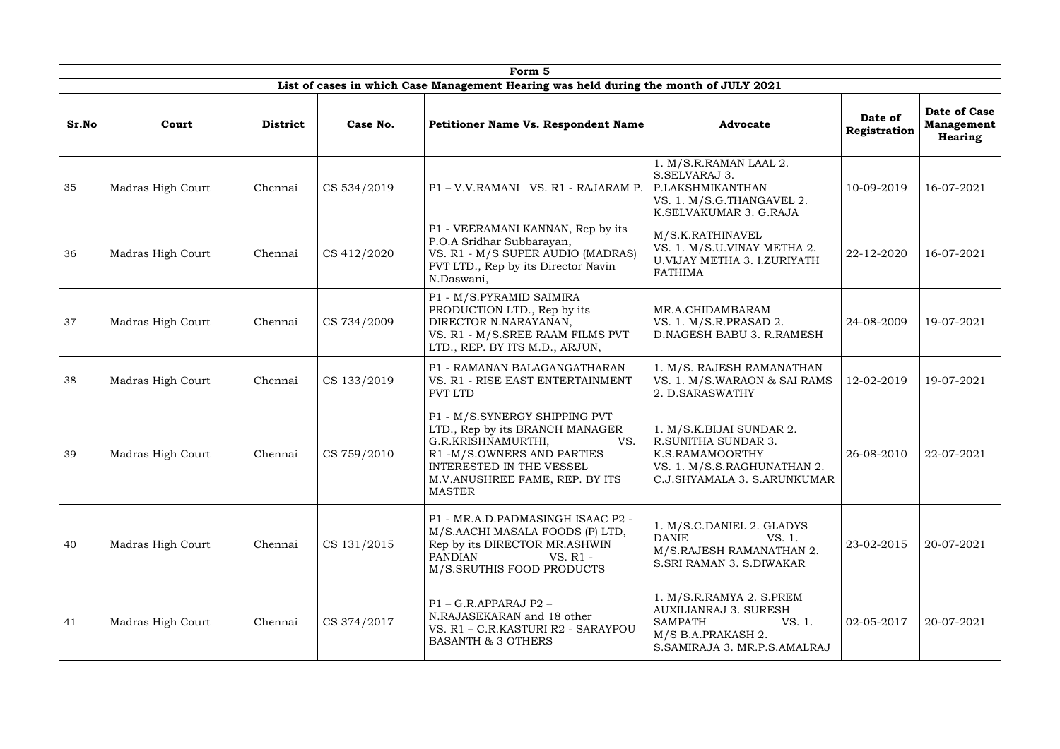|       |                   |                 |             | Form 5                                                                                                                                                                                                     |                                                                                                                                            |                         |                                              |
|-------|-------------------|-----------------|-------------|------------------------------------------------------------------------------------------------------------------------------------------------------------------------------------------------------------|--------------------------------------------------------------------------------------------------------------------------------------------|-------------------------|----------------------------------------------|
|       |                   |                 |             | List of cases in which Case Management Hearing was held during the month of JULY 2021                                                                                                                      |                                                                                                                                            |                         |                                              |
| Sr.No | Court             | <b>District</b> | Case No.    | <b>Petitioner Name Vs. Respondent Name</b>                                                                                                                                                                 | <b>Advocate</b>                                                                                                                            | Date of<br>Registration | Date of Case<br><b>Management</b><br>Hearing |
| 35    | Madras High Court | Chennai         | CS 534/2019 | P1-V.V.RAMANI VS. R1 - RAJARAM P.                                                                                                                                                                          | 1. M/S.R.RAMAN LAAL 2.<br>S.SELVARAJ 3.<br>P.LAKSHMIKANTHAN<br>VS. 1. M/S.G.THANGAVEL 2.<br>K.SELVAKUMAR 3. G.RAJA                         | 10-09-2019              | 16-07-2021                                   |
| 36    | Madras High Court | Chennai         | CS 412/2020 | P1 - VEERAMANI KANNAN, Rep by its<br>P.O.A Sridhar Subbarayan,<br>VS. R1 - M/S SUPER AUDIO (MADRAS)<br>PVT LTD., Rep by its Director Navin<br>N.Daswani,                                                   | M/S.K.RATHINAVEL<br>VS. 1. M/S.U.VINAY METHA 2.<br><b>U.VIJAY METHA 3. I.ZURIYATH</b><br><b>FATHIMA</b>                                    | 22-12-2020              | 16-07-2021                                   |
| 37    | Madras High Court | Chennai         | CS 734/2009 | P1 - M/S.PYRAMID SAIMIRA<br>PRODUCTION LTD., Rep by its<br>DIRECTOR N.NARAYANAN,<br>VS. R1 - M/S.SREE RAAM FILMS PVT<br>LTD., REP. BY ITS M.D., ARJUN,                                                     | MR.A.CHIDAMBARAM<br>VS. 1. M/S.R.PRASAD 2.<br>D.NAGESH BABU 3. R.RAMESH                                                                    | 24-08-2009              | 19-07-2021                                   |
| 38    | Madras High Court | Chennai         | CS 133/2019 | P1 - RAMANAN BALAGANGATHARAN<br>VS. R1 - RISE EAST ENTERTAINMENT<br>PVT LTD                                                                                                                                | 1. M/S. RAJESH RAMANATHAN<br>VS. 1. M/S.WARAON & SAI RAMS<br>2. D.SARASWATHY                                                               | 12-02-2019              | 19-07-2021                                   |
| 39    | Madras High Court | Chennai         | CS 759/2010 | P1 - M/S.SYNERGY SHIPPING PVT<br>LTD., Rep by its BRANCH MANAGER<br>G.R.KRISHNAMURTHI,<br>VS.<br>R1-M/S.OWNERS AND PARTIES<br>INTERESTED IN THE VESSEL<br>M.V. ANUSHREE FAME, REP. BY ITS<br><b>MASTER</b> | 1. M/S.K. BIJAI SUNDAR 2.<br>R.SUNITHA SUNDAR 3.<br>K.S.RAMAMOORTHY<br>VS. 1. M/S.S.RAGHUNATHAN 2.<br>C.J.SHYAMALA 3. S.ARUNKUMAR          | 26-08-2010              | 22-07-2021                                   |
| 40    | Madras High Court | Chennai         | CS 131/2015 | P1 - MR.A.D.PADMASINGH ISAAC P2 -<br>M/S.AACHI MASALA FOODS (P) LTD,<br>Rep by its DIRECTOR MR.ASHWIN<br><b>PANDIAN</b><br>VS. R1 -<br>M/S.SRUTHIS FOOD PRODUCTS                                           | 1. M/S.C.DANIEL 2. GLADYS<br><b>DANIE</b><br>VS. 1.<br>M/S.RAJESH RAMANATHAN 2.<br><b>S.SRI RAMAN 3. S.DIWAKAR</b>                         | 23-02-2015              | 20-07-2021                                   |
| 41    | Madras High Court | Chennai         | CS 374/2017 | P1 - G.R.APPARAJ P2 -<br>N.RAJASEKARAN and 18 other<br>VS. R1 - C.R.KASTURI R2 - SARAYPOU<br><b>BASANTH &amp; 3 OTHERS</b>                                                                                 | 1. M/S.R.RAMYA 2. S.PREM<br><b>AUXILIANRAJ 3. SURESH</b><br>VS. 1.<br><b>SAMPATH</b><br>M/S B.A.PRAKASH 2.<br>S.SAMIRAJA 3. MR.P.S.AMALRAJ | 02-05-2017              | 20-07-2021                                   |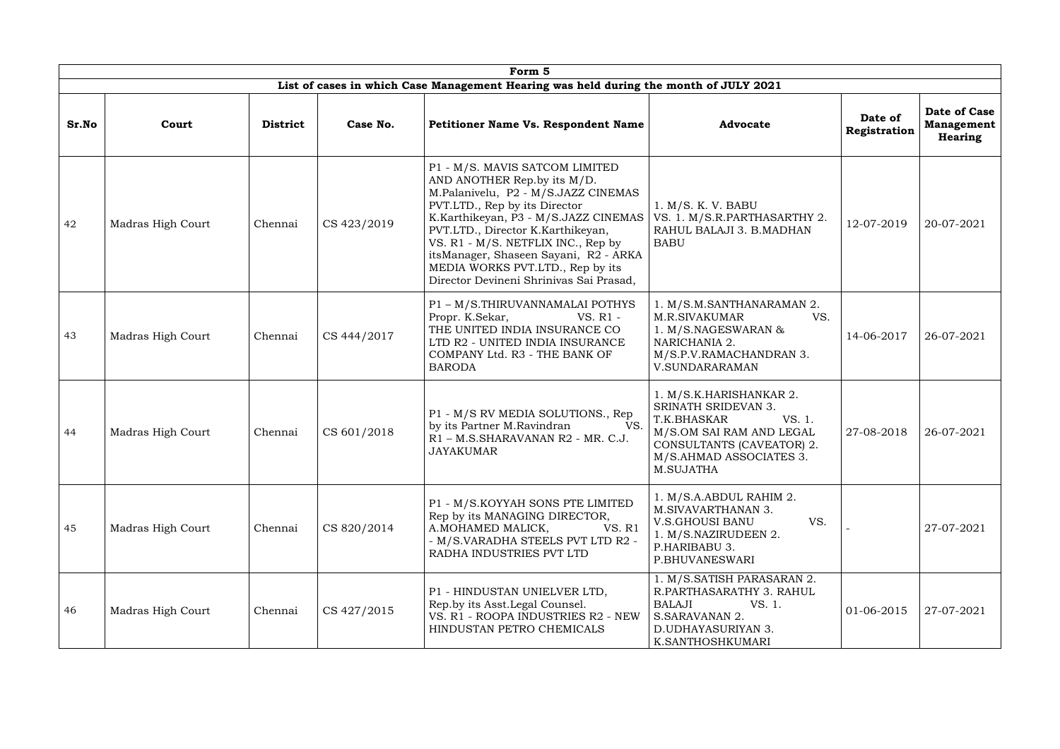|       |                   |                 |             | Form 5                                                                                                                                                                                                                                                                                                                                                                           |                                                                                                                                                                                 |                         |                                              |
|-------|-------------------|-----------------|-------------|----------------------------------------------------------------------------------------------------------------------------------------------------------------------------------------------------------------------------------------------------------------------------------------------------------------------------------------------------------------------------------|---------------------------------------------------------------------------------------------------------------------------------------------------------------------------------|-------------------------|----------------------------------------------|
|       |                   |                 |             | List of cases in which Case Management Hearing was held during the month of JULY 2021                                                                                                                                                                                                                                                                                            |                                                                                                                                                                                 |                         |                                              |
| Sr.No | Court             | <b>District</b> | Case No.    | <b>Petitioner Name Vs. Respondent Name</b>                                                                                                                                                                                                                                                                                                                                       | <b>Advocate</b>                                                                                                                                                                 | Date of<br>Registration | Date of Case<br><b>Management</b><br>Hearing |
| 42    | Madras High Court | Chennai         | CS 423/2019 | P1 - M/S. MAVIS SATCOM LIMITED<br>AND ANOTHER Rep.by its M/D.<br>M.Palanivelu, P2 - M/S.JAZZ CINEMAS<br>PVT.LTD., Rep by its Director<br>K.Karthikeyan, P3 - M/S.JAZZ CINEMAS<br>PVT.LTD., Director K.Karthikeyan,<br>VS. R1 - M/S. NETFLIX INC., Rep by<br>itsManager, Shaseen Sayani, R2 - ARKA<br>MEDIA WORKS PVT.LTD., Rep by its<br>Director Devineni Shrinivas Sai Prasad, | 1. M/S. K. V. BABU<br>VS. 1. M/S.R.PARTHASARTHY 2.<br>RAHUL BALAJI 3. B.MADHAN<br><b>BABU</b>                                                                                   | 12-07-2019              | 20-07-2021                                   |
| 43    | Madras High Court | Chennai         | CS 444/2017 | P1 - M/S.THIRUVANNAMALAI POTHYS<br>Propr. K.Sekar,<br>VS. R1 -<br>THE UNITED INDIA INSURANCE CO<br>LTD R2 - UNITED INDIA INSURANCE<br>COMPANY Ltd. R3 - THE BANK OF<br><b>BARODA</b>                                                                                                                                                                                             | 1. M/S.M.SANTHANARAMAN 2.<br>M.R.SIVAKUMAR<br>VS.<br>1. M/S.NAGESWARAN &<br>NARICHANIA 2.<br>M/S.P.V.RAMACHANDRAN 3.<br><b>V.SUNDARARAMAN</b>                                   | 14-06-2017              | 26-07-2021                                   |
| 44    | Madras High Court | Chennai         | CS 601/2018 | P1 - M/S RV MEDIA SOLUTIONS., Rep<br>by its Partner M.Ravindran<br>VS.<br>R1 - M.S.SHARAVANAN R2 - MR. C.J.<br><b>JAYAKUMAR</b>                                                                                                                                                                                                                                                  | 1. M/S.K.HARISHANKAR 2.<br><b>SRINATH SRIDEVAN 3.</b><br>VS. 1.<br>T.K.BHASKAR<br>M/S.OM SAI RAM AND LEGAL<br>CONSULTANTS (CAVEATOR) 2.<br>M/S.AHMAD ASSOCIATES 3.<br>M.SUJATHA | 27-08-2018              | 26-07-2021                                   |
| 45    | Madras High Court | Chennai         | CS 820/2014 | P1 - M/S.KOYYAH SONS PTE LIMITED<br>Rep by its MANAGING DIRECTOR,<br><b>VS. R1</b><br>A.MOHAMED MALICK,<br>- M/S.VARADHA STEELS PVT LTD R2 -<br>RADHA INDUSTRIES PVT LTD                                                                                                                                                                                                         | 1. M/S.A.ABDUL RAHIM 2.<br>M.SIVAVARTHANAN 3.<br>VS.<br><b>V.S.GHOUSI BANU</b><br>1. M/S.NAZIRUDEEN 2.<br>P.HARIBABU 3.<br>P.BHUVANESWARI                                       |                         | 27-07-2021                                   |
| 46    | Madras High Court | Chennai         | CS 427/2015 | P1 - HINDUSTAN UNIELVER LTD,<br>Rep.by its Asst. Legal Counsel.<br>VS. R1 - ROOPA INDUSTRIES R2 - NEW<br>HINDUSTAN PETRO CHEMICALS                                                                                                                                                                                                                                               | 1. M/S.SATISH PARASARAN 2.<br>R.PARTHASARATHY 3. RAHUL<br>BALAJI<br>VS. 1.<br>S.SARAVANAN 2.<br>D.UDHAYASURIYAN 3.<br>K.SANTHOSHKUMARI                                          | 01-06-2015              | 27-07-2021                                   |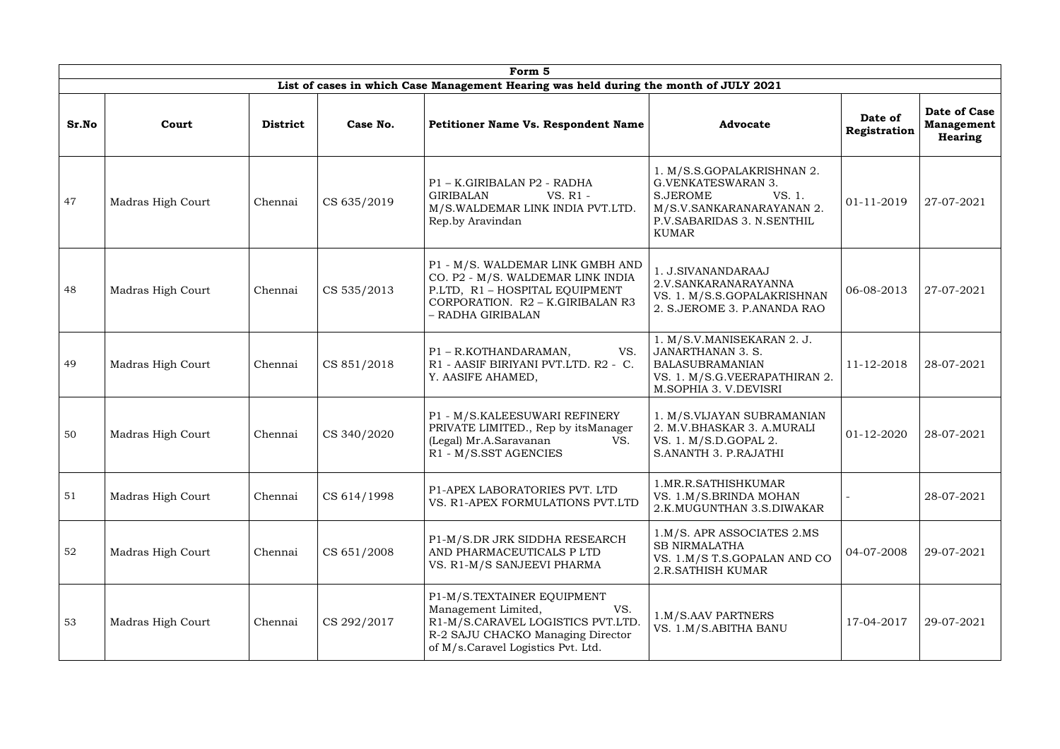|       |                   |                 |             | Form 5                                                                                                                                                                   |                                                                                                                                                          |                         |                                                     |
|-------|-------------------|-----------------|-------------|--------------------------------------------------------------------------------------------------------------------------------------------------------------------------|----------------------------------------------------------------------------------------------------------------------------------------------------------|-------------------------|-----------------------------------------------------|
|       |                   |                 |             | List of cases in which Case Management Hearing was held during the month of JULY 2021                                                                                    |                                                                                                                                                          |                         |                                                     |
| Sr.No | Court             | <b>District</b> | Case No.    | <b>Petitioner Name Vs. Respondent Name</b>                                                                                                                               | <b>Advocate</b>                                                                                                                                          | Date of<br>Registration | Date of Case<br><b>Management</b><br><b>Hearing</b> |
| 47    | Madras High Court | Chennai         | CS 635/2019 | P1 - K.GIRIBALAN P2 - RADHA<br><b>GIRIBALAN</b><br>VS. R1 -<br>M/S.WALDEMAR LINK INDIA PVT.LTD.<br>Rep.by Aravindan                                                      | 1. M/S.S.GOPALAKRISHNAN 2.<br>G.VENKATESWARAN 3.<br><b>S.JEROME</b><br>VS. 1.<br>M/S.V.SANKARANARAYANAN 2.<br>P.V.SABARIDAS 3. N.SENTHIL<br><b>KUMAR</b> | 01-11-2019              | 27-07-2021                                          |
| 48    | Madras High Court | Chennai         | CS 535/2013 | P1 - M/S. WALDEMAR LINK GMBH AND<br>CO. P2 - M/S. WALDEMAR LINK INDIA<br>P.LTD, R1 - HOSPITAL EQUIPMENT<br>CORPORATION. R2 - K.GIRIBALAN R3<br>- RADHA GIRIBALAN         | 1. J.SIVANANDARAAJ<br>2.V.SANKARANARAYANNA<br>VS. 1. M/S.S.GOPALAKRISHNAN<br>2. S. JEROME 3. P. ANANDA RAO                                               | 06-08-2013              | 27-07-2021                                          |
| 49    | Madras High Court | Chennai         | CS 851/2018 | P1 - R.KOTHANDARAMAN,<br>VS.<br>R1 - AASIF BIRIYANI PVT.LTD. R2 - C.<br>Y. AASIFE AHAMED,                                                                                | 1. M/S.V.MANISEKARAN 2. J.<br><b>JANARTHANAN 3. S.</b><br><b>BALASUBRAMANIAN</b><br>VS. 1. M/S.G.VEERAPATHIRAN 2.<br>M.SOPHIA 3. V.DEVISRI               | 11-12-2018              | 28-07-2021                                          |
| 50    | Madras High Court | Chennai         | CS 340/2020 | P1 - M/S.KALEESUWARI REFINERY<br>PRIVATE LIMITED., Rep by its Manager<br>(Legal) Mr.A.Saravanan<br>VS.<br>R1 - M/S.SST AGENCIES                                          | 1. M/S.VIJAYAN SUBRAMANIAN<br>2. M.V.BHASKAR 3. A.MURALI<br>VS. 1. M/S.D.GOPAL 2.<br>S.ANANTH 3. P.RAJATHI                                               | 01-12-2020              | 28-07-2021                                          |
| 51    | Madras High Court | Chennai         | CS 614/1998 | P1-APEX LABORATORIES PVT. LTD<br>VS. R1-APEX FORMULATIONS PVT.LTD                                                                                                        | 1.MR.R.SATHISHKUMAR<br>VS. 1.M/S.BRINDA MOHAN<br>2.K.MUGUNTHAN 3.S.DIWAKAR                                                                               |                         | 28-07-2021                                          |
| 52    | Madras High Court | Chennai         | CS 651/2008 | P1-M/S.DR JRK SIDDHA RESEARCH<br>AND PHARMACEUTICALS P LTD<br>VS. R1-M/S SANJEEVI PHARMA                                                                                 | 1.M/S. APR ASSOCIATES 2.MS<br><b>SB NIRMALATHA</b><br>VS. 1.M/S T.S.GOPALAN AND CO<br>2.R.SATHISH KUMAR                                                  | 04-07-2008              | 29-07-2021                                          |
| 53    | Madras High Court | Chennai         | CS 292/2017 | P1-M/S.TEXTAINER EQUIPMENT<br>Management Limited,<br>VS.<br>R1-M/S.CARAVEL LOGISTICS PVT.LTD.<br>R-2 SAJU CHACKO Managing Director<br>of M/s.Caravel Logistics Pvt. Ltd. | 1.M/S.AAV PARTNERS<br>VS. 1.M/S.ABITHA BANU                                                                                                              | 17-04-2017              | 29-07-2021                                          |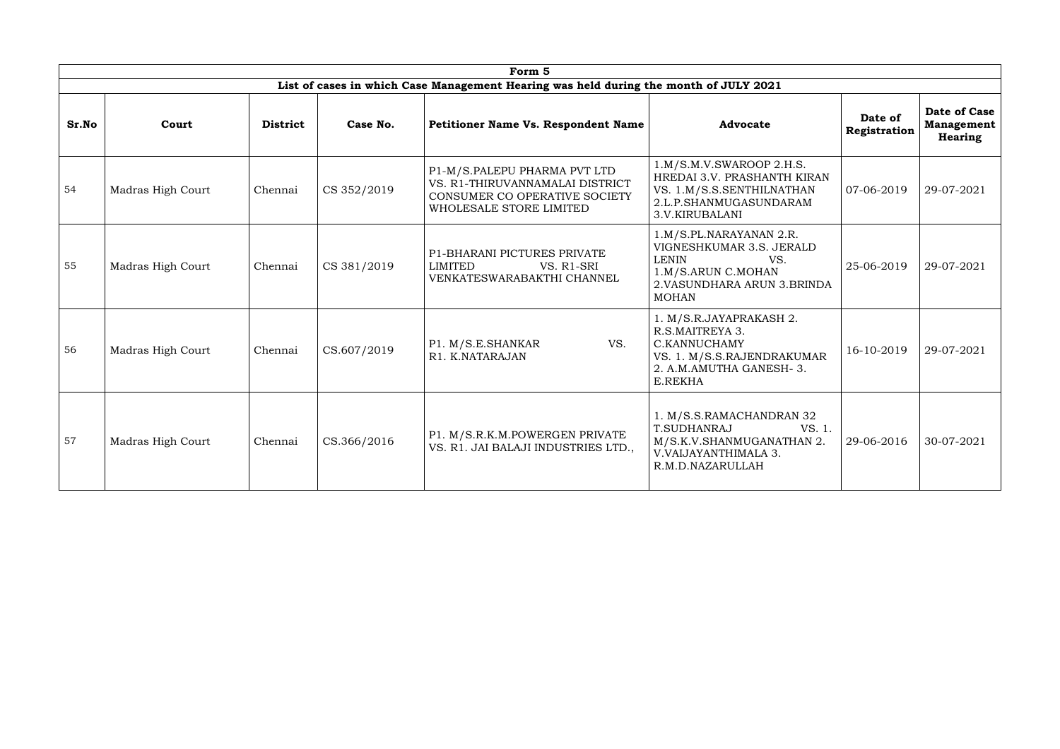|       |                   |                 |             | Form 5                                                                                                                      |                                                                                                                                                  |                         |                                                     |
|-------|-------------------|-----------------|-------------|-----------------------------------------------------------------------------------------------------------------------------|--------------------------------------------------------------------------------------------------------------------------------------------------|-------------------------|-----------------------------------------------------|
|       |                   |                 |             | List of cases in which Case Management Hearing was held during the month of JULY 2021                                       |                                                                                                                                                  |                         |                                                     |
| Sr.No | Court             | <b>District</b> | Case No.    | <b>Petitioner Name Vs. Respondent Name</b>                                                                                  | <b>Advocate</b>                                                                                                                                  | Date of<br>Registration | <b>Date of Case</b><br><b>Management</b><br>Hearing |
| 54    | Madras High Court | Chennai         | CS 352/2019 | P1-M/S.PALEPU PHARMA PVT LTD<br>VS. R1-THIRUVANNAMALAI DISTRICT<br>CONSUMER CO OPERATIVE SOCIETY<br>WHOLESALE STORE LIMITED | 1.M/S.M.V.SWAROOP 2.H.S.<br>HREDAI 3.V. PRASHANTH KIRAN<br>VS. 1.M/S.S.SENTHILNATHAN<br>2.L.P.SHANMUGASUNDARAM<br>3.V.KIRUBALANI                 | 07-06-2019              | 29-07-2021                                          |
| 55    | Madras High Court | Chennai         | CS 381/2019 | P1-BHARANI PICTURES PRIVATE<br>LIMITED<br>VS. R1-SRI<br>VENKATESWARABAKTHI CHANNEL                                          | 1.M/S.PL.NARAYANAN 2.R.<br>VIGNESHKUMAR 3.S. JERALD<br><b>LENIN</b><br>VS.<br>1.M/S.ARUN C.MOHAN<br>2. VASUNDHARA ARUN 3. BRINDA<br><b>MOHAN</b> | 25-06-2019              | 29-07-2021                                          |
| 56    | Madras High Court | Chennai         | CS.607/2019 | VS.<br>P1. M/S.E.SHANKAR<br>R1. K.NATARAJAN                                                                                 | 1. M/S.R.JAYAPRAKASH 2.<br>R.S.MAITREYA 3.<br>C.KANNUCHAMY<br>VS. 1. M/S.S.RAJENDRAKUMAR<br>2. A.M.AMUTHA GANESH-3.<br>E.REKHA                   | 16-10-2019              | 29-07-2021                                          |
| 57    | Madras High Court | Chennai         | CS.366/2016 | P1. M/S.R.K.M.POWERGEN PRIVATE<br>VS. R1. JAI BALAJI INDUSTRIES LTD.,                                                       | 1. M/S.S.RAMACHANDRAN 32<br><b>T.SUDHANRAJ</b><br>VS. 1.<br>M/S.K.V.SHANMUGANATHAN 2.<br>V.VAIJAYANTHIMALA 3.<br>R.M.D.NAZARULLAH                | 29-06-2016              | 30-07-2021                                          |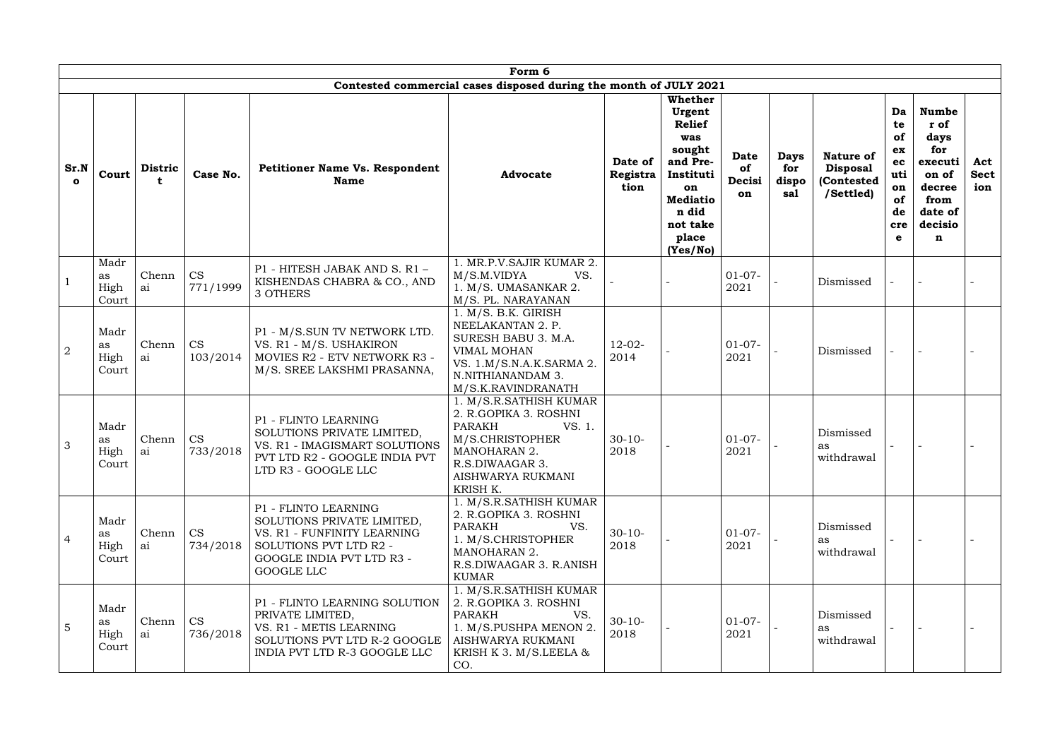|                      |                             |                |                       |                                                                                                                                                        | Form 6                                                                                                                                                                   |                             |                                                                                                                                                        |                                   |                                    |                                                                |                                                                 |                                                                                                      |                           |
|----------------------|-----------------------------|----------------|-----------------------|--------------------------------------------------------------------------------------------------------------------------------------------------------|--------------------------------------------------------------------------------------------------------------------------------------------------------------------------|-----------------------------|--------------------------------------------------------------------------------------------------------------------------------------------------------|-----------------------------------|------------------------------------|----------------------------------------------------------------|-----------------------------------------------------------------|------------------------------------------------------------------------------------------------------|---------------------------|
|                      |                             |                |                       |                                                                                                                                                        | Contested commercial cases disposed during the month of JULY 2021                                                                                                        |                             |                                                                                                                                                        |                                   |                                    |                                                                |                                                                 |                                                                                                      |                           |
| Sr.N<br>$\mathbf{o}$ | Court                       | <b>Distric</b> | Case No.              | <b>Petitioner Name Vs. Respondent</b><br><b>Name</b>                                                                                                   | <b>Advocate</b>                                                                                                                                                          | Date of<br>Registra<br>tion | <b>Whether</b><br>Urgent<br><b>Relief</b><br>was<br>sought<br>and Pre-<br>Instituti<br>on<br><b>Mediatio</b><br>n did<br>not take<br>place<br>(Yes/No) | <b>Date</b><br>of<br>Decisi<br>on | <b>Days</b><br>for<br>dispo<br>sal | <b>Nature of</b><br><b>Disposal</b><br>(Contested<br>/Settled) | Da<br>te<br>of<br>ex<br>ec<br>uti<br>on<br>of<br>de<br>cre<br>e | <b>Numbe</b><br>r of<br>days<br>for<br>executi<br>on of<br>decree<br>from<br>date of<br>decisio<br>n | Act<br><b>Sect</b><br>ion |
|                      | Madr<br>as<br>High<br>Court | Chenn<br>ai    | <b>CS</b><br>771/1999 | P1 - HITESH JABAK AND S. R1 -<br>KISHENDAS CHABRA & CO., AND<br>3 OTHERS                                                                               | 1. MR.P.V.SAJIR KUMAR 2.<br>M/S.M.VIDYA<br>VS.<br>1. M/S. UMASANKAR 2.<br>M/S. PL. NARAYANAN                                                                             |                             |                                                                                                                                                        | $01-07-$<br>2021                  |                                    | Dismissed                                                      |                                                                 |                                                                                                      |                           |
| $\overline{2}$       | Madr<br>as<br>High<br>Court | Chenn<br>ai    | <b>CS</b><br>103/2014 | P1 - M/S.SUN TV NETWORK LTD.<br>VS. R1 - M/S. USHAKIRON<br>MOVIES R2 - ETV NETWORK R3 -<br>M/S. SREE LAKSHMI PRASANNA,                                 | 1. M/S. B.K. GIRISH<br>NEELAKANTAN 2. P.<br>SURESH BABU 3. M.A.<br>VIMAL MOHAN<br>VS. 1.M/S.N.A.K.SARMA 2.<br>N.NITHIANANDAM 3.<br>M/S.K.RAVINDRANATH                    | $12 - 02 -$<br>2014         |                                                                                                                                                        | $01-07-$<br>2021                  |                                    | Dismissed                                                      |                                                                 |                                                                                                      |                           |
| 3                    | Madr<br>as<br>High<br>Court | Chenn<br>ai    | <b>CS</b><br>733/2018 | P1 - FLINTO LEARNING<br>SOLUTIONS PRIVATE LIMITED,<br>VS. R1 - IMAGISMART SOLUTIONS<br>PVT LTD R2 - GOOGLE INDIA PVT<br>LTD R3 - GOOGLE LLC            | 1. M/S.R.SATHISH KUMAR<br>2. R.GOPIKA 3. ROSHNI<br><b>PARAKH</b><br>VS. 1.<br>M/S.CHRISTOPHER<br><b>MANOHARAN 2.</b><br>R.S.DIWAAGAR 3.<br>AISHWARYA RUKMANI<br>KRISH K. | $30-10-$<br>2018            |                                                                                                                                                        | $01-07-$<br>2021                  |                                    | Dismissed<br>as<br>withdrawal                                  |                                                                 |                                                                                                      |                           |
| $\overline{4}$       | Madr<br>as<br>High<br>Court | Chenn<br>ai    | <b>CS</b><br>734/2018 | P1 - FLINTO LEARNING<br>SOLUTIONS PRIVATE LIMITED,<br>VS. R1 - FUNFINITY LEARNING<br>SOLUTIONS PVT LTD R2 -<br>GOOGLE INDIA PVT LTD R3 -<br>GOOGLE LLC | 1. M/S.R.SATHISH KUMAR<br>2. R.GOPIKA 3. ROSHNI<br>VS.<br><b>PARAKH</b><br>1. M/S.CHRISTOPHER<br>MANOHARAN 2.<br>R.S.DIWAAGAR 3. R.ANISH<br><b>KUMAR</b>                 | $30-10-$<br>2018            |                                                                                                                                                        | $01-07-$<br>2021                  |                                    | Dismissed<br>as<br>withdrawal                                  |                                                                 |                                                                                                      |                           |
| 5                    | Madr<br>as<br>High<br>Court | Chenn<br>ai    | <b>CS</b><br>736/2018 | P1 - FLINTO LEARNING SOLUTION<br>PRIVATE LIMITED,<br>VS. R1 - METIS LEARNING<br>SOLUTIONS PVT LTD R-2 GOOGLE<br>INDIA PVT LTD R-3 GOOGLE LLC           | 1. M/S.R.SATHISH KUMAR<br>2. R.GOPIKA 3. ROSHNI<br>PARAKH<br>VS.<br>1. M/S.PUSHPA MENON 2.<br>AISHWARYA RUKMANI<br>KRISH K 3. $M/S.LEELA &$<br>CO.                       | $30 - 10 -$<br>2018         |                                                                                                                                                        | $01-07-$<br>2021                  |                                    | Dismissed<br>as<br>withdrawal                                  |                                                                 |                                                                                                      |                           |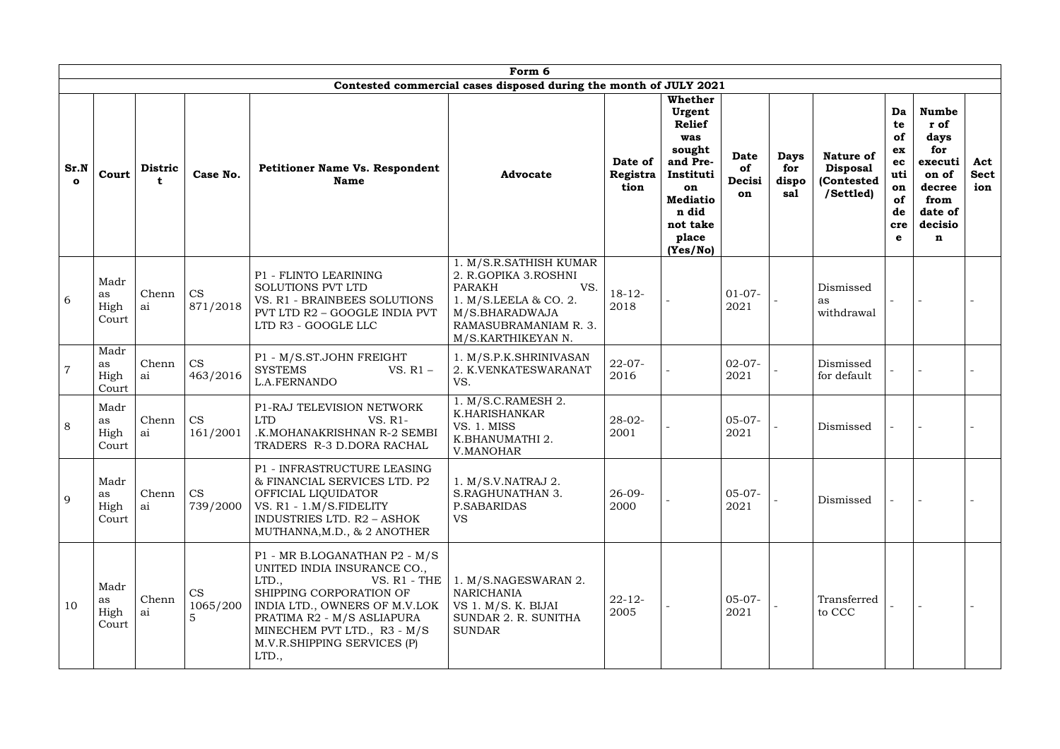|                      |                             |                |                       |                                                                                                                                                                                                                                                          | Form 6                                                                                                                                                           |                             |                                                                                                                                                        |                                   |                                    |                                                                |                                                                           |                                                                                                                |                           |
|----------------------|-----------------------------|----------------|-----------------------|----------------------------------------------------------------------------------------------------------------------------------------------------------------------------------------------------------------------------------------------------------|------------------------------------------------------------------------------------------------------------------------------------------------------------------|-----------------------------|--------------------------------------------------------------------------------------------------------------------------------------------------------|-----------------------------------|------------------------------------|----------------------------------------------------------------|---------------------------------------------------------------------------|----------------------------------------------------------------------------------------------------------------|---------------------------|
|                      |                             |                |                       |                                                                                                                                                                                                                                                          | Contested commercial cases disposed during the month of JULY 2021                                                                                                |                             |                                                                                                                                                        |                                   |                                    |                                                                |                                                                           |                                                                                                                |                           |
| Sr.N<br>$\mathbf{o}$ | Court                       | <b>Distric</b> | Case No.              | <b>Petitioner Name Vs. Respondent</b><br><b>Name</b>                                                                                                                                                                                                     | <b>Advocate</b>                                                                                                                                                  | Date of<br>Registra<br>tion | <b>Whether</b><br>Urgent<br><b>Relief</b><br>was<br>sought<br>and Pre-<br>Instituti<br>on<br><b>Mediatio</b><br>n did<br>not take<br>place<br>(Yes/No) | <b>Date</b><br>of<br>Decisi<br>on | <b>Days</b><br>for<br>dispo<br>sal | <b>Nature of</b><br><b>Disposal</b><br>(Contested<br>/Settled) | Da<br>te<br>of<br>ex<br>ec<br>uti<br>on<br>of<br>de<br>cre<br>$\mathbf e$ | <b>Numbe</b><br>r of<br>days<br>for<br>executi<br>on of<br>decree<br>from<br>date of<br>decisio<br>$\mathbf n$ | Act<br><b>Sect</b><br>ion |
| 6                    | Madr<br>as<br>High<br>Court | Chenn<br>ai    | <b>CS</b><br>871/2018 | P1 - FLINTO LEARINING<br><b>SOLUTIONS PVT LTD</b><br>VS. R1 - BRAINBEES SOLUTIONS<br><b>PVT LTD R2 - GOOGLE INDIA PVT</b><br>LTD R3 - GOOGLE LLC                                                                                                         | 1. M/S.R.SATHISH KUMAR<br>2. R.GOPIKA 3.ROSHNI<br><b>PARAKH</b><br>VS.<br>1. M/S.LEELA & CO. 2.<br>M/S.BHARADWAJA<br>RAMASUBRAMANIAM R. 3.<br>M/S.KARTHIKEYAN N. | $18 - 12$<br>2018           |                                                                                                                                                        | $01-07-$<br>2021                  |                                    | Dismissed<br>as<br>withdrawal                                  |                                                                           |                                                                                                                |                           |
| $\overline{7}$       | Madr<br>as<br>High<br>Court | Chenn<br>ai    | <b>CS</b><br>463/2016 | P1 - M/S.ST.JOHN FREIGHT<br><b>SYSTEMS</b><br>VS. $R1 -$<br>L.A.FERNANDO                                                                                                                                                                                 | 1. M/S.P.K.SHRINIVASAN<br>2. K.VENKATESWARANAT<br>VS.                                                                                                            | $22 - 07 -$<br>2016         |                                                                                                                                                        | $02-07-$<br>2021                  |                                    | Dismissed<br>for default                                       |                                                                           |                                                                                                                |                           |
| 8                    | Madr<br>as<br>High<br>Court | Chenn<br>ai    | <b>CS</b><br>161/2001 | P1-RAJ TELEVISION NETWORK<br><b>LTD</b><br>VS. R1-<br>.K.MOHANAKRISHNAN R-2 SEMBI<br>TRADERS R-3 D.DORA RACHAL                                                                                                                                           | 1. M/S.C.RAMESH 2.<br>K.HARISHANKAR<br>VS. 1. MISS<br>K.BHANUMATHI 2.<br>V.MANOHAR                                                                               | $28 - 02 -$<br>2001         |                                                                                                                                                        | $05-07-$<br>2021                  |                                    | Dismissed                                                      |                                                                           |                                                                                                                |                           |
| 9                    | Madr<br>as<br>High<br>Court | Chenn<br>ai    | <b>CS</b><br>739/2000 | P1 - INFRASTRUCTURE LEASING<br>& FINANCIAL SERVICES LTD. P2<br>OFFICIAL LIQUIDATOR<br>VS. R1 - 1.M/S.FIDELITY<br>INDUSTRIES LTD. R2 - ASHOK<br>MUTHANNA, M.D., & 2 ANOTHER                                                                               | 1. M/S.V.NATRAJ 2.<br>S.RAGHUNATHAN 3.<br>P.SABARIDAS<br><b>VS</b>                                                                                               | $26 - 09 -$<br>2000         |                                                                                                                                                        | $05-07-$<br>2021                  |                                    | Dismissed                                                      |                                                                           |                                                                                                                |                           |
| 10                   | Madr<br>as<br>High<br>Court | Chenn<br>ai    | <b>CS</b><br>1065/200 | P1 - MR B.LOGANATHAN P2 - M/S<br>UNITED INDIA INSURANCE CO.,<br>LTD.,<br>VS. $R1$ - THE<br>SHIPPING CORPORATION OF<br>INDIA LTD., OWNERS OF M.V.LOK<br>PRATIMA R2 - M/S ASLIAPURA<br>MINECHEM PVT LTD., R3 - M/S<br>M.V.R.SHIPPING SERVICES (P)<br>LTD., | 1. M/S.NAGESWARAN 2.<br><b>NARICHANIA</b><br>VS 1. M/S. K. BIJAI<br>SUNDAR 2. R. SUNITHA<br><b>SUNDAR</b>                                                        | $22 - 12$<br>2005           |                                                                                                                                                        | $05-07-$<br>2021                  |                                    | Transferred<br>to CCC                                          |                                                                           |                                                                                                                |                           |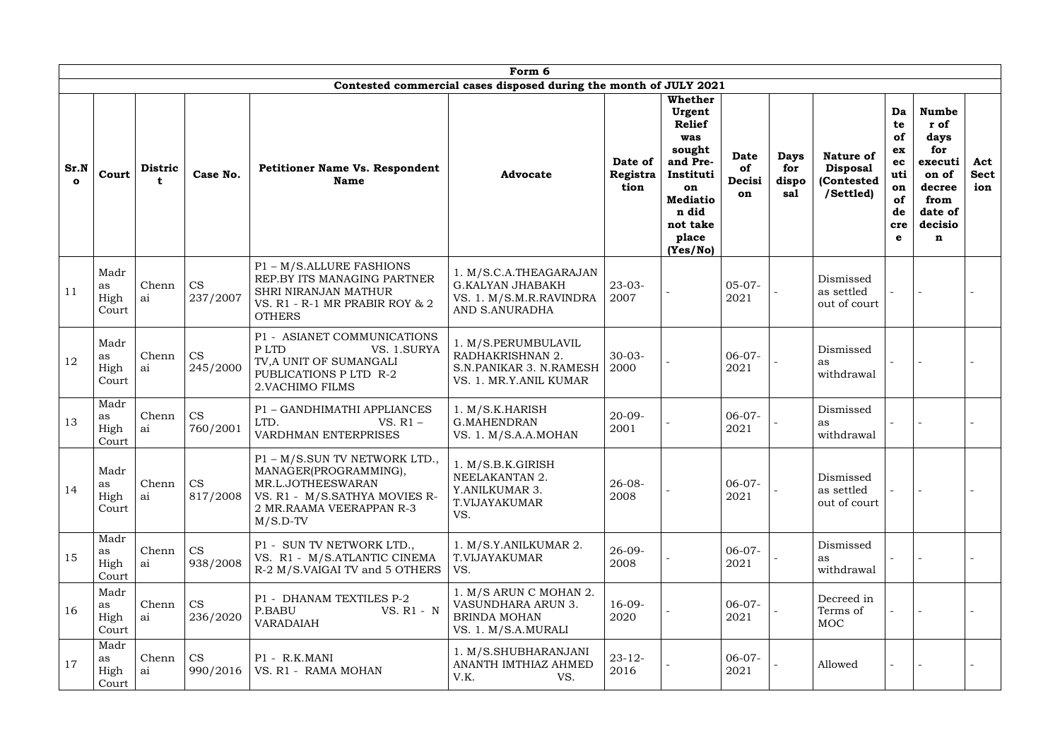|                      |                             |                |                       |                                                                                                                                                       | Form 6                                                                                         |                             |                                                                                                                                                        |                                   |                                    |                                                                |                                                                           |                                                                                                      |                           |
|----------------------|-----------------------------|----------------|-----------------------|-------------------------------------------------------------------------------------------------------------------------------------------------------|------------------------------------------------------------------------------------------------|-----------------------------|--------------------------------------------------------------------------------------------------------------------------------------------------------|-----------------------------------|------------------------------------|----------------------------------------------------------------|---------------------------------------------------------------------------|------------------------------------------------------------------------------------------------------|---------------------------|
|                      |                             |                |                       |                                                                                                                                                       | Contested commercial cases disposed during the month of JULY 2021                              |                             |                                                                                                                                                        |                                   |                                    |                                                                |                                                                           |                                                                                                      |                           |
| Sr.N<br>$\mathbf{o}$ | Court                       | <b>Distric</b> | Case No.              | <b>Petitioner Name Vs. Respondent</b><br><b>Name</b>                                                                                                  | <b>Advocate</b>                                                                                | Date of<br>Registra<br>tion | <b>Whether</b><br>Urgent<br><b>Relief</b><br>was<br>sought<br>and Pre-<br>Instituti<br>on<br><b>Mediatio</b><br>n did<br>not take<br>place<br>(Yes/No) | <b>Date</b><br>of<br>Decisi<br>on | <b>Days</b><br>for<br>dispo<br>sal | <b>Nature of</b><br><b>Disposal</b><br>(Contested<br>/Settled) | Da<br>te<br>of<br>ex<br>ec<br>uti<br>on<br>of<br>de<br>cre<br>$\mathbf e$ | <b>Numbe</b><br>r of<br>days<br>for<br>executi<br>on of<br>decree<br>from<br>date of<br>decisio<br>n | Act<br><b>Sect</b><br>ion |
| 11                   | Madr<br>as<br>High<br>Court | Chenn<br>ai    | <b>CS</b><br>237/2007 | P1 - M/S.ALLURE FASHIONS<br>REP.BY ITS MANAGING PARTNER<br>SHRI NIRANJAN MATHUR<br>VS. R1 - R-1 MR PRABIR ROY & 2<br><b>OTHERS</b>                    | 1. M/S.C.A.THEAGARAJAN<br><b>G.KALYAN JHABAKH</b><br>VS. 1. M/S.M.R.RAVINDRA<br>AND S.ANURADHA | $23 - 03 -$<br>2007         |                                                                                                                                                        | $05-07-$<br>2021                  |                                    | Dismissed<br>as settled<br>out of court                        |                                                                           |                                                                                                      |                           |
| 12                   | Madr<br>as<br>High<br>Court | Chenn<br>ai    | <b>CS</b><br>245/2000 | P1 - ASIANET COMMUNICATIONS<br>P LTD<br>VS. 1.SURYA<br>TV, A UNIT OF SUMANGALI<br>PUBLICATIONS P LTD R-2<br>2. VACHIMO FILMS                          | 1. M/S.PERUMBULAVIL<br>RADHAKRISHNAN 2.<br>S.N.PANIKAR 3. N.RAMESH<br>VS. 1. MR.Y.ANIL KUMAR   | $30 - 03 -$<br>2000         |                                                                                                                                                        | $06-07-$<br>2021                  |                                    | Dismissed<br>as<br>withdrawal                                  |                                                                           |                                                                                                      |                           |
| 13                   | Madr<br>as<br>High<br>Court | Chenn<br>ai    | <b>CS</b><br>760/2001 | P1 - GANDHIMATHI APPLIANCES<br>LTD.<br>VS. $R1 -$<br><b>VARDHMAN ENTERPRISES</b>                                                                      | 1. M/S.K.HARISH<br><b>G.MAHENDRAN</b><br>VS. 1. M/S.A.A.MOHAN                                  | $20 - 09 -$<br>2001         |                                                                                                                                                        | $06-07-$<br>2021                  |                                    | Dismissed<br>as<br>withdrawal                                  |                                                                           |                                                                                                      |                           |
| 14                   | Madr<br>as<br>High<br>Court | Chenn<br>ai    | <b>CS</b><br>817/2008 | P1 - M/S.SUN TV NETWORK LTD.<br>MANAGER(PROGRAMMING),<br>MR.L.JOTHEESWARAN<br>VS. R1 - M/S.SATHYA MOVIES R-<br>2 MR.RAAMA VEERAPPAN R-3<br>$M/S.D-TV$ | 1. M/S.B.K.GIRISH<br>NEELAKANTAN 2.<br>Y.ANILKUMAR 3.<br>T.VIJAYAKUMAR<br>VS.                  | $26 - 08 -$<br>2008         |                                                                                                                                                        | $06-07-$<br>2021                  |                                    | Dismissed<br>as settled<br>out of court                        |                                                                           |                                                                                                      |                           |
| 15                   | Madr<br>as<br>High<br>Court | Chenn<br>ai    | <b>CS</b><br>938/2008 | P1 - SUN TV NETWORK LTD.,<br>VS. R1 - M/S.ATLANTIC CINEMA<br>R-2 M/S.VAIGAI TV and 5 OTHERS                                                           | 1. M/S.Y.ANILKUMAR 2.<br>T.VIJAYAKUMAR<br>VS.                                                  | $26-09-$<br>2008            |                                                                                                                                                        | $06-07-$<br>2021                  |                                    | Dismissed<br>as<br>withdrawal                                  |                                                                           |                                                                                                      |                           |
| 16                   | Madr<br>as<br>High<br>Court | Chenn<br>ai    | <b>CS</b><br>236/2020 | P1 - DHANAM TEXTILES P-2<br>P.BABU<br>VS. R1 - N<br><b>VARADAIAH</b>                                                                                  | 1. M/S ARUN C MOHAN 2.<br>VASUNDHARA ARUN 3.<br><b>BRINDA MOHAN</b><br>VS. 1. M/S.A.MURALI     | $16-09-$<br>2020            |                                                                                                                                                        | $06-07-$<br>2021                  |                                    | Decreed in<br>Terms of<br><b>MOC</b>                           |                                                                           |                                                                                                      |                           |
| 17                   | Madr<br>as<br>High<br>Court | Chenn<br>ai    | <b>CS</b><br>990/2016 | P1 - R.K.MANI<br>VS. R1 - RAMA MOHAN                                                                                                                  | 1. M/S.SHUBHARANJANI<br>ANANTH IMTHIAZ AHMED<br>V.K.<br>VS.                                    | $23 - 12$<br>2016           |                                                                                                                                                        | $06-07-$<br>2021                  |                                    | Allowed                                                        |                                                                           |                                                                                                      |                           |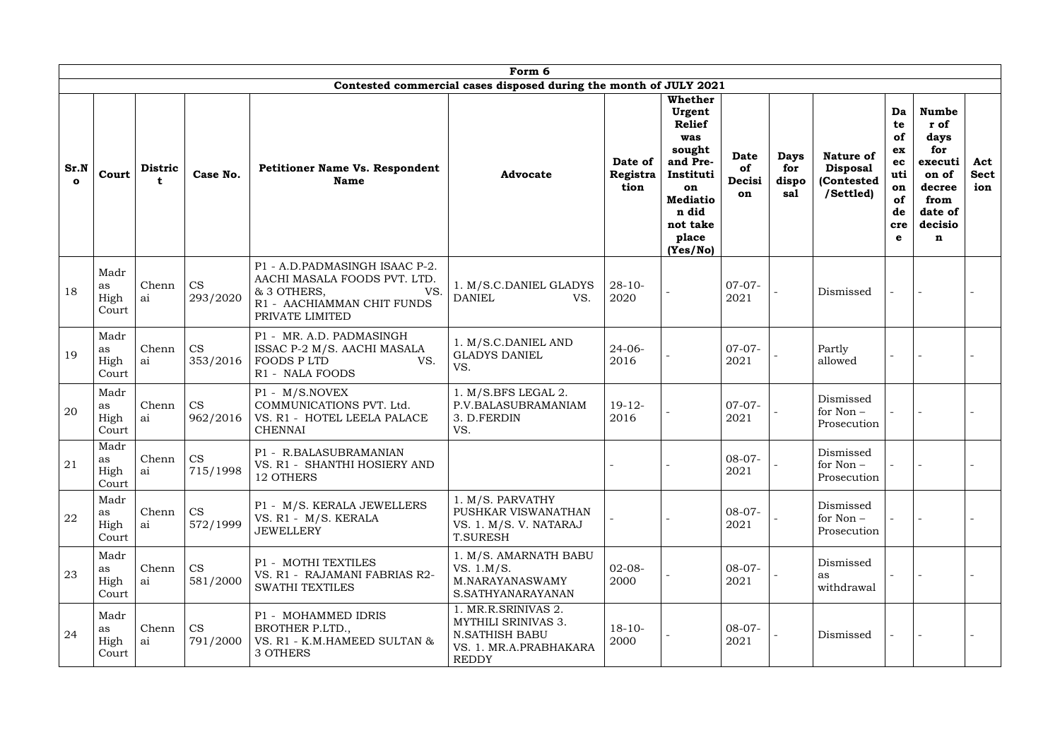|                      |                             |                               |                       |                                                                                                                                       | Form 6                                                                                                        |                             |                                                                                                                                                        |                                   |                                    |                                                                |                                                                 |                                                                                                      |                           |
|----------------------|-----------------------------|-------------------------------|-----------------------|---------------------------------------------------------------------------------------------------------------------------------------|---------------------------------------------------------------------------------------------------------------|-----------------------------|--------------------------------------------------------------------------------------------------------------------------------------------------------|-----------------------------------|------------------------------------|----------------------------------------------------------------|-----------------------------------------------------------------|------------------------------------------------------------------------------------------------------|---------------------------|
|                      |                             |                               |                       |                                                                                                                                       | Contested commercial cases disposed during the month of JULY 2021                                             |                             |                                                                                                                                                        |                                   |                                    |                                                                |                                                                 |                                                                                                      |                           |
| Sr.N<br>$\mathbf{o}$ | Court                       | <b>Distric</b><br>$\mathbf t$ | Case No.              | <b>Petitioner Name Vs. Respondent</b><br><b>Name</b>                                                                                  | <b>Advocate</b>                                                                                               | Date of<br>Registra<br>tion | <b>Whether</b><br>Urgent<br><b>Relief</b><br>was<br>sought<br>and Pre-<br>Instituti<br>on<br><b>Mediatio</b><br>n did<br>not take<br>place<br>(Yes/No) | <b>Date</b><br>of<br>Decisi<br>on | <b>Days</b><br>for<br>dispo<br>sal | <b>Nature of</b><br><b>Disposal</b><br>(Contested<br>/Settled) | Da<br>te<br>of<br>ex<br>ec<br>uti<br>on<br>of<br>de<br>cre<br>e | <b>Numbe</b><br>r of<br>days<br>for<br>executi<br>on of<br>decree<br>from<br>date of<br>decisio<br>n | Act<br><b>Sect</b><br>ion |
| 18                   | Madr<br>as<br>High<br>Court | Chenn<br>ai                   | <b>CS</b><br>293/2020 | P1 - A.D.PADMASINGH ISAAC P-2.<br>AACHI MASALA FOODS PVT. LTD.<br>& 3 OTHERS,<br>VS.<br>R1 - AACHIAMMAN CHIT FUNDS<br>PRIVATE LIMITED | 1. M/S.C.DANIEL GLADYS<br><b>DANIEL</b><br>VS.                                                                | $28-10-$<br>2020            |                                                                                                                                                        | $07-07-$<br>2021                  |                                    | Dismissed                                                      |                                                                 |                                                                                                      |                           |
| 19                   | Madr<br>as<br>High<br>Court | Chenn<br>ai                   | <b>CS</b><br>353/2016 | P1 - MR. A.D. PADMASINGH<br>ISSAC P-2 M/S. AACHI MASALA<br><b>FOODS PLTD</b><br>VS.<br>R1 - NALA FOODS                                | 1. M/S.C.DANIEL AND<br><b>GLADYS DANIEL</b><br>VS.                                                            | $24 - 06 -$<br>2016         |                                                                                                                                                        | $07-07-$<br>2021                  |                                    | Partly<br>allowed                                              |                                                                 |                                                                                                      |                           |
| 20                   | Madr<br>as<br>High<br>Court | Chenn<br>ai                   | <b>CS</b><br>962/2016 | P1 - M/S.NOVEX<br>COMMUNICATIONS PVT. Ltd.<br>VS. R1 - HOTEL LEELA PALACE<br><b>CHENNAI</b>                                           | 1. M/S.BFS LEGAL 2.<br>P.V.BALASUBRAMANIAM<br>3. D.FERDIN<br>VS.                                              | $19-12-$<br>2016            |                                                                                                                                                        | $07-07-$<br>2021                  |                                    | Dismissed<br>for Non-<br>Prosecution                           |                                                                 |                                                                                                      |                           |
| 21                   | Madr<br>as<br>High<br>Court | Chenn $\vert$ CS<br>ai        | 715/1998              | P1 - R.BALASUBRAMANIAN<br>VS. R1 - SHANTHI HOSIERY AND<br>12 OTHERS                                                                   |                                                                                                               |                             |                                                                                                                                                        | $08-07-$<br>2021                  |                                    | Dismissed<br>for Non –<br>Prosecution                          |                                                                 |                                                                                                      |                           |
| 22                   | Madr<br>as<br>High<br>Court | Chenn<br>ai                   | <b>CS</b><br>572/1999 | P1 - M/S. KERALA JEWELLERS<br>VS. R1 - M/S. KERALA<br><b>JEWELLERY</b>                                                                | 1. M/S. PARVATHY<br>PUSHKAR VISWANATHAN<br>VS. 1. M/S. V. NATARAJ<br><b>T.SURESH</b>                          |                             |                                                                                                                                                        | $08-07-$<br>2021                  |                                    | Dismissed<br>for Non-<br>Prosecution                           |                                                                 |                                                                                                      |                           |
| 23                   | Madr<br>as<br>High<br>Court | Chenn<br>ai                   | <b>CS</b><br>581/2000 | P1 - MOTHI TEXTILES<br>VS. R1 - RAJAMANI FABRIAS R2-<br><b>SWATHI TEXTILES</b>                                                        | 1. M/S. AMARNATH BABU<br>VS. 1.M/S.<br>M.NARAYANASWAMY<br>S.SATHYANARAYANAN                                   | $02-08-$<br>2000            |                                                                                                                                                        | $08-07-$<br>2021                  |                                    | Dismissed<br>as<br>withdrawal                                  |                                                                 |                                                                                                      |                           |
| 24                   | Madr<br>as<br>High<br>Court | Chenn<br>ai                   | <b>CS</b><br>791/2000 | P1 - MOHAMMED IDRIS<br>BROTHER P.LTD.,<br>VS. R1 - K.M.HAMEED SULTAN &<br>3 OTHERS                                                    | 1. MR.R.SRINIVAS 2.<br>MYTHILI SRINIVAS 3.<br><b>N.SATHISH BABU</b><br>VS. 1. MR.A.PRABHAKARA<br><b>REDDY</b> | $18-10-$<br>2000            |                                                                                                                                                        | $08-07-$<br>2021                  |                                    | Dismissed                                                      |                                                                 |                                                                                                      |                           |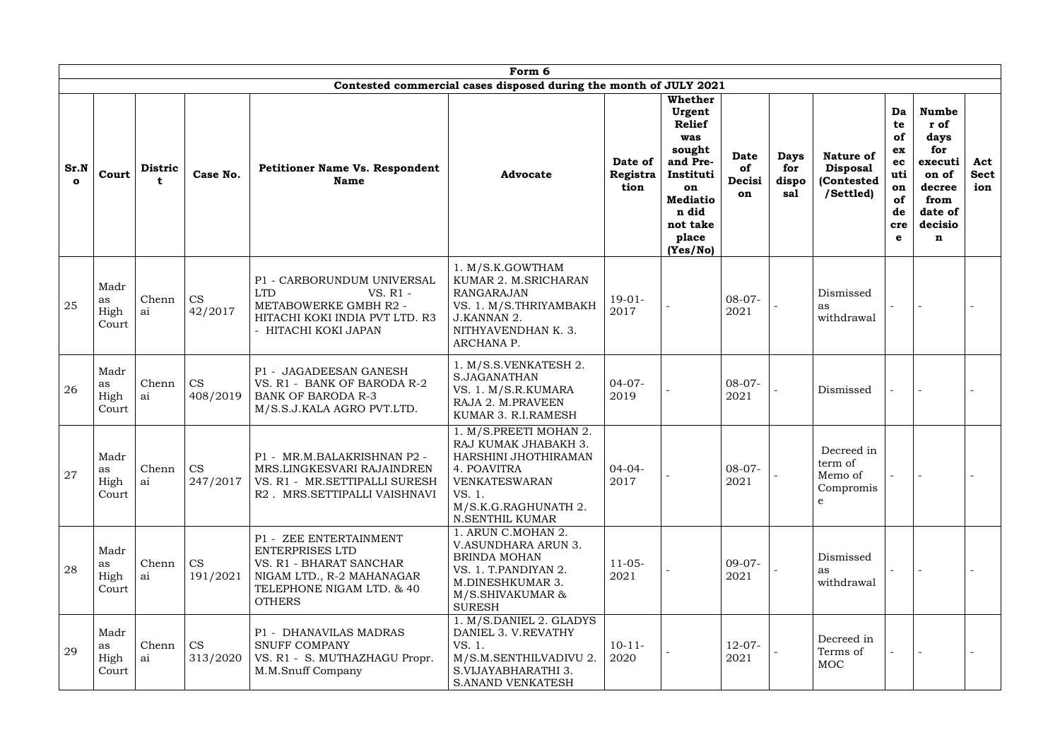|                      |                             |                |                       |                                                                                                                                                        | Form 6                                                                                                                                                      |                             |                                                                                                                                                        |                                   |                                    |                                                                |                                                                 |                                                                                                      |                           |
|----------------------|-----------------------------|----------------|-----------------------|--------------------------------------------------------------------------------------------------------------------------------------------------------|-------------------------------------------------------------------------------------------------------------------------------------------------------------|-----------------------------|--------------------------------------------------------------------------------------------------------------------------------------------------------|-----------------------------------|------------------------------------|----------------------------------------------------------------|-----------------------------------------------------------------|------------------------------------------------------------------------------------------------------|---------------------------|
|                      |                             |                |                       |                                                                                                                                                        | Contested commercial cases disposed during the month of JULY 2021                                                                                           |                             |                                                                                                                                                        |                                   |                                    |                                                                |                                                                 |                                                                                                      |                           |
| Sr.N<br>$\mathbf{o}$ | Court                       | <b>Distric</b> | Case No.              | <b>Petitioner Name Vs. Respondent</b><br><b>Name</b>                                                                                                   | <b>Advocate</b>                                                                                                                                             | Date of<br>Registra<br>tion | <b>Whether</b><br>Urgent<br><b>Relief</b><br>was<br>sought<br>and Pre-<br>Instituti<br>on<br><b>Mediatio</b><br>n did<br>not take<br>place<br>(Yes/No) | <b>Date</b><br>of<br>Decisi<br>on | <b>Days</b><br>for<br>dispo<br>sal | <b>Nature of</b><br><b>Disposal</b><br>(Contested<br>/Settled) | Da<br>te<br>of<br>ex<br>ec<br>uti<br>on<br>of<br>de<br>cre<br>e | <b>Numbe</b><br>r of<br>days<br>for<br>executi<br>on of<br>decree<br>from<br>date of<br>decisio<br>n | Act<br><b>Sect</b><br>ion |
| 25                   | Madr<br>as<br>High<br>Court | Chenn<br>ai    | <b>CS</b><br>42/2017  | P1 - CARBORUNDUM UNIVERSAL<br><b>LTD</b><br>VS. R1 -<br>METABOWERKE GMBH R2 -<br>HITACHI KOKI INDIA PVT LTD. R3<br>- HITACHI KOKI JAPAN                | 1. M/S.K.GOWTHAM<br>KUMAR 2. M.SRICHARAN<br><b>RANGARAJAN</b><br>VS. 1. M/S.THRIYAMBAKH<br>J.KANNAN 2.<br>NITHYAVENDHAN K. 3.<br>ARCHANA P.                 | $19-01-$<br>2017            |                                                                                                                                                        | $08-07-$<br>2021                  |                                    | Dismissed<br>as<br>withdrawal                                  |                                                                 |                                                                                                      |                           |
| 26                   | Madr<br>as<br>High<br>Court | Chenn<br>ai    | CS<br>408/2019        | <b>JAGADEESAN GANESH</b><br>$P1 -$<br>VS. R1 - BANK OF BARODA R-2<br><b>BANK OF BARODA R-3</b><br>M/S.S.J.KALA AGRO PVT.LTD.                           | 1. M/S.S.VENKATESH 2.<br><b>S.JAGANATHAN</b><br>VS. 1. M/S.R.KUMARA<br>RAJA 2. M.PRAVEEN<br>KUMAR 3. R.I.RAMESH                                             | $04 - 07 -$<br>2019         |                                                                                                                                                        | $08-07-$<br>2021                  |                                    | Dismissed                                                      |                                                                 |                                                                                                      |                           |
| 27                   | Madr<br>as<br>High<br>Court | Chenn<br>ai    | <b>CS</b><br>247/2017 | P1 - MR.M.BALAKRISHNAN P2 -<br>MRS.LINGKESVARI RAJAINDREN<br>VS. R1 - MR.SETTIPALLI SURESH<br>R2. MRS.SETTIPALLI VAISHNAVI                             | 1. M/S.PREETI MOHAN 2.<br>RAJ KUMAK JHABAKH 3.<br>HARSHINI JHOTHIRAMAN<br>4. POAVITRA<br>VENKATESWARAN<br>VS. 1.<br>M/S.K.G.RAGHUNATH 2.<br>N.SENTHIL KUMAR | $04 - 04 -$<br>2017         |                                                                                                                                                        | $08-07-$<br>2021                  |                                    | Decreed in<br>term of<br>Memo of<br>Compromis<br>e             |                                                                 |                                                                                                      |                           |
| 28                   | Madr<br>as<br>High<br>Court | Chenn<br>ai    | <b>CS</b><br>191/2021 | P1 - ZEE ENTERTAINMENT<br><b>ENTERPRISES LTD</b><br>VS. R1 - BHARAT SANCHAR<br>NIGAM LTD., R-2 MAHANAGAR<br>TELEPHONE NIGAM LTD. & 40<br><b>OTHERS</b> | 1. ARUN C.MOHAN 2.<br>V.ASUNDHARA ARUN 3.<br><b>BRINDA MOHAN</b><br>VS. 1. T.PANDIYAN 2.<br>M.DINESHKUMAR 3.<br>M/S.SHIVAKUMAR &<br><b>SURESH</b>           | $11-05-$<br>2021            |                                                                                                                                                        | $09-07-$<br>2021                  |                                    | Dismissed<br>as<br>withdrawal                                  |                                                                 |                                                                                                      |                           |
| 29                   | Madr<br>as<br>High<br>Court | Chenn<br>ai    | <b>CS</b><br>313/2020 | P1 - DHANAVILAS MADRAS<br><b>SNUFF COMPANY</b><br>VS. R1 - S. MUTHAZHAGU Propr.<br>M.M.Snuff Company                                                   | 1. M/S.DANIEL 2. GLADYS<br>DANIEL 3. V.REVATHY<br>VS. 1.<br>M/S.M.SENTHILVADIVU 2.<br>S.VIJAYABHARATHI 3.<br><b>S.ANAND VENKATESH</b>                       | $10-11-$<br>2020            |                                                                                                                                                        | $12-07-$<br>2021                  |                                    | Decreed in<br>Terms of<br><b>MOC</b>                           |                                                                 |                                                                                                      |                           |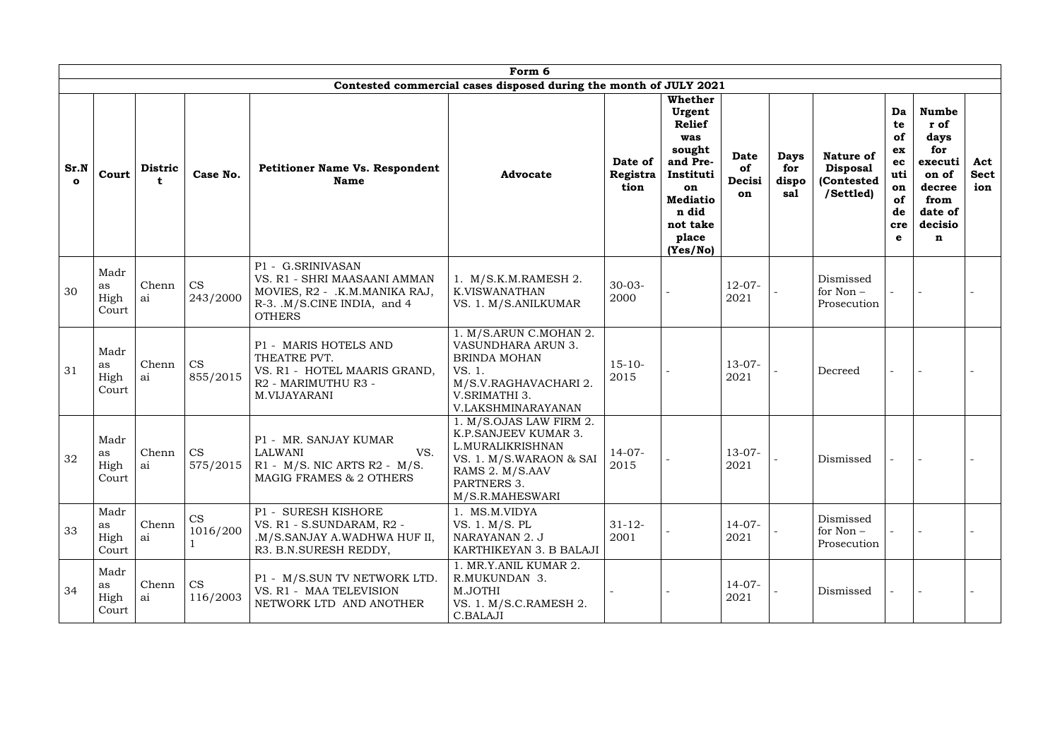|                      |                             |                     |                       |                                                                                                                                    | Form 6                                                                                                                                               |                             |                                                                                                                                                        |                                   |                                    |                                                                |                                                                 |                                                                                                      |                           |
|----------------------|-----------------------------|---------------------|-----------------------|------------------------------------------------------------------------------------------------------------------------------------|------------------------------------------------------------------------------------------------------------------------------------------------------|-----------------------------|--------------------------------------------------------------------------------------------------------------------------------------------------------|-----------------------------------|------------------------------------|----------------------------------------------------------------|-----------------------------------------------------------------|------------------------------------------------------------------------------------------------------|---------------------------|
|                      |                             |                     |                       |                                                                                                                                    | Contested commercial cases disposed during the month of JULY 2021                                                                                    |                             |                                                                                                                                                        |                                   |                                    |                                                                |                                                                 |                                                                                                      |                           |
| Sr.N<br>$\mathbf{o}$ | Court                       | <b>Distric</b><br>t | Case No.              | <b>Petitioner Name Vs. Respondent</b><br><b>Name</b>                                                                               | <b>Advocate</b>                                                                                                                                      | Date of<br>Registra<br>tion | <b>Whether</b><br>Urgent<br><b>Relief</b><br>was<br>sought<br>and Pre-<br>Instituti<br>on<br><b>Mediatio</b><br>n did<br>not take<br>place<br>(Yes/No) | <b>Date</b><br>of<br>Decisi<br>on | <b>Days</b><br>for<br>dispo<br>sal | <b>Nature of</b><br><b>Disposal</b><br>(Contested<br>/Settled) | Da<br>te<br>of<br>ex<br>ec<br>uti<br>on<br>of<br>de<br>cre<br>e | <b>Numbe</b><br>r of<br>days<br>for<br>executi<br>on of<br>decree<br>from<br>date of<br>decisio<br>n | Act<br><b>Sect</b><br>ion |
| 30                   | Madr<br>as<br>High<br>Court | Chenn<br>ai         | <b>CS</b><br>243/2000 | P1 - G.SRINIVASAN<br>VS. R1 - SHRI MAASAANI AMMAN<br>MOVIES, R2 - .K.M.MANIKA RAJ,<br>R-3. .M/S.CINE INDIA, and 4<br><b>OTHERS</b> | 1. M/S.K.M.RAMESH 2.<br><b>K.VISWANATHAN</b><br>VS. 1. M/S.ANILKUMAR                                                                                 | $30 - 03 -$<br>2000         |                                                                                                                                                        | $12-07-$<br>2021                  |                                    | Dismissed<br>for Non -<br>Prosecution                          |                                                                 |                                                                                                      |                           |
| 31                   | Madr<br>as<br>High<br>Court | Chenn<br>ai         | <b>CS</b><br>855/2015 | P1 - MARIS HOTELS AND<br>THEATRE PVT.<br>VS. R1 - HOTEL MAARIS GRAND,<br>R2 - MARIMUTHU R3 -<br>M.VIJAYARANI                       | 1. M/S.ARUN C.MOHAN 2.<br><b>VASUNDHARA ARUN 3.</b><br><b>BRINDA MOHAN</b><br>VS. 1.<br>M/S.V.RAGHAVACHARI 2.<br>V.SRIMATHI 3.<br>V.LAKSHMINARAYANAN | $15 - 10 -$<br>2015         |                                                                                                                                                        | $13-07-$<br>2021                  |                                    | Decreed                                                        |                                                                 |                                                                                                      |                           |
| 32                   | Madr<br>as<br>High<br>Court | Chenn<br>ai         | <b>CS</b><br>575/2015 | P1 - MR. SANJAY KUMAR<br>VS.<br><b>LALWANI</b><br>$R1 - M/S$ . NIC ARTS $R2 - M/S$ .<br>MAGIG FRAMES & 2 OTHERS                    | 1. M/S.OJAS LAW FIRM 2.<br>K.P.SANJEEV KUMAR 3.<br>L.MURALIKRISHNAN<br>VS. 1. M/S.WARAON & SAI<br>RAMS 2. M/S.AAV<br>PARTNERS 3.<br>M/S.R.MAHESWARI  | $14-07-$<br>2015            |                                                                                                                                                        | $13-07-$<br>2021                  |                                    | Dismissed                                                      |                                                                 |                                                                                                      |                           |
| 33                   | Madr<br>as<br>High<br>Court | Chenn<br>ai         | <b>CS</b><br>1016/200 | P1 - SURESH KISHORE<br>VS. R1 - S.SUNDARAM, R2 -<br>.M/S.SANJAY A.WADHWA HUF II,<br>R3. B.N.SURESH REDDY,                          | 1. MS.M.VIDYA<br>VS. 1. M/S. PL<br>NARAYANAN 2. J<br>KARTHIKEYAN 3. B BALAJI                                                                         | $31 - 12$<br>2001           |                                                                                                                                                        | $14-07-$<br>2021                  |                                    | Dismissed<br>for $Non-$<br>Prosecution                         |                                                                 |                                                                                                      |                           |
| 34                   | Madr<br>as<br>High<br>Court | Chenn<br>ai         | <b>CS</b><br>116/2003 | P1 - M/S.SUN TV NETWORK LTD.<br>VS. R1 - MAA TELEVISION<br>NETWORK LTD AND ANOTHER                                                 | 1. MR.Y.ANIL KUMAR 2.<br>R.MUKUNDAN 3.<br>M.JOTHI<br>VS. 1. M/S.C.RAMESH 2.<br><b>C.BALAJI</b>                                                       |                             |                                                                                                                                                        | $14-07-$<br>2021                  |                                    | Dismissed                                                      |                                                                 |                                                                                                      |                           |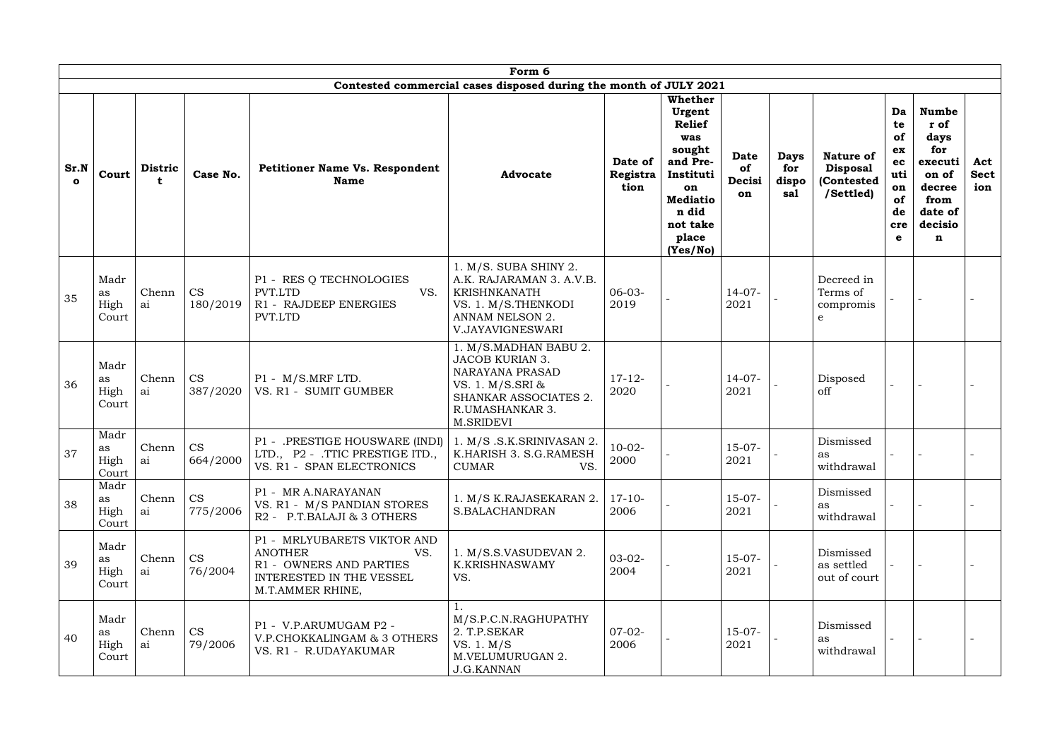|                      |                             |                |                       |                                                                                                                                 | Form 6                                                                                                                                                 |                             |                                                                                                                                                        |                                   |                                    |                                                                |                                                                        |                                                                                                      |                           |
|----------------------|-----------------------------|----------------|-----------------------|---------------------------------------------------------------------------------------------------------------------------------|--------------------------------------------------------------------------------------------------------------------------------------------------------|-----------------------------|--------------------------------------------------------------------------------------------------------------------------------------------------------|-----------------------------------|------------------------------------|----------------------------------------------------------------|------------------------------------------------------------------------|------------------------------------------------------------------------------------------------------|---------------------------|
|                      |                             |                |                       |                                                                                                                                 | Contested commercial cases disposed during the month of JULY 2021                                                                                      |                             |                                                                                                                                                        |                                   |                                    |                                                                |                                                                        |                                                                                                      |                           |
| Sr.N<br>$\mathbf{o}$ | Court                       | <b>Distric</b> | Case No.              | <b>Petitioner Name Vs. Respondent</b><br><b>Name</b>                                                                            | <b>Advocate</b>                                                                                                                                        | Date of<br>Registra<br>tion | <b>Whether</b><br>Urgent<br><b>Relief</b><br>was<br>sought<br>and Pre-<br>Instituti<br>on<br><b>Mediatio</b><br>n did<br>not take<br>place<br>(Yes/No) | <b>Date</b><br>of<br>Decisi<br>on | <b>Days</b><br>for<br>dispo<br>sal | <b>Nature of</b><br><b>Disposal</b><br>(Contested<br>/Settled) | Da<br>te<br><b>of</b><br>ex<br>ec<br>uti<br>on<br>of<br>de<br>cre<br>e | <b>Numbe</b><br>r of<br>days<br>for<br>executi<br>on of<br>decree<br>from<br>date of<br>decisio<br>n | Act<br><b>Sect</b><br>ion |
| 35                   | Madr<br>as<br>High<br>Court | Chenn<br>ai    | <b>CS</b><br>180/2019 | P1 - RES Q TECHNOLOGIES<br>PVT.LTD<br>VS.<br>R1 - RAJDEEP ENERGIES<br>PVT.LTD                                                   | 1. M/S. SUBA SHINY 2.<br>A.K. RAJARAMAN 3. A.V.B.<br><b>KRISHNKANATH</b><br>VS. 1. M/S. THENKODI<br>ANNAM NELSON 2.<br>V.JAYAVIGNESWARI                | $06-03-$<br>2019            |                                                                                                                                                        | $14-07-$<br>2021                  |                                    | Decreed in<br>Terms of<br>compromis<br>e                       |                                                                        |                                                                                                      |                           |
| 36                   | Madr<br>as<br>High<br>Court | Chenn<br>ai    | <b>CS</b><br>387/2020 | P1 - M/S.MRF LTD.<br>VS. R1 - SUMIT GUMBER                                                                                      | 1. M/S.MADHAN BABU 2.<br><b>JACOB KURIAN 3.</b><br><b>NARAYANA PRASAD</b><br>VS. 1. M/S.SRI &<br>SHANKAR ASSOCIATES 2.<br>R.UMASHANKAR 3.<br>M.SRIDEVI | $17 - 12$<br>2020           |                                                                                                                                                        | $14-07-$<br>2021                  |                                    | Disposed<br>off                                                |                                                                        |                                                                                                      |                           |
| 37                   | Madr<br>as<br>High<br>Court | Chenn<br>ai    | <b>CS</b><br>664/2000 | $P1 -$<br>.PRESTIGE HOUSWARE (INDI)<br>LTD., P2 - .TTIC PRESTIGE ITD.,<br>VS. R1 - SPAN ELECTRONICS                             | 1. M/S.S.K.SRINIVASAN 2.<br>K.HARISH 3. S.G.RAMESH<br><b>CUMAR</b><br>VS.                                                                              | $10-02-$<br>2000            |                                                                                                                                                        | $15-07-$<br>2021                  |                                    | Dismissed<br>as<br>withdrawal                                  |                                                                        |                                                                                                      |                           |
| 38                   | Madr<br>as<br>High<br>Court | Chenn<br>ai    | <b>CS</b><br>775/2006 | P1 - MR A.NARAYANAN<br>VS. R1 - M/S PANDIAN STORES<br>R2 - P.T.BALAJI & 3 OTHERS                                                | 1. M/S K.RAJASEKARAN 2.<br>S.BALACHANDRAN                                                                                                              | $17-10-$<br>2006            |                                                                                                                                                        | $15-07-$<br>2021                  |                                    | Dismissed<br>as<br>withdrawal                                  |                                                                        |                                                                                                      |                           |
| 39                   | Madr<br>as<br>High<br>Court | Chenn<br>ai    | <b>CS</b><br>76/2004  | P1 - MRLYUBARETS VIKTOR AND<br><b>ANOTHER</b><br>VS.<br>R1 - OWNERS AND PARTIES<br>INTERESTED IN THE VESSEL<br>M.T.AMMER RHINE, | 1. M/S.S.VASUDEVAN 2.<br><b>K.KRISHNASWAMY</b><br>VS.                                                                                                  | $03-02-$<br>2004            |                                                                                                                                                        | $15-07-$<br>2021                  |                                    | Dismissed<br>as settled<br>out of court                        |                                                                        |                                                                                                      |                           |
| 40                   | Madr<br>as<br>High<br>Court | Chenn<br>ai    | <b>CS</b><br>79/2006  | P1 - V.P.ARUMUGAM P2 -<br>V.P.CHOKKALINGAM & 3 OTHERS<br>VS. R1 - R.UDAYAKUMAR                                                  | M/S.P.C.N.RAGHUPATHY<br>2. T.P.SEKAR<br>VS. 1. M/S<br>M.VELUMURUGAN 2.<br><b>J.G.KANNAN</b>                                                            | $07-02-$<br>2006            |                                                                                                                                                        | $15-07-$<br>2021                  |                                    | Dismissed<br>as<br>withdrawal                                  |                                                                        |                                                                                                      |                           |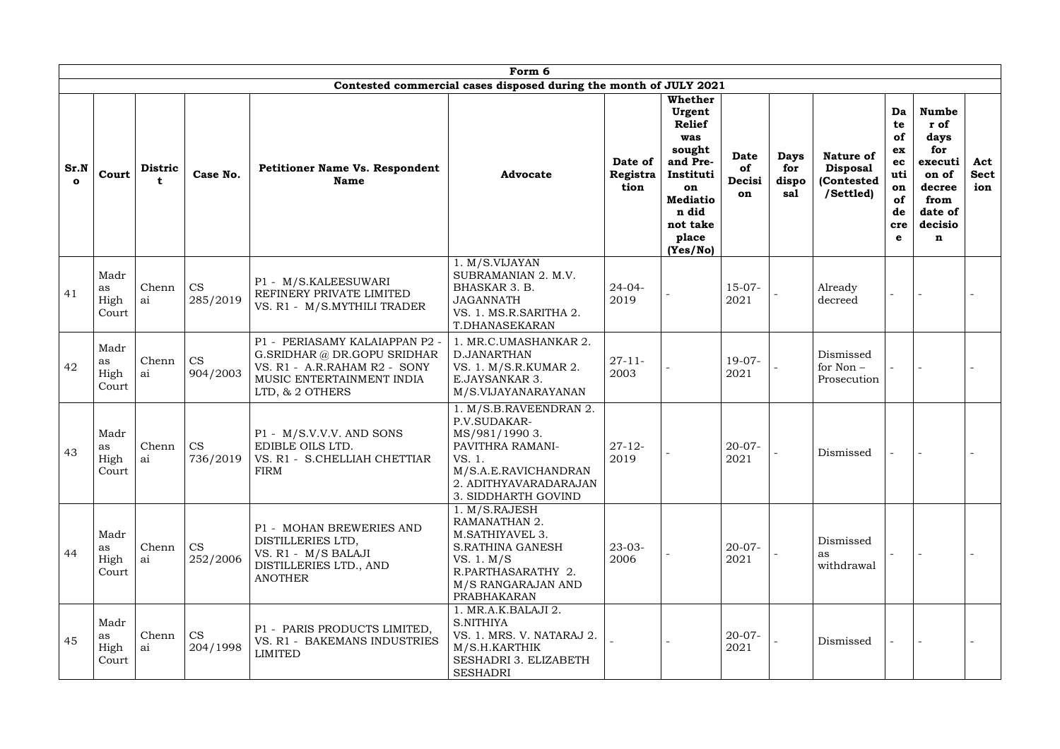|                      | Form 6<br>Contested commercial cases disposed during the month of JULY 2021 |                      |                       |                                                                                                                                               |                                                                                                                                                              |                             |                                                                                                                                      |                                   |                                    |                                                                |                                                                           |                                                                                                                |                           |
|----------------------|-----------------------------------------------------------------------------|----------------------|-----------------------|-----------------------------------------------------------------------------------------------------------------------------------------------|--------------------------------------------------------------------------------------------------------------------------------------------------------------|-----------------------------|--------------------------------------------------------------------------------------------------------------------------------------|-----------------------------------|------------------------------------|----------------------------------------------------------------|---------------------------------------------------------------------------|----------------------------------------------------------------------------------------------------------------|---------------------------|
|                      |                                                                             |                      |                       |                                                                                                                                               |                                                                                                                                                              |                             | <b>Whether</b>                                                                                                                       |                                   |                                    |                                                                |                                                                           |                                                                                                                |                           |
| Sr.N<br>$\mathbf{o}$ | Court                                                                       | <b>Distric</b><br>t. | Case No.              | <b>Petitioner Name Vs. Respondent</b><br><b>Name</b>                                                                                          | <b>Advocate</b>                                                                                                                                              | Date of<br>Registra<br>tion | Urgent<br><b>Relief</b><br>was<br>sought<br>and Pre-<br>Instituti<br>on<br><b>Mediatio</b><br>n did<br>not take<br>place<br>(Yes/No) | <b>Date</b><br>of<br>Decisi<br>on | <b>Days</b><br>for<br>dispo<br>sal | <b>Nature of</b><br><b>Disposal</b><br>(Contested<br>/Settled) | Da<br>te<br>of<br>ex<br>ec<br>uti<br>on<br>of<br>de<br>cre<br>$\mathbf e$ | <b>Numbe</b><br>r of<br>days<br>for<br>executi<br>on of<br>decree<br>from<br>date of<br>decisio<br>$\mathbf n$ | Act<br><b>Sect</b><br>ion |
| 41                   | Madr<br>as<br>High<br>Court                                                 | Chenn<br>ai          | <b>CS</b><br>285/2019 | P1 - M/S.KALEESUWARI<br>REFINERY PRIVATE LIMITED<br>VS. R1 - M/S.MYTHILI TRADER                                                               | 1. M/S.VIJAYAN<br>SUBRAMANIAN 2. M.V.<br>BHASKAR 3. B.<br><b>JAGANNATH</b><br>VS. 1. MS.R.SARITHA 2.<br>T.DHANASEKARAN                                       | $24 - 04 -$<br>2019         |                                                                                                                                      | $15-07-$<br>2021                  |                                    | Already<br>decreed                                             |                                                                           |                                                                                                                |                           |
| 42                   | Madr<br>as<br>High<br>Court                                                 | Chenn<br>ai          | <b>CS</b><br>904/2003 | P1 - PERIASAMY KALAIAPPAN P2 -<br>G.SRIDHAR @ DR.GOPU SRIDHAR<br>VS. R1 - A.R.RAHAM R2 - SONY<br>MUSIC ENTERTAINMENT INDIA<br>LTD, & 2 OTHERS | 1. MR.C.UMASHANKAR 2.<br>D.JANARTHAN<br>VS. 1. M/S.R.KUMAR 2.<br>E.JAYSANKAR 3.<br>M/S.VIJAYANARAYANAN                                                       | $27 - 11 -$<br>2003         |                                                                                                                                      | $19-07-$<br>2021                  |                                    | Dismissed<br>for Non -<br>Prosecution                          |                                                                           |                                                                                                                |                           |
| 43                   | Madr<br>as<br>High<br>Court                                                 | Chenn<br>ai          | <b>CS</b><br>736/2019 | P1 - M/S.V.V.V. AND SONS<br>EDIBLE OILS LTD.<br>VS. R1 - S.CHELLIAH CHETTIAR<br><b>FIRM</b>                                                   | 1. M/S.B.RAVEENDRAN 2.<br>P.V.SUDAKAR-<br>MS/981/1990 3.<br>PAVITHRA RAMANI-<br>VS.1<br>M/S.A.E.RAVICHANDRAN<br>2. ADITHYAVARADARAJAN<br>3. SIDDHARTH GOVIND | $27 - 12$<br>2019           |                                                                                                                                      | $20 - 07 -$<br>2021               |                                    | Dismissed                                                      |                                                                           |                                                                                                                |                           |
| 44                   | Madr<br>as<br>High<br>Court                                                 | Chenn<br>ai          | <b>CS</b><br>252/2006 | P1 - MOHAN BREWERIES AND<br>DISTILLERIES LTD,<br>VS. R1 - M/S BALAJI<br>DISTILLERIES LTD., AND<br><b>ANOTHER</b>                              | 1. M/S.RAJESH<br>RAMANATHAN 2.<br>M.SATHIYAVEL 3.<br><b>S.RATHINA GANESH</b><br>VS. 1. M/S<br>R.PARTHASARATHY 2.<br>M/S RANGARAJAN AND<br>PRABHAKARAN        | $23-03-$<br>2006            |                                                                                                                                      | $20 - 07 -$<br>2021               |                                    | Dismissed<br>as<br>withdrawal                                  |                                                                           |                                                                                                                |                           |
| 45                   | Madr<br>as<br>High<br>Court                                                 | Chenn<br>ai          | <b>CS</b><br>204/1998 | P1 - PARIS PRODUCTS LIMITED,<br>VS. R1 - BAKEMANS INDUSTRIES<br><b>LIMITED</b>                                                                | 1. MR.A.K.BALAJI 2.<br>S.NITHIYA<br>VS. 1. MRS. V. NATARAJ 2.<br>M/S.H.KARTHIK<br>SESHADRI 3. ELIZABETH<br><b>SESHADRI</b>                                   |                             |                                                                                                                                      | $20 - 07 -$<br>2021               |                                    | Dismissed                                                      |                                                                           |                                                                                                                |                           |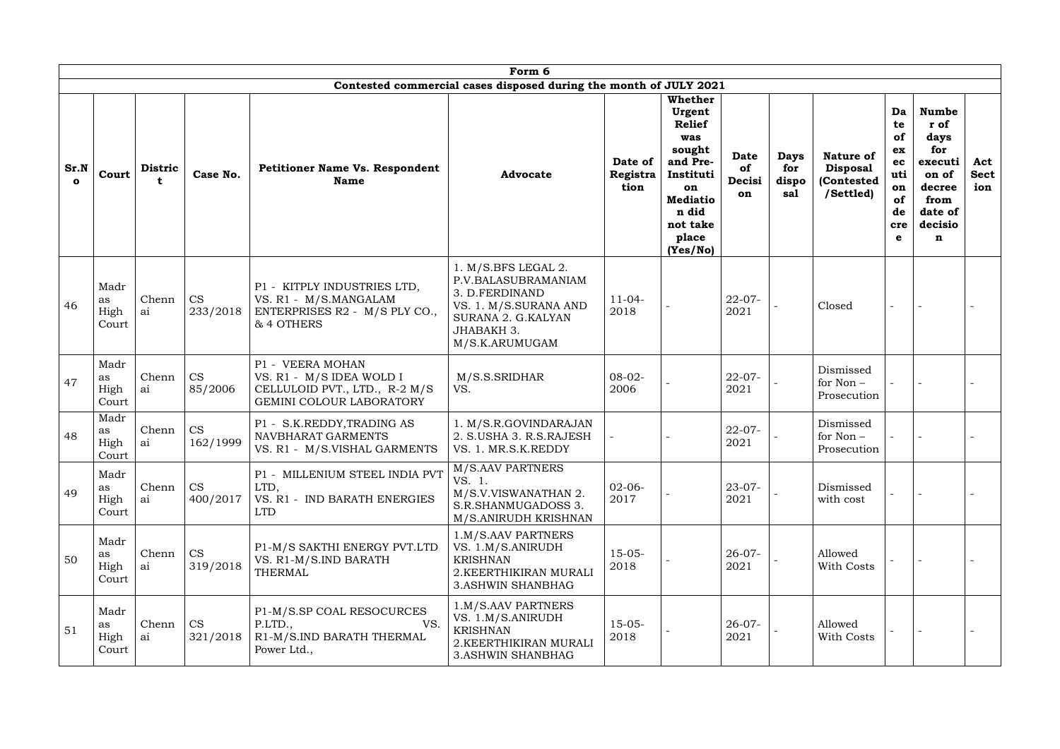|                      | Form 6<br>Contested commercial cases disposed during the month of JULY 2021 |                     |                       |                                                                                                           |                                                                                                                                             |                             |                                                                                                                                                        |                                   |                                    |                                                                |                                                                 |                                                                                                      |                           |
|----------------------|-----------------------------------------------------------------------------|---------------------|-----------------------|-----------------------------------------------------------------------------------------------------------|---------------------------------------------------------------------------------------------------------------------------------------------|-----------------------------|--------------------------------------------------------------------------------------------------------------------------------------------------------|-----------------------------------|------------------------------------|----------------------------------------------------------------|-----------------------------------------------------------------|------------------------------------------------------------------------------------------------------|---------------------------|
| Sr.N<br>$\mathbf{o}$ | Court                                                                       | <b>Distric</b><br>t | Case No.              | <b>Petitioner Name Vs. Respondent</b><br><b>Name</b>                                                      | <b>Advocate</b>                                                                                                                             | Date of<br>Registra<br>tion | <b>Whether</b><br>Urgent<br><b>Relief</b><br>was<br>sought<br>and Pre-<br>Instituti<br>on<br><b>Mediatio</b><br>n did<br>not take<br>place<br>(Yes/No) | <b>Date</b><br>of<br>Decisi<br>on | <b>Days</b><br>for<br>dispo<br>sal | <b>Nature of</b><br><b>Disposal</b><br>(Contested<br>/Settled) | Da<br>te<br>of<br>ex<br>ec<br>uti<br>on<br>of<br>de<br>cre<br>e | <b>Numbe</b><br>r of<br>days<br>for<br>executi<br>on of<br>decree<br>from<br>date of<br>decisio<br>n | Act<br><b>Sect</b><br>ion |
| 46                   | Madr<br>as<br>High<br>Court                                                 | Chenn<br>ai         | <b>CS</b><br>233/2018 | P1 - KITPLY INDUSTRIES LTD,<br>VS. R1 - M/S.MANGALAM<br>ENTERPRISES R2 - M/S PLY CO.,<br>& 4 OTHERS       | 1. M/S.BFS LEGAL 2.<br>P.V.BALASUBRAMANIAM<br>3. D.FERDINAND<br>VS. 1. M/S.SURANA AND<br>SURANA 2. G.KALYAN<br>JHABAKH 3.<br>M/S.K.ARUMUGAM | $11-04-$<br>2018            |                                                                                                                                                        | $22 - 07 -$<br>2021               |                                    | Closed                                                         |                                                                 |                                                                                                      |                           |
| 47                   | Madr<br>as<br>High<br>Court                                                 | Chenn<br>ai         | <b>CS</b><br>85/2006  | P1 - VEERA MOHAN<br>VS. R1 - M/S IDEA WOLD I<br>CELLULOID PVT., LTD., R-2 M/S<br>GEMINI COLOUR LABORATORY | M/S.S.SRIDHAR<br>VS.                                                                                                                        | $08-02-$<br>2006            |                                                                                                                                                        | $22 - 07 -$<br>2021               |                                    | Dismissed<br>for Non-<br>Prosecution                           |                                                                 |                                                                                                      |                           |
| 48                   | Madr<br>as<br>High<br>Court                                                 | Chenn<br>ai         | <b>CS</b><br>162/1999 | P1 - S.K.REDDY, TRADING AS<br>NAVBHARAT GARMENTS<br>VS. R1 - M/S.VISHAL GARMENTS                          | 1. M/S.R.GOVINDARAJAN<br>2. S.USHA 3. R.S.RAJESH<br>VS. 1. MR.S.K.REDDY                                                                     |                             |                                                                                                                                                        | $22 - 07 -$<br>2021               |                                    | Dismissed<br>for Non-<br>Prosecution                           |                                                                 |                                                                                                      |                           |
| 49                   | Madr<br>as<br>High<br>Court                                                 | Chenn<br>ai         | <b>CS</b><br>400/2017 | P1 - MILLENIUM STEEL INDIA PVT<br>LTD,<br>VS. R1 - IND BARATH ENERGIES<br><b>LTD</b>                      | M/S.AAV PARTNERS<br>VS. 1.<br>M/S.V.VISWANATHAN 2.<br>S.R.SHANMUGADOSS 3.<br>M/S.ANIRUDH KRISHNAN                                           | $02-06-$<br>2017            |                                                                                                                                                        | $23 - 07 -$<br>2021               |                                    | Dismissed<br>with cost                                         |                                                                 |                                                                                                      |                           |
| 50                   | Madr<br>as<br>High<br>Court                                                 | Chenn<br>ai         | <b>CS</b><br>319/2018 | P1-M/S SAKTHI ENERGY PVT.LTD<br>VS. R1-M/S.IND BARATH<br><b>THERMAL</b>                                   | 1.M/S.AAV PARTNERS<br>VS. 1.M/S.ANIRUDH<br><b>KRISHNAN</b><br>2. KEERTHIKIRAN MURALI<br><b>3.ASHWIN SHANBHAG</b>                            | $15-05-$<br>2018            |                                                                                                                                                        | $26 - 07 -$<br>2021               |                                    | Allowed<br>With Costs                                          |                                                                 |                                                                                                      |                           |
| 51                   | Madr<br>as<br>High<br>Court                                                 | Chenn<br>ai         | <b>CS</b><br>321/2018 | P1-M/S.SP COAL RESOCURCES<br>VS.<br>P.LTD.,<br>R1-M/S.IND BARATH THERMAL<br>Power Ltd.,                   | 1.M/S.AAV PARTNERS<br>VS. 1.M/S.ANIRUDH<br><b>KRISHNAN</b><br>2. KEERTHIKIRAN MURALI<br><b>3.ASHWIN SHANBHAG</b>                            | $15-05-$<br>2018            |                                                                                                                                                        | $26 - 07 -$<br>2021               |                                    | Allowed<br>With Costs                                          |                                                                 |                                                                                                      |                           |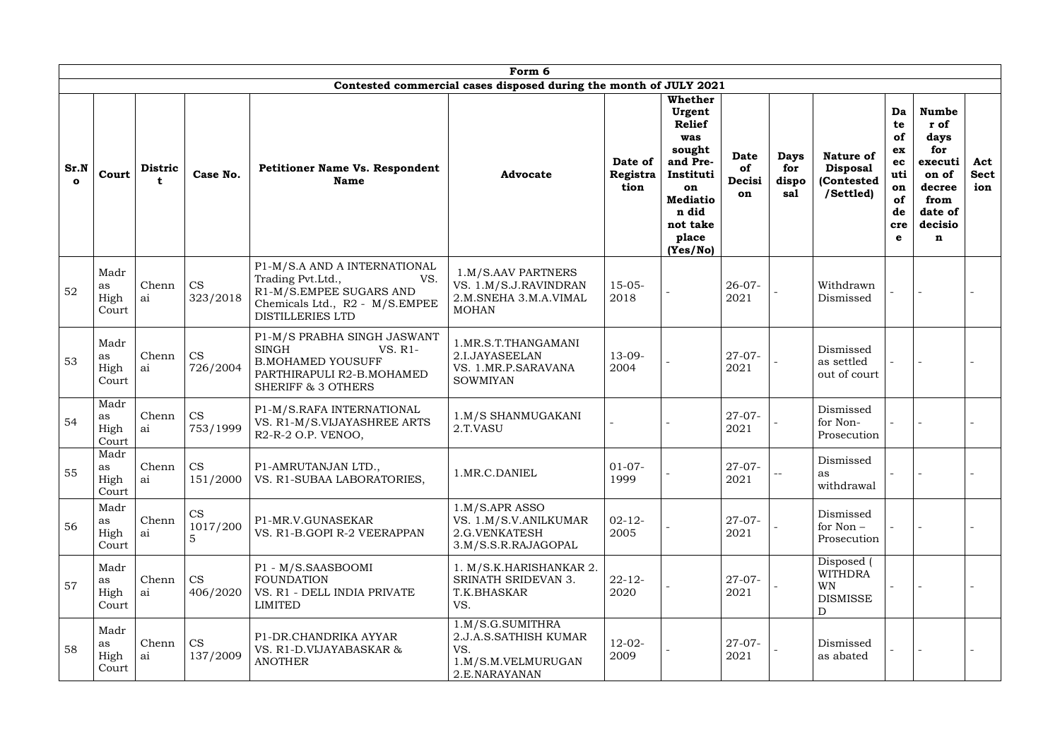|                      | Form 6<br>Contested commercial cases disposed during the month of JULY 2021 |                |                       |                                                                                                                                                  |                                                                                         |                             |                                                                                                                                                 |                                   |                                    |                                                                   |                                                                 |                                                                                                      |                           |
|----------------------|-----------------------------------------------------------------------------|----------------|-----------------------|--------------------------------------------------------------------------------------------------------------------------------------------------|-----------------------------------------------------------------------------------------|-----------------------------|-------------------------------------------------------------------------------------------------------------------------------------------------|-----------------------------------|------------------------------------|-------------------------------------------------------------------|-----------------------------------------------------------------|------------------------------------------------------------------------------------------------------|---------------------------|
| Sr.N<br>$\mathbf{o}$ | Court                                                                       | <b>Distric</b> | Case No.              | <b>Petitioner Name Vs. Respondent</b><br><b>Name</b>                                                                                             | <b>Advocate</b>                                                                         | Date of<br>Registra<br>tion | Whether<br>Urgent<br><b>Relief</b><br>was<br>sought<br>and Pre-<br>Instituti<br>on<br><b>Mediatio</b><br>n did<br>not take<br>place<br>(Yes/No) | <b>Date</b><br>of<br>Decisi<br>on | <b>Days</b><br>for<br>dispo<br>sal | <b>Nature of</b><br><b>Disposal</b><br>(Contested<br>/Settled)    | Da<br>te<br>of<br>ex<br>ec<br>uti<br>on<br>of<br>de<br>cre<br>e | <b>Numbe</b><br>r of<br>days<br>for<br>executi<br>on of<br>decree<br>from<br>date of<br>decisio<br>n | Act<br><b>Sect</b><br>ion |
| 52                   | Madr<br>as<br>High<br>Court                                                 | Chenn<br>ai    | <b>CS</b><br>323/2018 | P1-M/S.A AND A INTERNATIONAL<br>Trading Pvt.Ltd.,<br>VS.<br>R1-M/S.EMPEE SUGARS AND<br>Chemicals Ltd., R2 - M/S.EMPEE<br><b>DISTILLERIES LTD</b> | 1.M/S.AAV PARTNERS<br>VS. 1.M/S.J.RAVINDRAN<br>2.M.SNEHA 3.M.A.VIMAL<br><b>MOHAN</b>    | $15-05-$<br>2018            |                                                                                                                                                 | $26 - 07 -$<br>2021               |                                    | Withdrawn<br>Dismissed                                            |                                                                 |                                                                                                      |                           |
| 53                   | Madr<br>as<br>High<br>Court                                                 | Chenn<br>ai    | CS<br>726/2004        | P1-M/S PRABHA SINGH JASWANT<br><b>SINGH</b><br>VS. R1-<br><b>B.MOHAMED YOUSUFF</b><br>PARTHIRAPULI R2-B.MOHAMED<br><b>SHERIFF &amp; 3 OTHERS</b> | 1.MR.S.T.THANGAMANI<br>2.I.JAYASEELAN<br>VS. 1.MR.P.SARAVANA<br><b>SOWMIYAN</b>         | $13-09-$<br>2004            |                                                                                                                                                 | $27 - 07 -$<br>2021               |                                    | Dismissed<br>as settled<br>out of court                           |                                                                 |                                                                                                      |                           |
| 54                   | Madr<br>as<br>High<br>Court                                                 | Chenn<br>ai    | <b>CS</b><br>753/1999 | P1-M/S.RAFA INTERNATIONAL<br>VS. R1-M/S.VIJAYASHREE ARTS<br>R2-R-2 O.P. VENOO,                                                                   | 1.M/S SHANMUGAKANI<br>2.T.VASU                                                          |                             |                                                                                                                                                 | $27-07-$<br>2021                  |                                    | Dismissed<br>for Non-<br>Prosecution                              |                                                                 |                                                                                                      |                           |
| 55                   | Madr<br>as<br>High<br>Court                                                 | Chenn<br>ai    | <b>CS</b><br>151/2000 | P1-AMRUTANJAN LTD.,<br>VS. R1-SUBAA LABORATORIES,                                                                                                | 1.MR.C.DANIEL                                                                           | $01-07-$<br>1999            |                                                                                                                                                 | $27-07-$<br>2021                  |                                    | Dismissed<br>as<br>withdrawal                                     |                                                                 |                                                                                                      |                           |
| 56                   | Madr<br>as<br>High<br>Court                                                 | Chenn<br>ai    | <b>CS</b><br>1017/200 | P1-MR.V.GUNASEKAR<br>VS. R1-B.GOPI R-2 VEERAPPAN                                                                                                 | 1.M/S.APR ASSO<br>VS. 1.M/S.V.ANILKUMAR<br>2.G.VENKATESH<br>3.M/S.S.R.RAJAGOPAL         | $02 - 12 -$<br>2005         |                                                                                                                                                 | $27 - 07 -$<br>2021               |                                    | Dismissed<br>for Non-<br>Prosecution                              |                                                                 |                                                                                                      |                           |
| 57                   | Madr<br>as<br>High<br>Court                                                 | Chenn<br>ai    | <b>CS</b><br>406/2020 | P1 - M/S.SAASBOOMI<br><b>FOUNDATION</b><br>VS. R1 - DELL INDIA PRIVATE<br>LIMITED                                                                | 1. M/S.K.HARISHANKAR 2.<br>SRINATH SRIDEVAN 3.<br>T.K.BHASKAR<br>VS.                    | $22 - 12$<br>2020           |                                                                                                                                                 | $27 - 07 -$<br>2021               |                                    | Disposed (<br><b>WITHDRA</b><br><b>WN</b><br><b>DISMISSE</b><br>D |                                                                 |                                                                                                      |                           |
| 58                   | Madr<br>as<br>High<br>Court                                                 | Chenn<br>ai    | <b>CS</b><br>137/2009 | P1-DR.CHANDRIKA AYYAR<br>VS. R1-D.VIJAYABASKAR &<br><b>ANOTHER</b>                                                                               | 1.M/S.G.SUMITHRA<br>2.J.A.S.SATHISH KUMAR<br>VS.<br>1.M/S.M.VELMURUGAN<br>2.E.NARAYANAN | $12 - 02 -$<br>2009         |                                                                                                                                                 | $27 - 07 -$<br>2021               |                                    | Dismissed<br>as abated                                            |                                                                 |                                                                                                      |                           |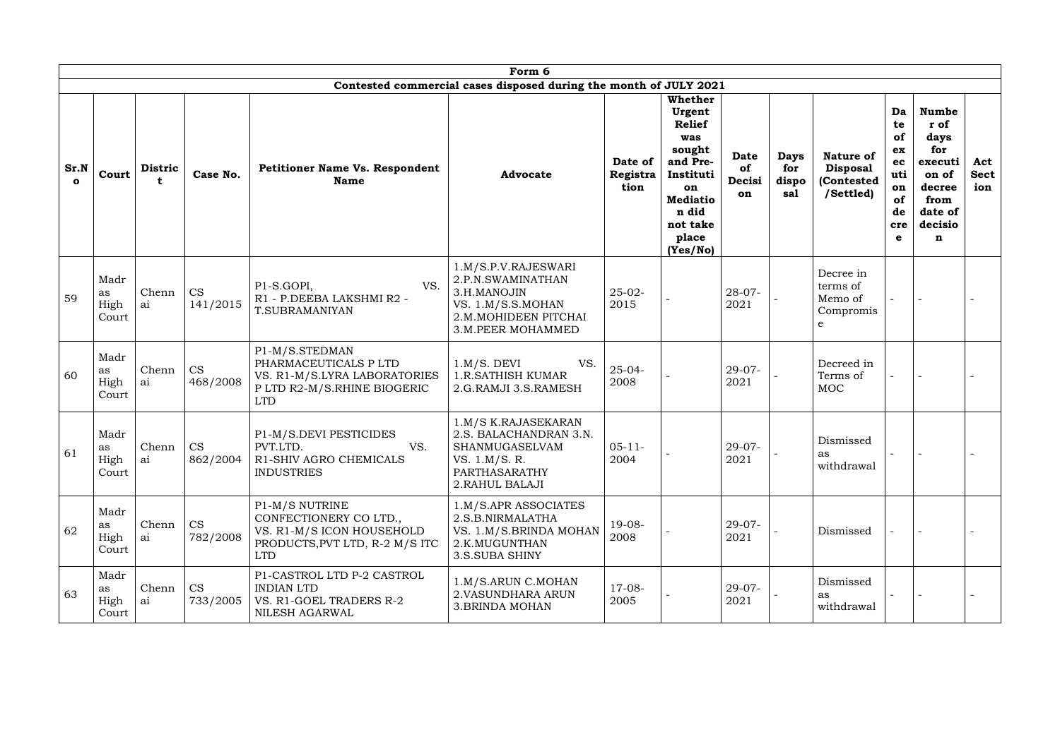|                      | Form 6<br>Contested commercial cases disposed during the month of JULY 2021 |                     |                       |                                                                                                                      |                                                                                                                                  |                             |                                                                                                                                                        |                                   |                                    |                                                                |                                                                 |                                                                                                      |                           |
|----------------------|-----------------------------------------------------------------------------|---------------------|-----------------------|----------------------------------------------------------------------------------------------------------------------|----------------------------------------------------------------------------------------------------------------------------------|-----------------------------|--------------------------------------------------------------------------------------------------------------------------------------------------------|-----------------------------------|------------------------------------|----------------------------------------------------------------|-----------------------------------------------------------------|------------------------------------------------------------------------------------------------------|---------------------------|
|                      |                                                                             |                     |                       |                                                                                                                      |                                                                                                                                  |                             |                                                                                                                                                        |                                   |                                    |                                                                |                                                                 |                                                                                                      |                           |
| Sr.N<br>$\mathbf{o}$ | Court                                                                       | <b>Distric</b><br>t | Case No.              | <b>Petitioner Name Vs. Respondent</b><br><b>Name</b>                                                                 | <b>Advocate</b>                                                                                                                  | Date of<br>Registra<br>tion | <b>Whether</b><br>Urgent<br><b>Relief</b><br>was<br>sought<br>and Pre-<br>Instituti<br>on<br><b>Mediatio</b><br>n did<br>not take<br>place<br>(Yes/No) | <b>Date</b><br>of<br>Decisi<br>on | <b>Days</b><br>for<br>dispo<br>sal | <b>Nature of</b><br><b>Disposal</b><br>(Contested<br>/Settled) | Da<br>te<br>of<br>ex<br>ec<br>uti<br>on<br>of<br>de<br>cre<br>e | <b>Numbe</b><br>r of<br>days<br>for<br>executi<br>on of<br>decree<br>from<br>date of<br>decisio<br>n | Act<br><b>Sect</b><br>ion |
| 59                   | Madr<br>as<br>High<br>Court                                                 | Chenn<br>ai         | <b>CS</b><br>141/2015 | VS.<br>P1-S.GOPI,<br>R1 - P.DEEBA LAKSHMI R2 -<br>T.SUBRAMANIYAN                                                     | 1.M/S.P.V.RAJESWARI<br>2.P.N.SWAMINATHAN<br>3.H.MANOJIN<br>VS. 1.M/S.S.MOHAN<br>2.M.MOHIDEEN PITCHAI<br><b>3.M.PEER MOHAMMED</b> | $25 - 02 -$<br>2015         |                                                                                                                                                        | $28 - 07 -$<br>2021               |                                    | Decree in<br>terms of<br>Memo of<br>Compromis<br>e             |                                                                 |                                                                                                      |                           |
| 60                   | Madr<br>as<br>High<br>Court                                                 | Chenn<br>ai         | <b>CS</b><br>468/2008 | P1-M/S.STEDMAN<br>PHARMACEUTICALS P LTD<br>VS. R1-M/S.LYRA LABORATORIES<br>P LTD R2-M/S.RHINE BIOGERIC<br><b>LTD</b> | VS.<br>$1.M/S.$ DEVI<br><b>1.R.SATHISH KUMAR</b><br>2.G.RAMJI 3.S.RAMESH                                                         | $25 - 04 -$<br>2008         |                                                                                                                                                        | $29 - 07 -$<br>2021               |                                    | Decreed in<br>Terms of<br><b>MOC</b>                           |                                                                 |                                                                                                      |                           |
| 61                   | Madr<br>as<br>High<br>Court                                                 | Chenn<br>ai         | <b>CS</b><br>862/2004 | P1-M/S.DEVI PESTICIDES<br>PVT.LTD.<br>VS.<br>R1-SHIV AGRO CHEMICALS<br><b>INDUSTRIES</b>                             | 1.M/S K.RAJASEKARAN<br>2.S. BALACHANDRAN 3.N.<br>SHANMUGASELVAM<br>VS. 1.M/S. R.<br>PARTHASARATHY<br>2. RAHUL BALAJI             | $05 - 11 -$<br>2004         |                                                                                                                                                        | $29-07-$<br>2021                  |                                    | Dismissed<br>as<br>withdrawal                                  |                                                                 |                                                                                                      |                           |
| 62                   | Madr<br>as<br>High<br>Court                                                 | Chenn<br>ai         | <b>CS</b><br>782/2008 | P1-M/S NUTRINE<br>CONFECTIONERY COLTD.,<br>VS. R1-M/S ICON HOUSEHOLD<br>PRODUCTS, PVT LTD, R-2 M/S ITC<br><b>LTD</b> | 1.M/S.APR ASSOCIATES<br>2.S.B.NIRMALATHA<br>VS. 1.M/S.BRINDA MOHAN<br>2.K.MUGUNTHAN<br>3.S.SUBA SHINY                            | $19-08-$<br>2008            |                                                                                                                                                        | $29-07-$<br>2021                  |                                    | Dismissed                                                      |                                                                 |                                                                                                      |                           |
| 63                   | Madr<br>as<br>High<br>Court                                                 | Chenn<br>ai         | <b>CS</b><br>733/2005 | P1-CASTROL LTD P-2 CASTROL<br><b>INDIAN LTD</b><br>VS. R1-GOEL TRADERS R-2<br>NILESH AGARWAL                         | 1.M/S.ARUN C.MOHAN<br>2. VASUNDHARA ARUN<br><b>3.BRINDA MOHAN</b>                                                                | $17-08-$<br>2005            |                                                                                                                                                        | $29-07-$<br>2021                  |                                    | Dismissed<br>as<br>withdrawal                                  |                                                                 |                                                                                                      |                           |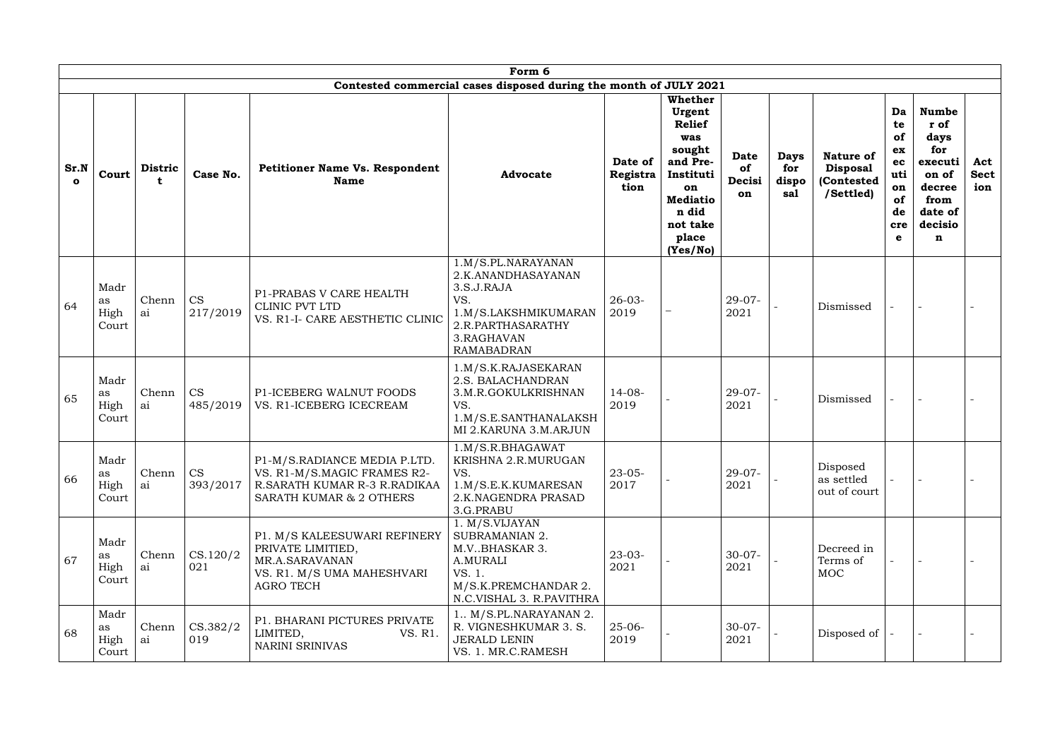|                      |                             |                |                       |                                                                                                                                   | Form 6                                                                                                                                        |                             |                                                                                                                                                 |                                   |                                    |                                                                |                                                                 |                                                                                                      |                           |
|----------------------|-----------------------------|----------------|-----------------------|-----------------------------------------------------------------------------------------------------------------------------------|-----------------------------------------------------------------------------------------------------------------------------------------------|-----------------------------|-------------------------------------------------------------------------------------------------------------------------------------------------|-----------------------------------|------------------------------------|----------------------------------------------------------------|-----------------------------------------------------------------|------------------------------------------------------------------------------------------------------|---------------------------|
|                      |                             |                |                       |                                                                                                                                   | Contested commercial cases disposed during the month of JULY 2021                                                                             |                             |                                                                                                                                                 |                                   |                                    |                                                                |                                                                 |                                                                                                      |                           |
| Sr.N<br>$\mathbf{o}$ | Court                       | <b>Distric</b> | Case No.              | <b>Petitioner Name Vs. Respondent</b><br><b>Name</b>                                                                              | <b>Advocate</b>                                                                                                                               | Date of<br>Registra<br>tion | Whether<br>Urgent<br><b>Relief</b><br>was<br>sought<br>and Pre-<br>Instituti<br>on<br><b>Mediatio</b><br>n did<br>not take<br>place<br>(Yes/No) | <b>Date</b><br>of<br>Decisi<br>on | <b>Days</b><br>for<br>dispo<br>sal | <b>Nature of</b><br><b>Disposal</b><br>(Contested<br>/Settled) | Da<br>te<br>of<br>ex<br>ec<br>uti<br>on<br>of<br>de<br>cre<br>e | <b>Numbe</b><br>r of<br>days<br>for<br>executi<br>on of<br>decree<br>from<br>date of<br>decisio<br>n | Act<br><b>Sect</b><br>ion |
| 64                   | Madr<br>as<br>High<br>Court | Chenn<br>ai    | <b>CS</b><br>217/2019 | P1-PRABAS V CARE HEALTH<br>CLINIC PVT LTD<br>VS. R1-I- CARE AESTHETIC CLINIC                                                      | 1.M/S.PL.NARAYANAN<br>2.K.ANANDHASAYANAN<br>3.S.J.RAJA<br>VS.<br>1.M/S.LAKSHMIKUMARAN<br>2.R.PARTHASARATHY<br>3.RAGHAVAN<br><b>RAMABADRAN</b> | $26 - 03 -$<br>2019         |                                                                                                                                                 | $29-07-$<br>2021                  |                                    | Dismissed                                                      |                                                                 |                                                                                                      |                           |
| 65                   | Madr<br>as<br>High<br>Court | Chenn<br>ai    | <b>CS</b><br>485/2019 | P1-ICEBERG WALNUT FOODS<br>VS. R1-ICEBERG ICECREAM                                                                                | 1.M/S.K.RAJASEKARAN<br>2.S. BALACHANDRAN<br>3.M.R.GOKULKRISHNAN<br>VS.<br>1.M/S.E.SANTHANALAKSH<br>MI 2.KARUNA 3.M.ARJUN                      | $14-08-$<br>2019            |                                                                                                                                                 | $29-07-$<br>2021                  |                                    | Dismissed                                                      |                                                                 |                                                                                                      |                           |
| 66                   | Madr<br>as<br>High<br>Court | Chenn<br>ai    | <b>CS</b><br>393/2017 | P1-M/S.RADIANCE MEDIA P.LTD.<br>VS. R1-M/S.MAGIC FRAMES R2-<br>R.SARATH KUMAR R-3 R.RADIKAA<br><b>SARATH KUMAR &amp; 2 OTHERS</b> | 1.M/S.R.BHAGAWAT<br>KRISHNA 2.R.MURUGAN<br>VS.<br>1.M/S.E.K.KUMARESAN<br>2.K.NAGENDRA PRASAD<br>3.G.PRABU                                     | $23 - 05 -$<br>2017         |                                                                                                                                                 | $29-07-$<br>2021                  |                                    | Disposed<br>as settled<br>out of court                         |                                                                 |                                                                                                      |                           |
| 67                   | Madr<br>as<br>High<br>Court | Chenn<br>ai    | CS.120/2<br>021       | P1. M/S KALEESUWARI REFINERY<br>PRIVATE LIMITIED,<br>MR.A.SARAVANAN<br>VS. R1. M/S UMA MAHESHVARI<br><b>AGRO TECH</b>             | 1. M/S.VIJAYAN<br><b>SUBRAMANIAN 2.</b><br>M.V.BHASKAR 3.<br>A.MURALI<br>VS. 1.<br>M/S.K.PREMCHANDAR 2.<br>N.C.VISHAL 3. R.PAVITHRA           | $23 - 03 -$<br>2021         |                                                                                                                                                 | $30-07-$<br>2021                  |                                    | Decreed in<br>Terms of<br><b>MOC</b>                           |                                                                 |                                                                                                      |                           |
| 68                   | Madr<br>as<br>High<br>Court | Chenn<br>ai    | CS.382/2<br>019       | P1. BHARANI PICTURES PRIVATE<br>LIMITED,<br>VS. R1.<br>NARINI SRINIVAS                                                            | 1 M/S.PL.NARAYANAN 2.<br>R. VIGNESHKUMAR 3. S.<br><b>JERALD LENIN</b><br>VS. 1. MR.C.RAMESH                                                   | $25 - 06 -$<br>2019         |                                                                                                                                                 | $30-07-$<br>2021                  |                                    | Disposed of                                                    |                                                                 |                                                                                                      |                           |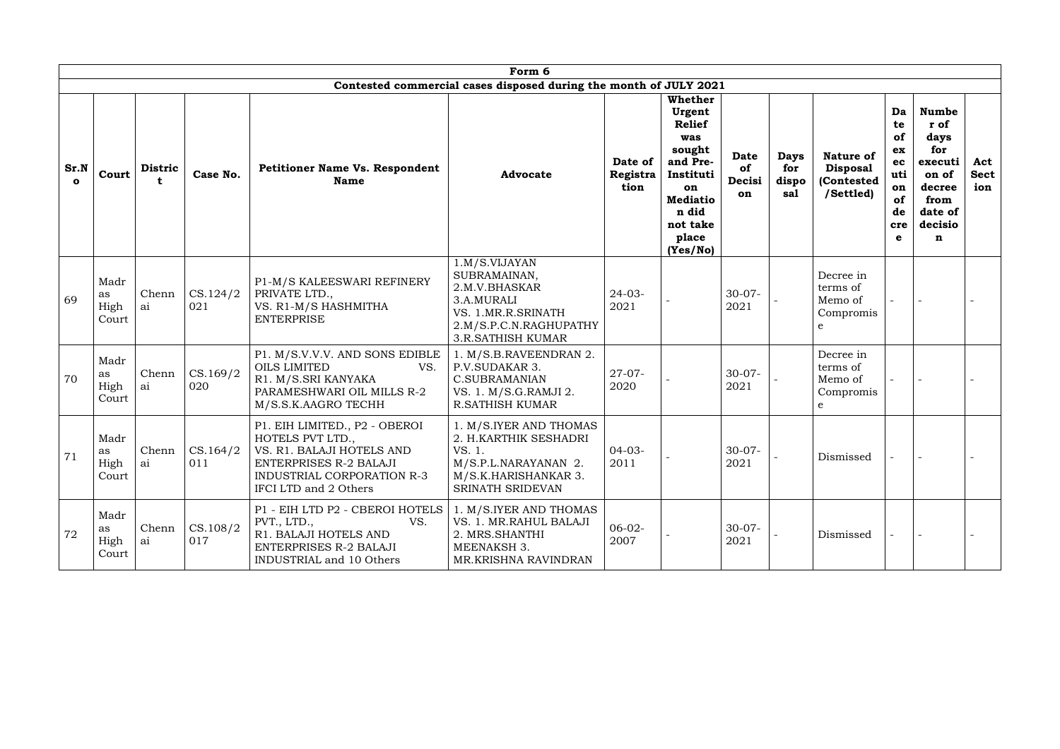|                      |                             |                     |                 |                                                                                                                                                                               | Form 6                                                                                                                                   |                             |                                                                                                                                                        |                                   |                                    |                                                                |                                                                 |                                                                                                      |                           |
|----------------------|-----------------------------|---------------------|-----------------|-------------------------------------------------------------------------------------------------------------------------------------------------------------------------------|------------------------------------------------------------------------------------------------------------------------------------------|-----------------------------|--------------------------------------------------------------------------------------------------------------------------------------------------------|-----------------------------------|------------------------------------|----------------------------------------------------------------|-----------------------------------------------------------------|------------------------------------------------------------------------------------------------------|---------------------------|
|                      |                             |                     |                 |                                                                                                                                                                               | Contested commercial cases disposed during the month of JULY 2021                                                                        |                             |                                                                                                                                                        |                                   |                                    |                                                                |                                                                 |                                                                                                      |                           |
| Sr.N<br>$\mathbf{o}$ | Court                       | <b>Distric</b><br>t | Case No.        | <b>Petitioner Name Vs. Respondent</b><br><b>Name</b>                                                                                                                          | <b>Advocate</b>                                                                                                                          | Date of<br>Registra<br>tion | <b>Whether</b><br>Urgent<br><b>Relief</b><br>was<br>sought<br>and Pre-<br>Instituti<br>on<br><b>Mediatio</b><br>n did<br>not take<br>place<br>(Yes/No) | <b>Date</b><br>of<br>Decisi<br>on | <b>Days</b><br>for<br>dispo<br>sal | <b>Nature of</b><br><b>Disposal</b><br>(Contested<br>/Settled) | Da<br>te<br>of<br>ex<br>ec<br>uti<br>on<br>of<br>de<br>cre<br>e | <b>Numbe</b><br>r of<br>days<br>for<br>executi<br>on of<br>decree<br>from<br>date of<br>decisio<br>n | Act<br><b>Sect</b><br>ion |
| 69                   | Madr<br>as<br>High<br>Court | Chenn<br>ai         | CS.124/2<br>021 | P1-M/S KALEESWARI REFINERY<br>PRIVATE LTD.,<br>VS. R1-M/S HASHMITHA<br><b>ENTERPRISE</b>                                                                                      | 1.M/S.VIJAYAN<br>SUBRAMAINAN,<br>2.M.V.BHASKAR<br>3.A.MURALI<br>VS. 1.MR.R.SRINATH<br>2.M/S.P.C.N.RAGHUPATHY<br><b>3.R.SATHISH KUMAR</b> | $24 - 03 -$<br>2021         |                                                                                                                                                        | $30 - 07 -$<br>2021               |                                    | Decree in<br>terms of<br>Memo of<br>Compromis<br>e             |                                                                 |                                                                                                      |                           |
| 70                   | Madr<br>as<br>High<br>Court | Chenn<br>ai         | CS.169/2<br>020 | P1. M/S.V.V.V. AND SONS EDIBLE<br><b>OILS LIMITED</b><br>VS.<br>R1. M/S.SRI KANYAKA<br>PARAMESHWARI OIL MILLS R-2<br>M/S.S.K.AAGRO TECHH                                      | 1. M/S.B.RAVEENDRAN 2.<br>P.V.SUDAKAR 3.<br><b>C.SUBRAMANIAN</b><br>VS. 1. M/S.G.RAMJI 2.<br><b>R.SATHISH KUMAR</b>                      | $27 - 07 -$<br>2020         |                                                                                                                                                        | $30-07-$<br>2021                  |                                    | Decree in<br>terms of<br>Memo of<br>Compromis<br>e             |                                                                 |                                                                                                      |                           |
| 71                   | Madr<br>as<br>High<br>Court | Chenn<br>  ai       | CS.164/2<br>011 | P1. EIH LIMITED., P2 - OBEROI<br>HOTELS PVT LTD.,<br>VS. R1. BALAJI HOTELS AND<br><b>ENTERPRISES R-2 BALAJI</b><br><b>INDUSTRIAL CORPORATION R-3</b><br>IFCI LTD and 2 Others | 1. M/S.IYER AND THOMAS<br>2. H.KARTHIK SESHADRI<br>VS. 1.<br>M/S.P.L.NARAYANAN 2.<br>M/S.K.HARISHANKAR 3.<br>SRINATH SRIDEVAN            | $04-03-$<br>2011            |                                                                                                                                                        | $30-07-$<br>2021                  |                                    | Dismissed                                                      |                                                                 |                                                                                                      |                           |
| 72                   | Madr<br>as<br>High<br>Court | Chenn<br>ai         | CS.108/2<br>017 | P1 - EIH LTD P2 - CBEROI HOTELS  <br>PVT., LTD.,<br>VS.<br>R1. BALAJI HOTELS AND<br><b>ENTERPRISES R-2 BALAJI</b><br><b>INDUSTRIAL and 10 Others</b>                          | 1. M/S.IYER AND THOMAS<br>VS. 1. MR.RAHUL BALAJI<br>2. MRS.SHANTHI<br>MEENAKSH 3.<br>MR.KRISHNA RAVINDRAN                                | $06-02-$<br>2007            |                                                                                                                                                        | $30-07-$<br>2021                  |                                    | Dismissed                                                      |                                                                 |                                                                                                      |                           |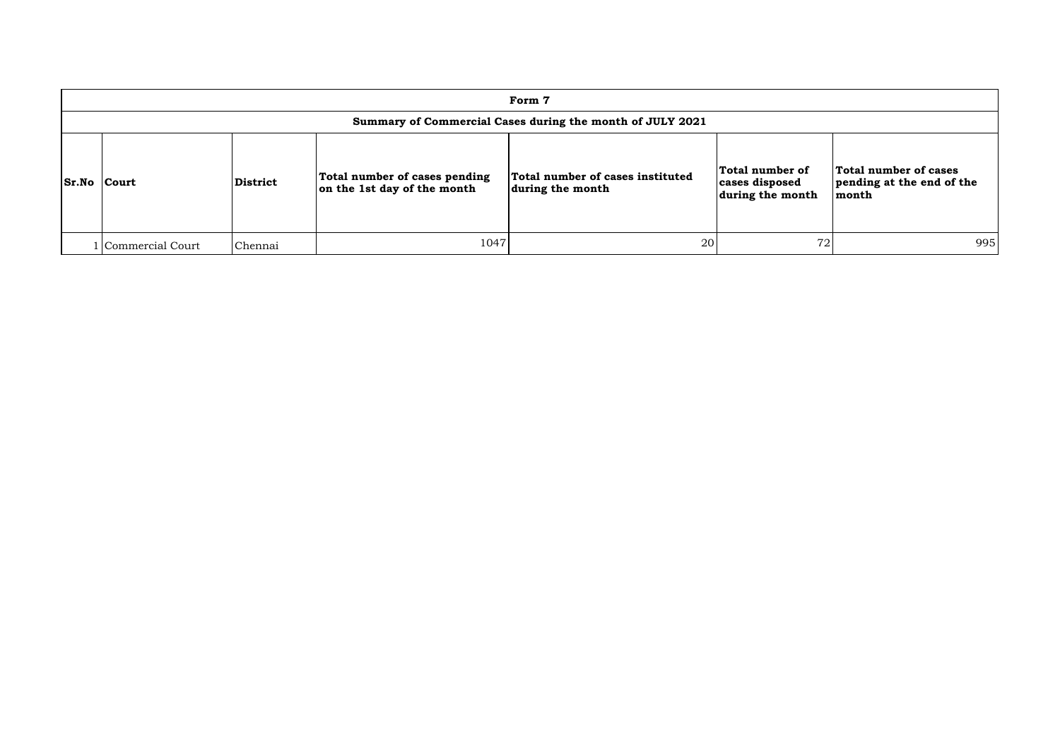|                    |                    |                 |                                                              | Form 7                                                    |                                                       |                                                             |
|--------------------|--------------------|-----------------|--------------------------------------------------------------|-----------------------------------------------------------|-------------------------------------------------------|-------------------------------------------------------------|
|                    |                    |                 |                                                              | Summary of Commercial Cases during the month of JULY 2021 |                                                       |                                                             |
| <b>Sr.No Court</b> |                    | <b>District</b> | Total number of cases pending<br>on the 1st day of the month | Total number of cases instituted<br>during the month      | Total number of<br>cases disposed<br>during the month | Total number of cases<br>pending at the end of the<br>month |
|                    | l Commercial Court | Chennai         | 1047                                                         | 20                                                        | 72                                                    | 995                                                         |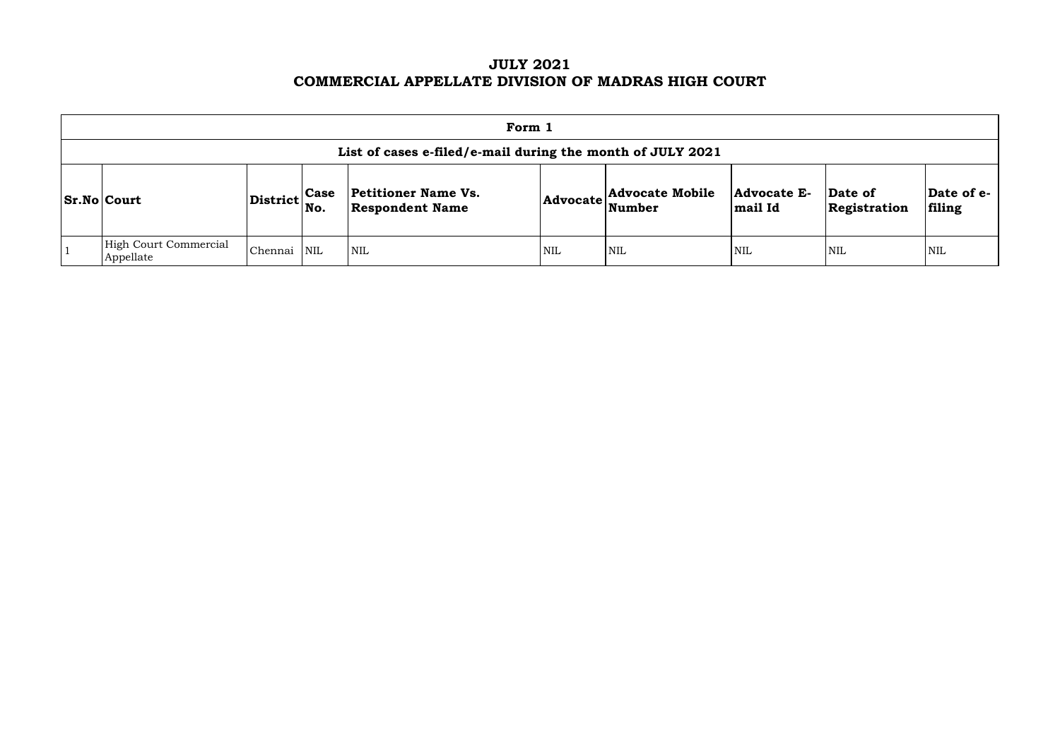# **JULY 2021 COMMERCIAL APPELLATE DIVISION OF MADRAS HIGH COURT**

| Form 1                             |                              |             |                                                            |     |                                                           |                        |                         |                      |  |
|------------------------------------|------------------------------|-------------|------------------------------------------------------------|-----|-----------------------------------------------------------|------------------------|-------------------------|----------------------|--|
|                                    |                              |             | List of cases e-filed/e-mail during the month of JULY 2021 |     |                                                           |                        |                         |                      |  |
| Sr.No Court                        | $ {\rm District} _{\rm No.}$ | <b>Case</b> | <b>Petitioner Name Vs.</b><br><b>Respondent Name</b>       |     | <b>Advocate Mobile</b><br>$ {\bf Advocate}\rangle$ Number | Advocate E-<br>mail Id | Date of<br>Registration | Date of e-<br>filing |  |
| High Court Commercial<br>Appellate | Chennai                      | <b>NIL</b>  | <b>NIL</b>                                                 | NIL | <b>NIL</b>                                                | <b>NIL</b>             | NIL                     | <b>NIL</b>           |  |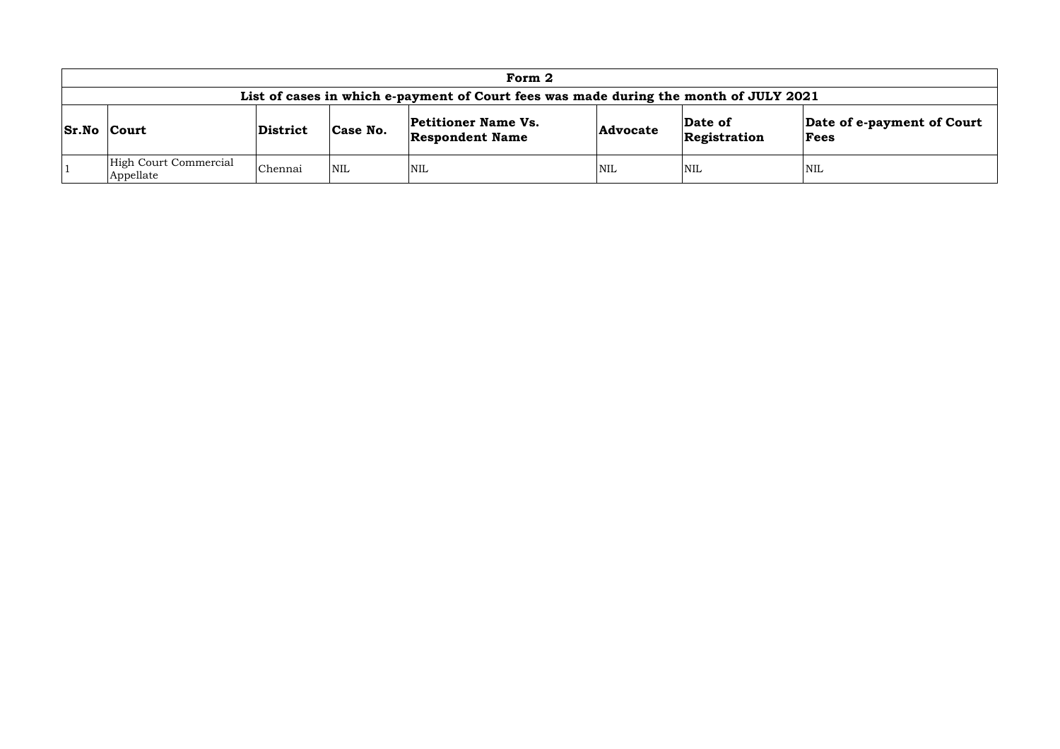|                 |                                    |          |            | Form 2                                                                                |                 |                         |                                    |
|-----------------|------------------------------------|----------|------------|---------------------------------------------------------------------------------------|-----------------|-------------------------|------------------------------------|
|                 |                                    |          |            | List of cases in which e-payment of Court fees was made during the month of JULY 2021 |                 |                         |                                    |
| $ Sr.No $ Court |                                    | District | Case No.   | <b>Petitioner Name Vs.</b><br><b>Respondent Name</b>                                  | <b>Advocate</b> | Date of<br>Registration | Date of e-payment of Court<br>Fees |
|                 | High Court Commercial<br>Appellate | Chennai  | <b>NIL</b> | <b>NIL</b>                                                                            | <b>NIL</b>      | <b>NIL</b>              | <b>NIL</b>                         |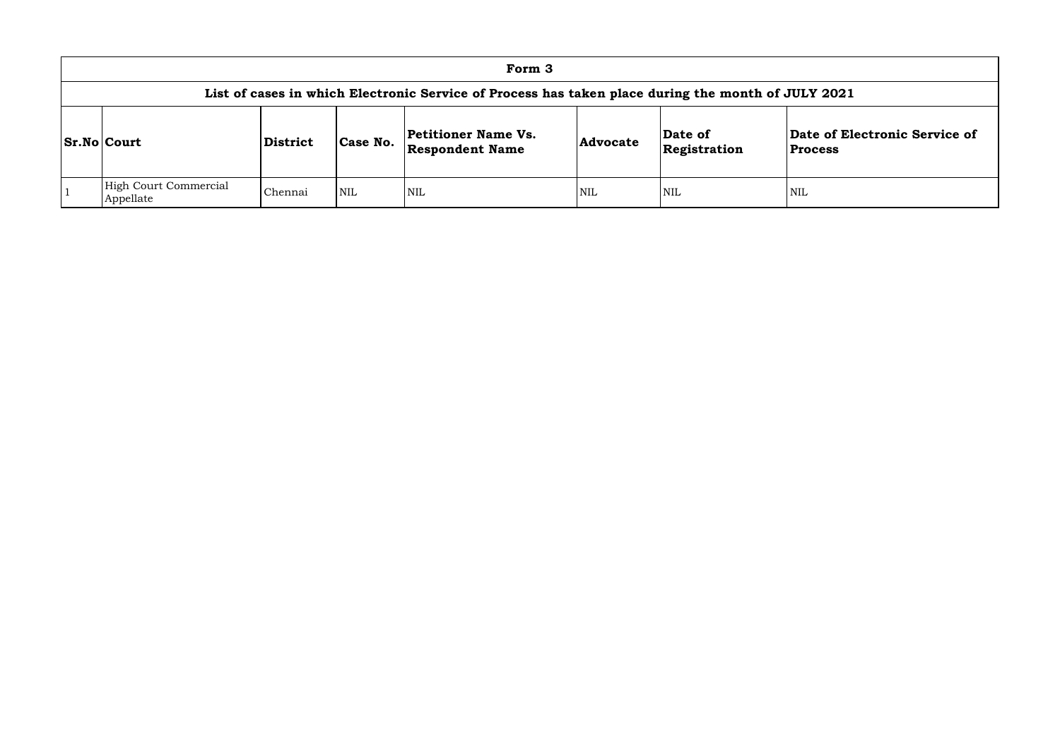|                                    |                 |            | Form 3                                                                                             |                 |                         |                              |
|------------------------------------|-----------------|------------|----------------------------------------------------------------------------------------------------|-----------------|-------------------------|------------------------------|
|                                    |                 |            | List of cases in which Electronic Service of Process has taken place during the month of JULY 2021 |                 |                         |                              |
| <b>Sr.No Court</b>                 | <b>District</b> | Case No.   | <b>Petitioner Name Vs.</b><br><b>Respondent Name</b>                                               | <b>Advocate</b> | Date of<br>Registration | Date of El<br><b>Process</b> |
| High Court Commercial<br>Appellate | Chennai         | <b>NIL</b> | NIL                                                                                                | NIL             | <b>NIL</b>              | <b>NIL</b>                   |

## **Date of Electronic Service of Process**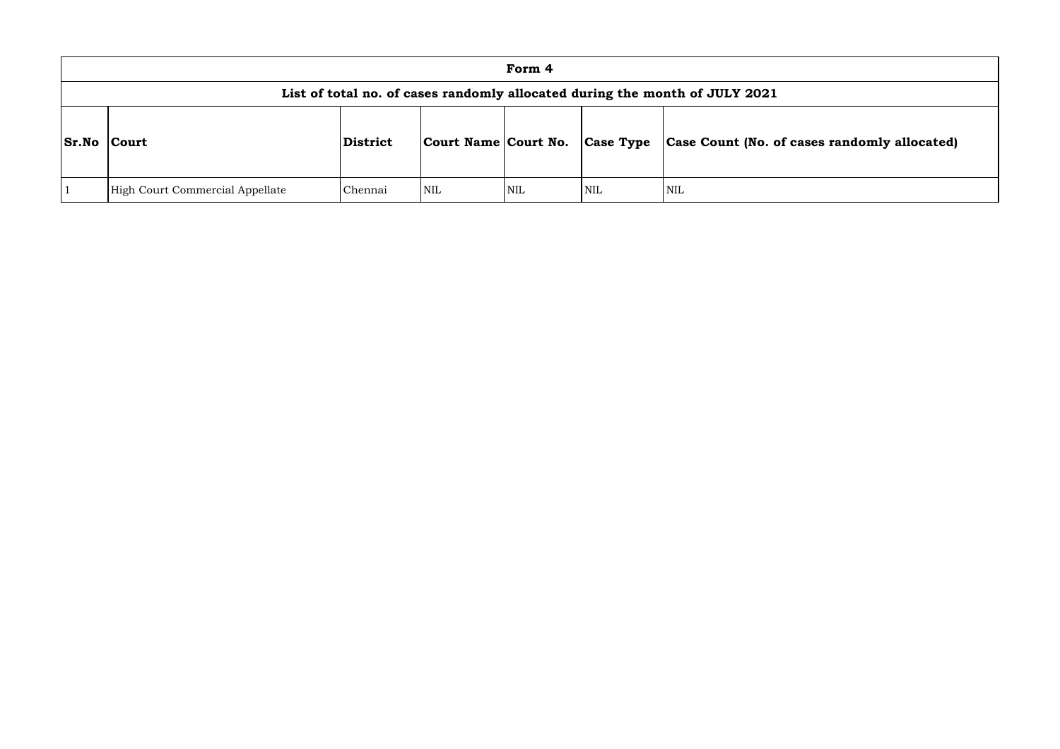|              |                                 |          |                      | Form 4 |                  |                                                                             |
|--------------|---------------------------------|----------|----------------------|--------|------------------|-----------------------------------------------------------------------------|
|              |                                 |          |                      |        |                  | List of total no. of cases randomly allocated during the month of JULY 2021 |
| <b>Sr.No</b> | <b>Court</b>                    | District | Court Name Court No. |        | <b>Case Type</b> | <b>Case Count (No. of can</b>                                               |
|              | High Court Commercial Appellate | Chennai  | <b>NIL</b>           | NIL    | <b>NIL</b>       | <b>NIL</b>                                                                  |

# **Sr.No Court District Court Name Court No. Case Type Case Count (No. of cases randomly allocated)**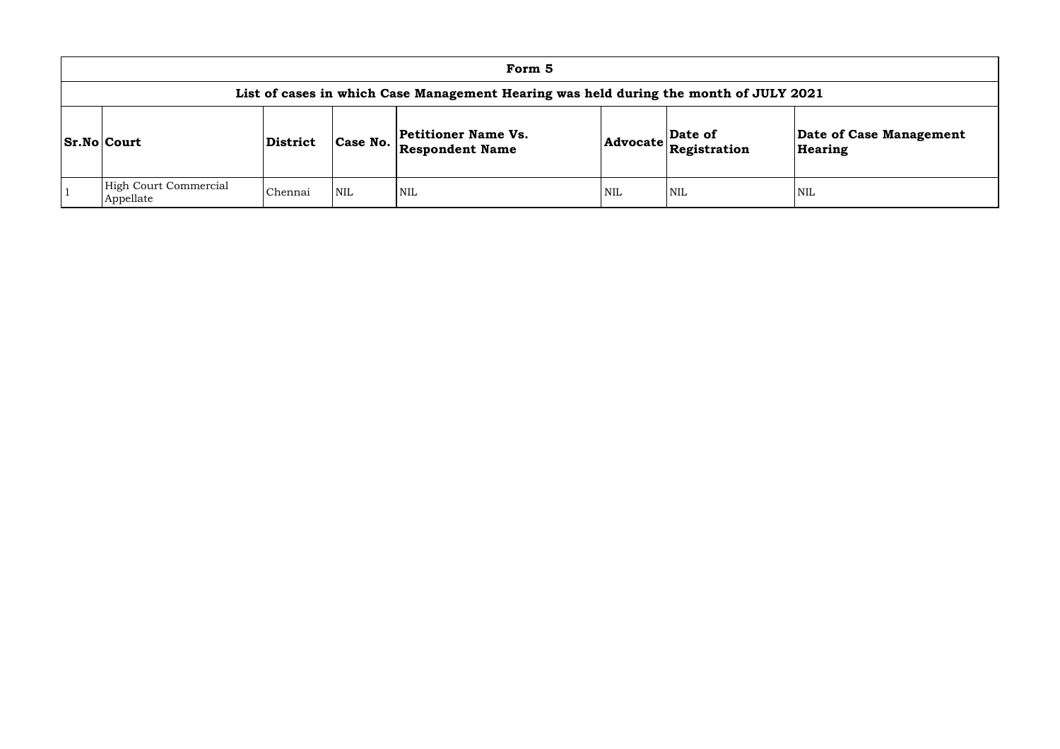|                                    |                 |            | Form 5                                                                                |     |                                                                            |             |
|------------------------------------|-----------------|------------|---------------------------------------------------------------------------------------|-----|----------------------------------------------------------------------------|-------------|
|                                    |                 |            | List of cases in which Case Management Hearing was held during the month of JULY 2021 |     |                                                                            |             |
| <b>Sr.No Court</b>                 | <b>District</b> | Case No.   | Petitioner Name Vs.<br><b>Respondent Name</b>                                         |     | Date of<br>$ {\bf Advocate} \overline{\bf \mathop{Registration}\nolimits}$ | Date<br>Hea |
| High Court Commercial<br>Appellate | Chennai         | <b>NIL</b> | <b>NIL</b>                                                                            | NIL | NIL                                                                        | <b>NIL</b>  |

## **Date of Case Management Hearing**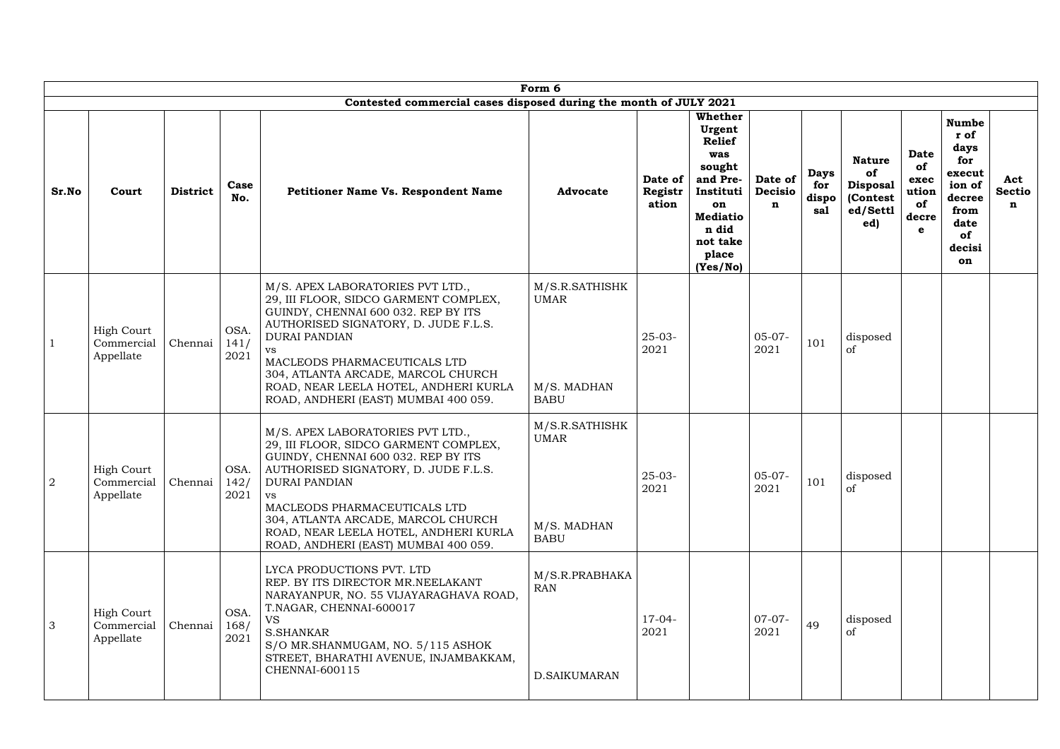|                |                                              |                 |                      |                                                                                                                                                                                                                                                                                                                                                      | Form 6                                                      |                             |                                                                                                                                                        |                                   |                                    |                                                                       |                                                 |                                                                                                         |                           |
|----------------|----------------------------------------------|-----------------|----------------------|------------------------------------------------------------------------------------------------------------------------------------------------------------------------------------------------------------------------------------------------------------------------------------------------------------------------------------------------------|-------------------------------------------------------------|-----------------------------|--------------------------------------------------------------------------------------------------------------------------------------------------------|-----------------------------------|------------------------------------|-----------------------------------------------------------------------|-------------------------------------------------|---------------------------------------------------------------------------------------------------------|---------------------------|
|                |                                              |                 |                      | Contested commercial cases disposed during the month of JULY 2021                                                                                                                                                                                                                                                                                    |                                                             |                             |                                                                                                                                                        |                                   |                                    |                                                                       |                                                 |                                                                                                         |                           |
| Sr.No          | Court                                        | <b>District</b> | Case<br>No.          | <b>Petitioner Name Vs. Respondent Name</b>                                                                                                                                                                                                                                                                                                           | <b>Advocate</b>                                             | Date of<br>Registr<br>ation | <b>Whether</b><br>Urgent<br><b>Relief</b><br>was<br>sought<br>and Pre-<br>Instituti<br>on<br><b>Mediatio</b><br>n did<br>not take<br>place<br>(Yes/No) | Date of<br>Decisio<br>$\mathbf n$ | <b>Days</b><br>for<br>dispo<br>sal | <b>Nature</b><br>of<br><b>Disposal</b><br>(Contest<br>ed/Settl<br>ed) | Date<br>of<br>exec<br>ution<br>of<br>decre<br>e | <b>Numbe</b><br>r of<br>days<br>for<br>execut<br>ion of<br>decree<br>from<br>date<br>of<br>decisi<br>on | Act<br><b>Sectio</b><br>n |
|                | <b>High Court</b><br>Commercial<br>Appellate | Chennai         | OSA.<br>141/<br>2021 | M/S. APEX LABORATORIES PVT LTD.,<br>29, III FLOOR, SIDCO GARMENT COMPLEX,<br>GUINDY, CHENNAI 600 032. REP BY ITS<br>AUTHORISED SIGNATORY, D. JUDE F.L.S.<br><b>DURAI PANDIAN</b><br>MACLEODS PHARMACEUTICALS LTD<br>304, ATLANTA ARCADE, MARCOL CHURCH<br>ROAD, NEAR LEELA HOTEL, ANDHERI KURLA<br>ROAD, ANDHERI (EAST) MUMBAI 400 059.              | M/S.R.SATHISHK<br><b>UMAR</b><br>M/S. MADHAN<br><b>BABU</b> | $25-03-$<br>2021            |                                                                                                                                                        | $05-07-$<br>2021                  | 101                                | disposed<br><sub>of</sub>                                             |                                                 |                                                                                                         |                           |
| $\overline{2}$ | <b>High Court</b><br>Commercial<br>Appellate | Chennai         | OSA.<br>142/<br>2021 | M/S. APEX LABORATORIES PVT LTD.,<br>29, III FLOOR, SIDCO GARMENT COMPLEX,<br>GUINDY, CHENNAI 600 032. REP BY ITS<br>AUTHORISED SIGNATORY, D. JUDE F.L.S.<br><b>DURAI PANDIAN</b><br><b>VS</b><br>MACLEODS PHARMACEUTICALS LTD<br>304, ATLANTA ARCADE, MARCOL CHURCH<br>ROAD, NEAR LEELA HOTEL, ANDHERI KURLA<br>ROAD, ANDHERI (EAST) MUMBAI 400 059. | M/S.R.SATHISHK<br><b>UMAR</b><br>M/S. MADHAN<br><b>BABU</b> | $25 - 03 -$<br>2021         |                                                                                                                                                        | $05-07-$<br>2021                  | 101                                | disposed<br>of                                                        |                                                 |                                                                                                         |                           |
| 3              | <b>High Court</b><br>Commercial<br>Appellate | Chennai         | OSA.<br>168/<br>2021 | LYCA PRODUCTIONS PVT. LTD<br>REP. BY ITS DIRECTOR MR.NEELAKANT<br>NARAYANPUR, NO. 55 VIJAYARAGHAVA ROAD,<br>T.NAGAR, CHENNAI-600017<br><b>VS</b><br><b>S.SHANKAR</b><br>S/O MR.SHANMUGAM, NO. 5/115 ASHOK<br>STREET, BHARATHI AVENUE, INJAMBAKKAM,<br><b>CHENNAI-600115</b>                                                                          | M/S.R.PRABHAKA<br><b>RAN</b><br>D.SAIKUMARAN                | $17-04-$<br>2021            |                                                                                                                                                        | $07-07-$<br>2021                  | 49                                 | disposed<br>of                                                        |                                                 |                                                                                                         |                           |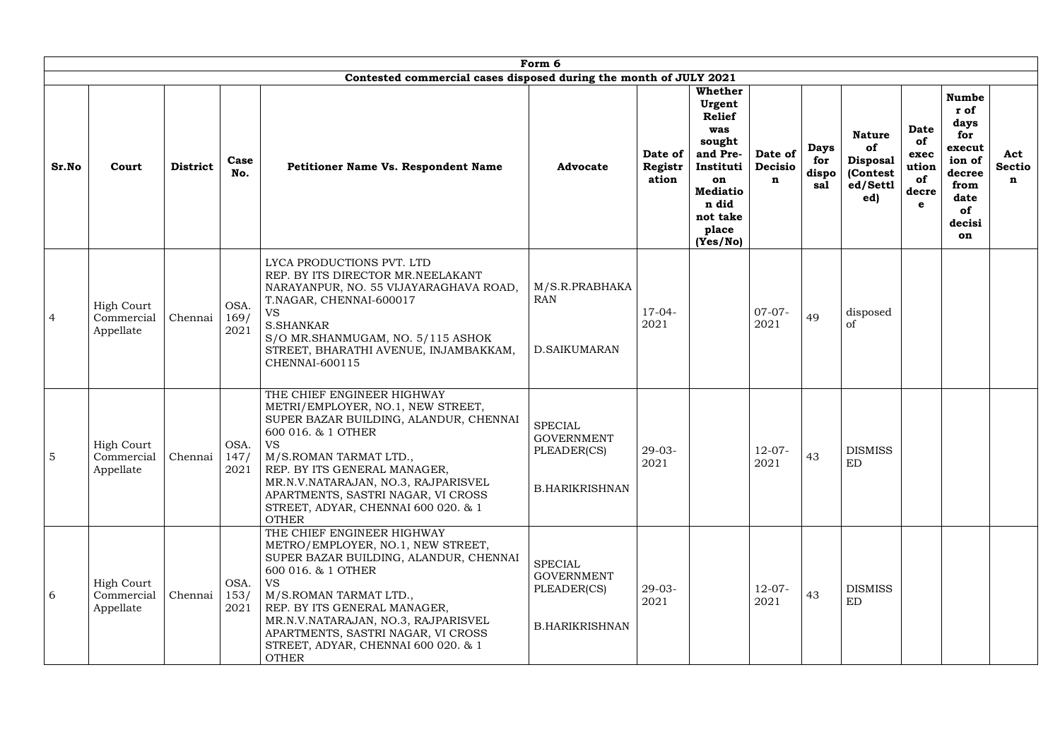|                |                                              |                 |                      |                                                                                                                                                                                                                                                                                                                                            | Form 6                                                                      |                             |                                                                                                                                                 |                                   |                                    |                                                                        |                                                        |                                                                                                         |                           |
|----------------|----------------------------------------------|-----------------|----------------------|--------------------------------------------------------------------------------------------------------------------------------------------------------------------------------------------------------------------------------------------------------------------------------------------------------------------------------------------|-----------------------------------------------------------------------------|-----------------------------|-------------------------------------------------------------------------------------------------------------------------------------------------|-----------------------------------|------------------------------------|------------------------------------------------------------------------|--------------------------------------------------------|---------------------------------------------------------------------------------------------------------|---------------------------|
|                |                                              |                 |                      | Contested commercial cases disposed during the month of JULY 2021                                                                                                                                                                                                                                                                          |                                                                             |                             |                                                                                                                                                 |                                   |                                    |                                                                        |                                                        |                                                                                                         |                           |
| Sr.No          | Court                                        | <b>District</b> | Case<br>No.          | <b>Petitioner Name Vs. Respondent Name</b>                                                                                                                                                                                                                                                                                                 | <b>Advocate</b>                                                             | Date of<br>Registr<br>ation | Whether<br>Urgent<br><b>Relief</b><br>was<br>sought<br>and Pre-<br>Instituti<br>on<br><b>Mediatio</b><br>n did<br>not take<br>place<br>(Yes/No) | Date of<br>Decisio<br>$\mathbf n$ | <b>Days</b><br>for<br>dispo<br>sal | <b>Nature</b><br>of<br><b>Disposal</b><br>(Contest)<br>ed/Settl<br>ed) | <b>Date</b><br>of<br>exec<br>ution<br>of<br>decre<br>e | <b>Numbe</b><br>r of<br>days<br>for<br>execut<br>ion of<br>decree<br>from<br>date<br>of<br>decisi<br>on | Act<br><b>Sectio</b><br>n |
| $\overline{4}$ | <b>High Court</b><br>Commercial<br>Appellate | Chennai         | OSA.<br>169/<br>2021 | LYCA PRODUCTIONS PVT. LTD<br>REP. BY ITS DIRECTOR MR.NEELAKANT<br>NARAYANPUR, NO. 55 VIJAYARAGHAVA ROAD,<br>T.NAGAR, CHENNAI-600017<br><b>VS</b><br><b>S.SHANKAR</b><br>S/O MR.SHANMUGAM, NO. 5/115 ASHOK<br>STREET, BHARATHI AVENUE, INJAMBAKKAM,<br><b>CHENNAI-600115</b>                                                                | M/S.R.PRABHAKA<br><b>RAN</b><br>D.SAIKUMARAN                                | $17-04-$<br>2021            |                                                                                                                                                 | $07-07-$<br>2021                  | 49                                 | disposed<br><sub>of</sub>                                              |                                                        |                                                                                                         |                           |
| 5              | <b>High Court</b><br>Commercial<br>Appellate | Chennai         | OSA.<br>147/<br>2021 | THE CHIEF ENGINEER HIGHWAY<br>METRI/EMPLOYER, NO.1, NEW STREET,<br>SUPER BAZAR BUILDING, ALANDUR, CHENNAI<br>600 016. & 1 OTHER<br><b>VS</b><br>M/S.ROMAN TARMAT LTD.,<br>REP. BY ITS GENERAL MANAGER,<br>MR.N.V.NATARAJAN, NO.3, RAJPARISVEL<br>APARTMENTS, SASTRI NAGAR, VI CROSS<br>STREET, ADYAR, CHENNAI 600 020. & 1<br><b>OTHER</b> | <b>SPECIAL</b><br><b>GOVERNMENT</b><br>PLEADER(CS)<br><b>B.HARIKRISHNAN</b> | $29 - 03 -$<br>2021         |                                                                                                                                                 | $12-07-$<br>2021                  | 43                                 | <b>DISMISS</b><br>ED                                                   |                                                        |                                                                                                         |                           |
| 6              | <b>High Court</b><br>Commercial<br>Appellate | Chennai         | OSA.<br>153/<br>2021 | THE CHIEF ENGINEER HIGHWAY<br>METRO/EMPLOYER, NO.1, NEW STREET,<br>SUPER BAZAR BUILDING, ALANDUR, CHENNAI<br>600 016. & 1 OTHER<br><b>VS</b><br>M/S.ROMAN TARMAT LTD.,<br>REP. BY ITS GENERAL MANAGER,<br>MR.N.V.NATARAJAN, NO.3, RAJPARISVEL<br>APARTMENTS, SASTRI NAGAR, VI CROSS<br>STREET, ADYAR, CHENNAI 600 020. & 1<br><b>OTHER</b> | SPECIAL<br><b>GOVERNMENT</b><br>PLEADER(CS)<br><b>B.HARIKRISHNAN</b>        | $29-03-$<br>2021            |                                                                                                                                                 | $12-07-$<br>2021                  | 43                                 | <b>DISMISS</b><br>ED                                                   |                                                        |                                                                                                         |                           |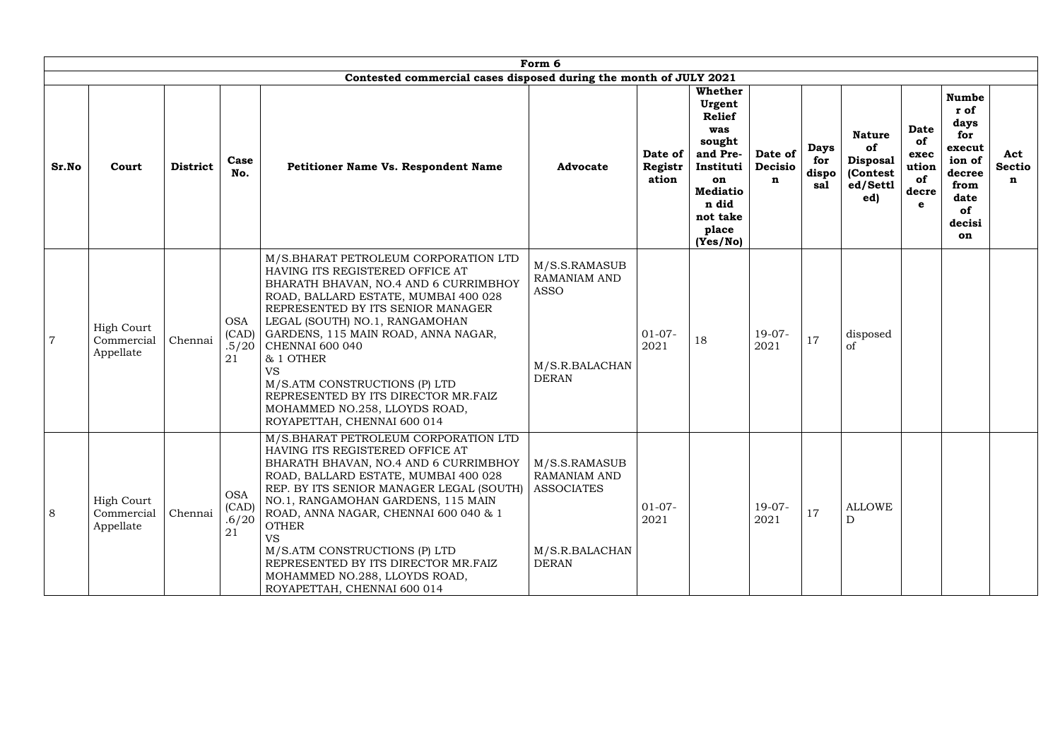|                |                                              |                 |                                    |                                                                                                                                                                                                                                                                                                                                                                                                                                                                    | Form 6                                                                                |                             |                                                                                                                                                 |                                   |                                    |                                                                       |                                                        |                                                                                                         |                           |
|----------------|----------------------------------------------|-----------------|------------------------------------|--------------------------------------------------------------------------------------------------------------------------------------------------------------------------------------------------------------------------------------------------------------------------------------------------------------------------------------------------------------------------------------------------------------------------------------------------------------------|---------------------------------------------------------------------------------------|-----------------------------|-------------------------------------------------------------------------------------------------------------------------------------------------|-----------------------------------|------------------------------------|-----------------------------------------------------------------------|--------------------------------------------------------|---------------------------------------------------------------------------------------------------------|---------------------------|
|                |                                              |                 |                                    | Contested commercial cases disposed during the month of JULY 2021                                                                                                                                                                                                                                                                                                                                                                                                  |                                                                                       |                             |                                                                                                                                                 |                                   |                                    |                                                                       |                                                        |                                                                                                         |                           |
| Sr.No          | Court                                        | <b>District</b> | Case<br>No.                        | <b>Petitioner Name Vs. Respondent Name</b>                                                                                                                                                                                                                                                                                                                                                                                                                         | <b>Advocate</b>                                                                       | Date of<br>Registr<br>ation | Whether<br>Urgent<br><b>Relief</b><br>was<br>sought<br>and Pre-<br>Instituti<br>on<br><b>Mediatio</b><br>n did<br>not take<br>place<br>(Yes/No) | Date of<br>Decisio<br>$\mathbf n$ | <b>Days</b><br>for<br>dispo<br>sal | <b>Nature</b><br>of<br><b>Disposal</b><br>(Contest<br>ed/Settl<br>ed) | <b>Date</b><br>of<br>exec<br>ution<br>of<br>decre<br>e | <b>Numbe</b><br>r of<br>days<br>for<br>execut<br>ion of<br>decree<br>from<br>date<br>of<br>decisi<br>on | Act<br><b>Sectio</b><br>n |
| $\overline{7}$ | <b>High Court</b><br>Commercial<br>Appellate | Chennai         | <b>OSA</b><br>(CAD)<br>.5/20<br>21 | M/S.BHARAT PETROLEUM CORPORATION LTD<br>HAVING ITS REGISTERED OFFICE AT<br>BHARATH BHAVAN, NO.4 AND 6 CURRIMBHOY<br>ROAD, BALLARD ESTATE, MUMBAI 400 028<br>REPRESENTED BY ITS SENIOR MANAGER<br>LEGAL (SOUTH) NO.1, RANGAMOHAN<br>GARDENS, 115 MAIN ROAD, ANNA NAGAR,<br><b>CHENNAI 600 040</b><br>& 1 OTHER<br><b>VS</b><br>M/S.ATM CONSTRUCTIONS (P) LTD<br>REPRESENTED BY ITS DIRECTOR MR.FAIZ<br>MOHAMMED NO.258, LLOYDS ROAD,<br>ROYAPETTAH, CHENNAI 600 014 | M/S.S.RAMASUB<br><b>RAMANIAM AND</b><br><b>ASSO</b><br>M/S.R.BALACHAN<br><b>DERAN</b> | $01-07-$<br>2021            | 18                                                                                                                                              | $19-07-$<br>2021                  | 17                                 | disposed<br><sub>of</sub>                                             |                                                        |                                                                                                         |                           |
| 8              | <b>High Court</b><br>Commercial<br>Appellate | Chennai         | <b>OSA</b><br>(CAD)<br>.6/20<br>21 | M/S.BHARAT PETROLEUM CORPORATION LTD<br>HAVING ITS REGISTERED OFFICE AT<br>BHARATH BHAVAN, NO.4 AND 6 CURRIMBHOY<br>ROAD, BALLARD ESTATE, MUMBAI 400 028<br>REP. BY ITS SENIOR MANAGER LEGAL (SOUTH)<br>NO.1, RANGAMOHAN GARDENS, 115 MAIN<br>ROAD, ANNA NAGAR, CHENNAI 600 040 & 1<br><b>OTHER</b><br><b>VS</b><br>M/S.ATM CONSTRUCTIONS (P) LTD<br>REPRESENTED BY ITS DIRECTOR MR.FAIZ<br>MOHAMMED NO.288, LLOYDS ROAD,<br>ROYAPETTAH, CHENNAI 600 014           | M/S.S.RAMASUB<br>RAMANIAM AND<br><b>ASSOCIATES</b><br>M/S.R.BALACHAN<br><b>DERAN</b>  | $01-07-$<br>2021            |                                                                                                                                                 | $19-07-$<br>2021                  | 17                                 | <b>ALLOWE</b><br>D                                                    |                                                        |                                                                                                         |                           |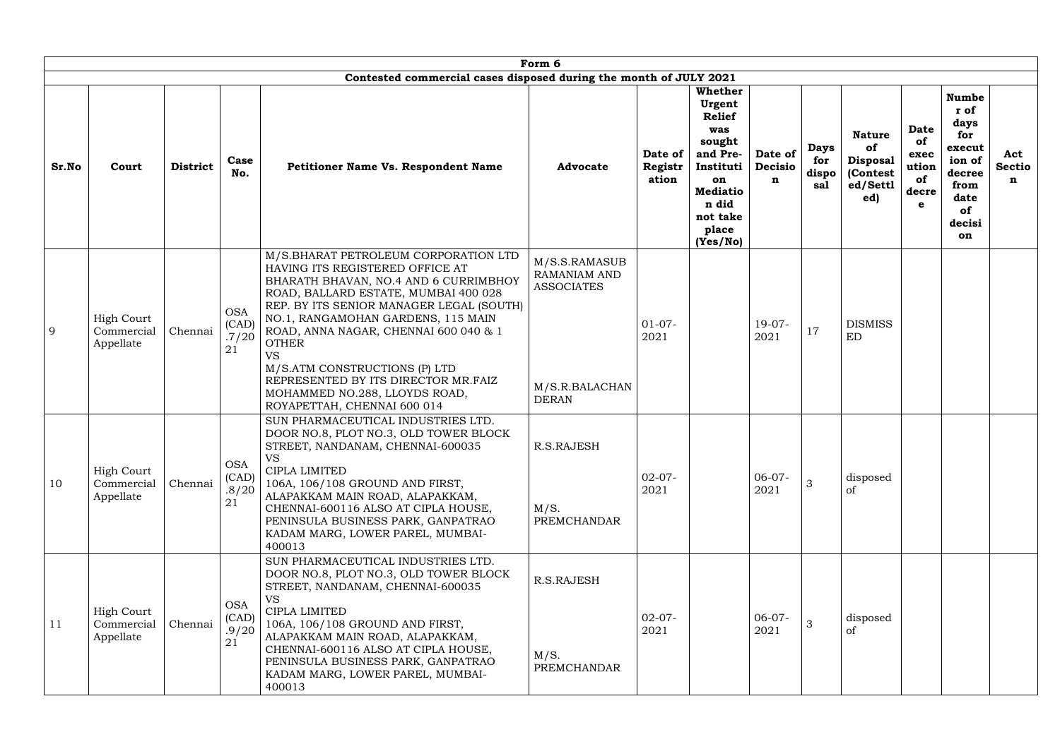|       |                                              |                 |                                    |                                                                                                                                                                                                                                                                                                                                                                                                                                                          | Form 6                                                                                      |                             |                                                                                                                                                        |                                   |                                    |                                                                        |                                                 |                                                                                                         |                           |
|-------|----------------------------------------------|-----------------|------------------------------------|----------------------------------------------------------------------------------------------------------------------------------------------------------------------------------------------------------------------------------------------------------------------------------------------------------------------------------------------------------------------------------------------------------------------------------------------------------|---------------------------------------------------------------------------------------------|-----------------------------|--------------------------------------------------------------------------------------------------------------------------------------------------------|-----------------------------------|------------------------------------|------------------------------------------------------------------------|-------------------------------------------------|---------------------------------------------------------------------------------------------------------|---------------------------|
|       |                                              |                 |                                    | Contested commercial cases disposed during the month of JULY 2021                                                                                                                                                                                                                                                                                                                                                                                        |                                                                                             |                             |                                                                                                                                                        |                                   |                                    |                                                                        |                                                 |                                                                                                         |                           |
| Sr.No | Court                                        | <b>District</b> | Case<br>No.                        | <b>Petitioner Name Vs. Respondent Name</b>                                                                                                                                                                                                                                                                                                                                                                                                               | <b>Advocate</b>                                                                             | Date of<br>Registr<br>ation | <b>Whether</b><br>Urgent<br><b>Relief</b><br>was<br>sought<br>and Pre-<br>Instituti<br>on<br><b>Mediatio</b><br>n did<br>not take<br>place<br>(Yes/No) | Date of<br>Decisio<br>$\mathbf n$ | <b>Days</b><br>for<br>dispo<br>sal | <b>Nature</b><br>of<br><b>Disposal</b><br>(Contest)<br>ed/Settl<br>ed) | Date<br>of<br>exec<br>ution<br>of<br>decre<br>e | <b>Numbe</b><br>r of<br>days<br>for<br>execut<br>ion of<br>decree<br>from<br>date<br>of<br>decisi<br>on | Act<br><b>Sectio</b><br>n |
| 9     | High Court<br>Commercial<br>Appellate        | Chennai         | <b>OSA</b><br>(CAD)<br>.7/20<br>21 | M/S.BHARAT PETROLEUM CORPORATION LTD<br>HAVING ITS REGISTERED OFFICE AT<br>BHARATH BHAVAN, NO.4 AND 6 CURRIMBHOY<br>ROAD, BALLARD ESTATE, MUMBAI 400 028<br>REP. BY ITS SENIOR MANAGER LEGAL (SOUTH)<br>NO.1, RANGAMOHAN GARDENS, 115 MAIN<br>ROAD, ANNA NAGAR, CHENNAI 600 040 & 1<br><b>OTHER</b><br><b>VS</b><br>M/S.ATM CONSTRUCTIONS (P) LTD<br>REPRESENTED BY ITS DIRECTOR MR.FAIZ<br>MOHAMMED NO.288, LLOYDS ROAD,<br>ROYAPETTAH, CHENNAI 600 014 | M/S.S.RAMASUB<br><b>RAMANIAM AND</b><br><b>ASSOCIATES</b><br>M/S.R.BALACHAN<br><b>DERAN</b> | $01-07-$<br>2021            |                                                                                                                                                        | $19-07-$<br>2021                  | 17                                 | <b>DISMISS</b><br><b>ED</b>                                            |                                                 |                                                                                                         |                           |
| 10    | <b>High Court</b><br>Commercial<br>Appellate | Chennai         | <b>OSA</b><br>(CAD)<br>.8/20<br>21 | SUN PHARMACEUTICAL INDUSTRIES LTD.<br>DOOR NO.8, PLOT NO.3, OLD TOWER BLOCK<br>STREET, NANDANAM, CHENNAI-600035<br><b>VS</b><br>CIPLA LIMITED<br>106A, 106/108 GROUND AND FIRST,<br>ALAPAKKAM MAIN ROAD, ALAPAKKAM,<br>CHENNAI-600116 ALSO AT CIPLA HOUSE,<br>PENINSULA BUSINESS PARK, GANPATRAO<br>KADAM MARG, LOWER PAREL, MUMBAI-<br>400013                                                                                                           | R.S.RAJESH<br>M/S.<br>PREMCHANDAR                                                           | $02-07-$<br>2021            |                                                                                                                                                        | $06-07-$<br>2021                  | 3                                  | disposed<br><sub>of</sub>                                              |                                                 |                                                                                                         |                           |
| 11    | <b>High Court</b><br>Commercial<br>Appellate | Chennai         | <b>OSA</b><br>(CAD)<br>.9/20<br>21 | SUN PHARMACEUTICAL INDUSTRIES LTD.<br>DOOR NO.8, PLOT NO.3, OLD TOWER BLOCK<br>STREET, NANDANAM, CHENNAI-600035<br><b>VS</b><br>CIPLA LIMITED<br>106A, 106/108 GROUND AND FIRST,<br>ALAPAKKAM MAIN ROAD, ALAPAKKAM,<br>CHENNAI-600116 ALSO AT CIPLA HOUSE,<br>PENINSULA BUSINESS PARK, GANPATRAO<br>KADAM MARG, LOWER PAREL, MUMBAI-<br>400013                                                                                                           | R.S.RAJESH<br>M/S.<br><b>PREMCHANDAR</b>                                                    | $02-07-$<br>2021            |                                                                                                                                                        | $06-07-$<br>2021                  | 3                                  | disposed<br>of                                                         |                                                 |                                                                                                         |                           |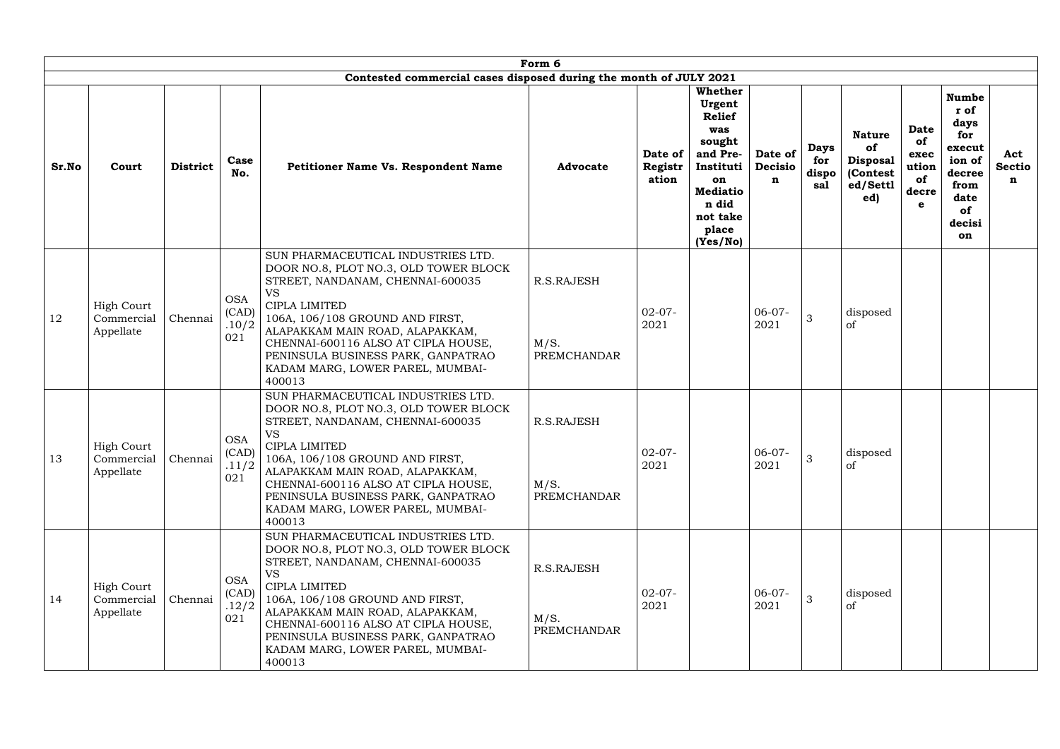|       |                                              |                 |                                     |                                                                                                                                                                                                                                                                                                                                                | Form 6                                   |                             |                                                                                                                                                 |                                   |                                    |                                                                       |                                                        |                                                                                                         |                           |
|-------|----------------------------------------------|-----------------|-------------------------------------|------------------------------------------------------------------------------------------------------------------------------------------------------------------------------------------------------------------------------------------------------------------------------------------------------------------------------------------------|------------------------------------------|-----------------------------|-------------------------------------------------------------------------------------------------------------------------------------------------|-----------------------------------|------------------------------------|-----------------------------------------------------------------------|--------------------------------------------------------|---------------------------------------------------------------------------------------------------------|---------------------------|
|       |                                              |                 |                                     | Contested commercial cases disposed during the month of JULY 2021                                                                                                                                                                                                                                                                              |                                          |                             |                                                                                                                                                 |                                   |                                    |                                                                       |                                                        |                                                                                                         |                           |
| Sr.No | Court                                        | <b>District</b> | Case<br>No.                         | <b>Petitioner Name Vs. Respondent Name</b>                                                                                                                                                                                                                                                                                                     | <b>Advocate</b>                          | Date of<br>Registr<br>ation | Whether<br>Urgent<br><b>Relief</b><br>was<br>sought<br>and Pre-<br>Instituti<br>on<br><b>Mediatio</b><br>n did<br>not take<br>place<br>(Yes/No) | Date of<br>Decisio<br>$\mathbf n$ | <b>Days</b><br>for<br>dispo<br>sal | <b>Nature</b><br>of<br><b>Disposal</b><br>(Contest<br>ed/Settl<br>ed) | <b>Date</b><br>of<br>exec<br>ution<br>of<br>decre<br>e | <b>Numbe</b><br>r of<br>days<br>for<br>execut<br>ion of<br>decree<br>from<br>date<br>of<br>decisi<br>on | Act<br><b>Sectio</b><br>n |
| 12    | <b>High Court</b><br>Commercial<br>Appellate | Chennai         | <b>OSA</b><br>(CAD)<br>.10/2<br>021 | SUN PHARMACEUTICAL INDUSTRIES LTD.<br>DOOR NO.8, PLOT NO.3, OLD TOWER BLOCK<br>STREET, NANDANAM, CHENNAI-600035<br><b>VS</b><br>CIPLA LIMITED<br>106A, 106/108 GROUND AND FIRST,<br>ALAPAKKAM MAIN ROAD, ALAPAKKAM,<br>CHENNAI-600116 ALSO AT CIPLA HOUSE,<br>PENINSULA BUSINESS PARK, GANPATRAO<br>KADAM MARG, LOWER PAREL, MUMBAI-<br>400013 | R.S.RAJESH<br>M/S.<br>PREMCHANDAR        | $02-07-$<br>2021            |                                                                                                                                                 | $06-07-$<br>2021                  | 3                                  | disposed<br><sub>of</sub>                                             |                                                        |                                                                                                         |                           |
| 13    | <b>High Court</b><br>Commercial<br>Appellate | Chennai         | <b>OSA</b><br>(CAD)<br>.11/2<br>021 | SUN PHARMACEUTICAL INDUSTRIES LTD.<br>DOOR NO.8, PLOT NO.3, OLD TOWER BLOCK<br>STREET, NANDANAM, CHENNAI-600035<br>VS<br>CIPLA LIMITED<br>106A, 106/108 GROUND AND FIRST,<br>ALAPAKKAM MAIN ROAD, ALAPAKKAM,<br>CHENNAI-600116 ALSO AT CIPLA HOUSE,<br>PENINSULA BUSINESS PARK, GANPATRAO<br>KADAM MARG, LOWER PAREL, MUMBAI-<br>400013        | R.S.RAJESH<br>M/S.<br><b>PREMCHANDAR</b> | $02-07-$<br>2021            |                                                                                                                                                 | $06-07-$<br>2021                  | 3                                  | disposed<br>of                                                        |                                                        |                                                                                                         |                           |
| 14    | <b>High Court</b><br>Commercial<br>Appellate | Chennai         | <b>OSA</b><br>(CAD)<br>.12/2<br>021 | SUN PHARMACEUTICAL INDUSTRIES LTD.<br>DOOR NO.8, PLOT NO.3, OLD TOWER BLOCK<br>STREET, NANDANAM, CHENNAI-600035<br><b>VS</b><br>CIPLA LIMITED<br>106A, 106/108 GROUND AND FIRST,<br>ALAPAKKAM MAIN ROAD, ALAPAKKAM,<br>CHENNAI-600116 ALSO AT CIPLA HOUSE,<br>PENINSULA BUSINESS PARK, GANPATRAO<br>KADAM MARG, LOWER PAREL, MUMBAI-<br>400013 | R.S.RAJESH<br>M/S.<br><b>PREMCHANDAR</b> | $02-07-$<br>2021            |                                                                                                                                                 | $06-07-$<br>2021                  | 3                                  | disposed<br><sub>of</sub>                                             |                                                        |                                                                                                         |                           |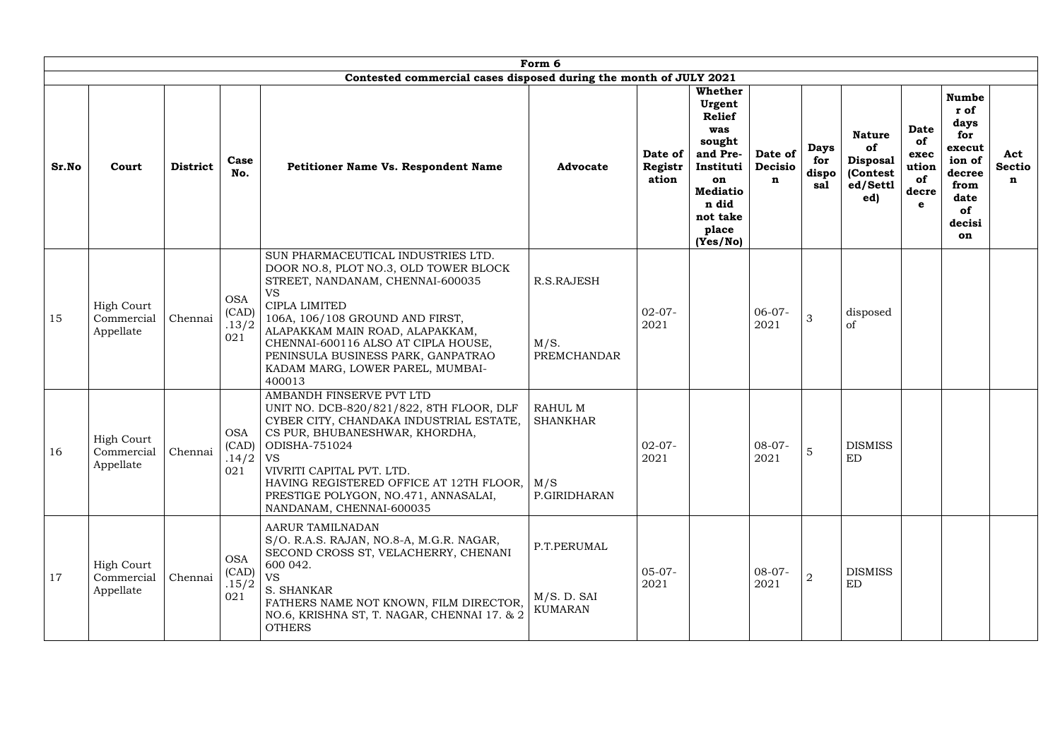|       | Form 6<br>Contested commercial cases disposed during the month of JULY 2021 |                 |                                          |                                                                                                                                                                                                                                                                                                                                                |                                                   |                             |                                                                                                                                                        |                                   |                                    |                                                                       |                                                        |                                                                                                         |                           |
|-------|-----------------------------------------------------------------------------|-----------------|------------------------------------------|------------------------------------------------------------------------------------------------------------------------------------------------------------------------------------------------------------------------------------------------------------------------------------------------------------------------------------------------|---------------------------------------------------|-----------------------------|--------------------------------------------------------------------------------------------------------------------------------------------------------|-----------------------------------|------------------------------------|-----------------------------------------------------------------------|--------------------------------------------------------|---------------------------------------------------------------------------------------------------------|---------------------------|
|       |                                                                             |                 |                                          |                                                                                                                                                                                                                                                                                                                                                |                                                   |                             |                                                                                                                                                        |                                   |                                    |                                                                       |                                                        |                                                                                                         |                           |
| Sr.No | Court                                                                       | <b>District</b> | Case<br>No.                              | <b>Petitioner Name Vs. Respondent Name</b>                                                                                                                                                                                                                                                                                                     | <b>Advocate</b>                                   | Date of<br>Registr<br>ation | <b>Whether</b><br>Urgent<br><b>Relief</b><br>was<br>sought<br>and Pre-<br>Instituti<br>on<br><b>Mediatio</b><br>n did<br>not take<br>place<br>(Yes/No) | Date of<br>Decisio<br>$\mathbf n$ | <b>Days</b><br>for<br>dispo<br>sal | <b>Nature</b><br>of<br><b>Disposal</b><br>(Contest<br>ed/Settl<br>ed) | <b>Date</b><br>of<br>exec<br>ution<br>of<br>decre<br>e | <b>Numbe</b><br>r of<br>days<br>for<br>execut<br>ion of<br>decree<br>from<br>date<br>of<br>decisi<br>on | Act<br><b>Sectio</b><br>n |
| 15    | <b>High Court</b><br>Commercial<br>Appellate                                | Chennai         | <b>OSA</b><br>(CAD)<br>.13/2<br>021      | SUN PHARMACEUTICAL INDUSTRIES LTD.<br>DOOR NO.8, PLOT NO.3, OLD TOWER BLOCK<br>STREET, NANDANAM, CHENNAI-600035<br><b>VS</b><br>CIPLA LIMITED<br>106A, 106/108 GROUND AND FIRST,<br>ALAPAKKAM MAIN ROAD, ALAPAKKAM,<br>CHENNAI-600116 ALSO AT CIPLA HOUSE,<br>PENINSULA BUSINESS PARK, GANPATRAO<br>KADAM MARG, LOWER PAREL, MUMBAI-<br>400013 | R.S.RAJESH<br>M/S.<br><b>PREMCHANDAR</b>          | $02-07-$<br>2021            |                                                                                                                                                        | $06-07-$<br>2021                  | 3                                  | disposed<br>οf                                                        |                                                        |                                                                                                         |                           |
| 16    | <b>High Court</b><br>Commercial Chennai<br>Appellate                        |                 | <b>OSA</b><br>(CAD)<br>$.14/2$ VS<br>021 | AMBANDH FINSERVE PVT LTD<br>UNIT NO. DCB-820/821/822, 8TH FLOOR, DLF<br>CYBER CITY, CHANDAKA INDUSTRIAL ESTATE,<br>CS PUR, BHUBANESHWAR, KHORDHA,<br>ODISHA-751024<br>VIVRITI CAPITAL PVT. LTD.<br>HAVING REGISTERED OFFICE AT 12TH FLOOR,<br>PRESTIGE POLYGON, NO.471, ANNASALAI,<br>NANDANAM, CHENNAI-600035                                 | RAHUL M<br><b>SHANKHAR</b><br>M/S<br>P.GIRIDHARAN | $02-07-$<br>2021            |                                                                                                                                                        | $08-07-$<br>2021                  | $\overline{O}$                     | <b>DISMISS</b><br>ED                                                  |                                                        |                                                                                                         |                           |
| 17    | <b>High Court</b><br>Commercial<br>Appellate                                | Chennai         | <b>OSA</b><br>(CAD)<br>.15/2<br>021      | AARUR TAMILNADAN<br>S/O. R.A.S. RAJAN, NO.8-A, M.G.R. NAGAR,<br>SECOND CROSS ST, VELACHERRY, CHENANI<br>600 042.<br><b>VS</b><br>S. SHANKAR<br>FATHERS NAME NOT KNOWN, FILM DIRECTOR,<br>NO.6, KRISHNA ST, T. NAGAR, CHENNAI 17. & 2<br><b>OTHERS</b>                                                                                          | P.T.PERUMAL<br>M/S. D. SAI<br><b>KUMARAN</b>      | $05-07-$<br>2021            |                                                                                                                                                        | $08-07-$<br>2021                  | $\overline{2}$                     | <b>DISMISS</b><br>ED                                                  |                                                        |                                                                                                         |                           |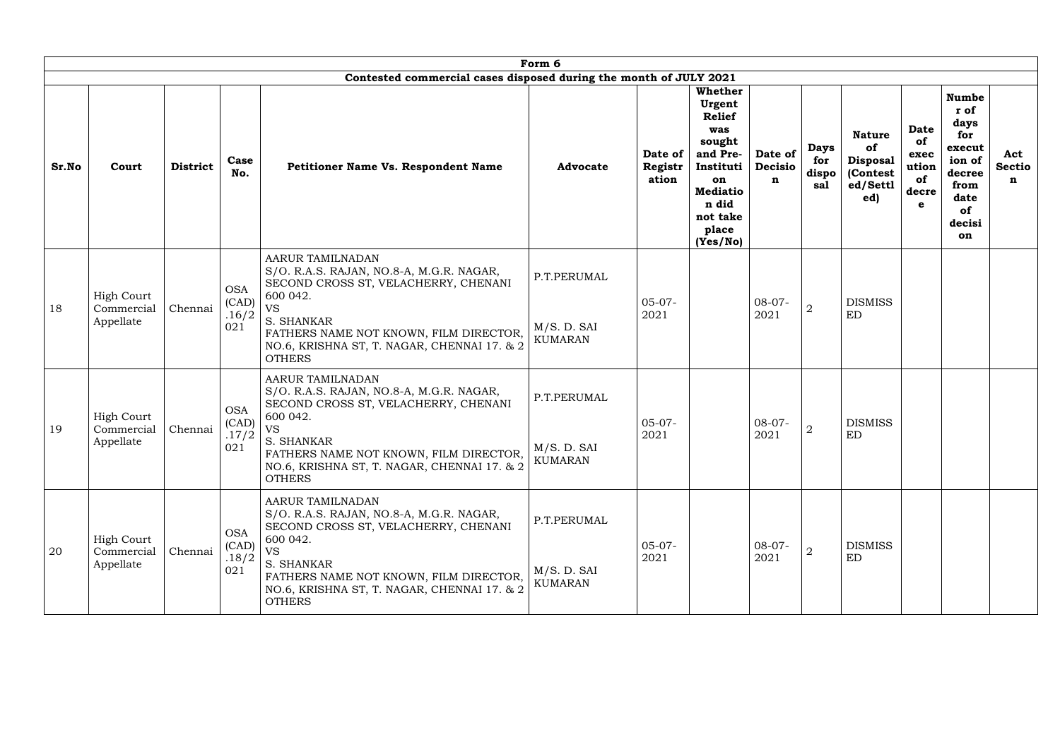|       |                                              |                 |                                     |                                                                                                                                                                                                                                                       | Form 6                                       |                             |                                                                                                                                                 |                                   |                                    |                                                                       |                                                        |                                                                                                         |                           |
|-------|----------------------------------------------|-----------------|-------------------------------------|-------------------------------------------------------------------------------------------------------------------------------------------------------------------------------------------------------------------------------------------------------|----------------------------------------------|-----------------------------|-------------------------------------------------------------------------------------------------------------------------------------------------|-----------------------------------|------------------------------------|-----------------------------------------------------------------------|--------------------------------------------------------|---------------------------------------------------------------------------------------------------------|---------------------------|
|       |                                              |                 |                                     | Contested commercial cases disposed during the month of JULY 2021                                                                                                                                                                                     |                                              |                             |                                                                                                                                                 |                                   |                                    |                                                                       |                                                        |                                                                                                         |                           |
| Sr.No | Court                                        | <b>District</b> | Case<br>No.                         | <b>Petitioner Name Vs. Respondent Name</b>                                                                                                                                                                                                            | <b>Advocate</b>                              | Date of<br>Registr<br>ation | Whether<br>Urgent<br><b>Relief</b><br>was<br>sought<br>and Pre-<br>Instituti<br>on<br><b>Mediatio</b><br>n did<br>not take<br>place<br>(Yes/No) | Date of<br>Decisio<br>$\mathbf n$ | <b>Days</b><br>for<br>dispo<br>sal | <b>Nature</b><br>of<br><b>Disposal</b><br>(Contest<br>ed/Settl<br>ed) | <b>Date</b><br>of<br>exec<br>ution<br>of<br>decre<br>e | <b>Numbe</b><br>r of<br>days<br>for<br>execut<br>ion of<br>decree<br>from<br>date<br>of<br>decisi<br>on | Act<br><b>Sectio</b><br>n |
| 18    | <b>High Court</b><br>Commercial<br>Appellate | Chennai         | <b>OSA</b><br>(CAD)<br>.16/2<br>021 | AARUR TAMILNADAN<br>S/O. R.A.S. RAJAN, NO.8-A, M.G.R. NAGAR,<br>SECOND CROSS ST, VELACHERRY, CHENANI<br>600 042.<br><b>VS</b><br>S. SHANKAR<br>FATHERS NAME NOT KNOWN, FILM DIRECTOR,<br>NO.6, KRISHNA ST, T. NAGAR, CHENNAI 17. & 2<br><b>OTHERS</b> | P.T.PERUMAL<br>M/S. D. SAI<br><b>KUMARAN</b> | $05-07-$<br>2021            |                                                                                                                                                 | $08-07-$<br>2021                  | $\overline{2}$                     | <b>DISMISS</b><br>ED                                                  |                                                        |                                                                                                         |                           |
| 19    | <b>High Court</b><br>Commercial<br>Appellate | Chennai         | <b>OSA</b><br>(CAD)<br>.17/2<br>021 | AARUR TAMILNADAN<br>S/O. R.A.S. RAJAN, NO.8-A, M.G.R. NAGAR,<br>SECOND CROSS ST, VELACHERRY, CHENANI<br>600 042.<br><b>VS</b><br>S. SHANKAR<br>FATHERS NAME NOT KNOWN, FILM DIRECTOR,<br>NO.6, KRISHNA ST, T. NAGAR, CHENNAI 17. & 2<br><b>OTHERS</b> | P.T.PERUMAL<br>M/S. D. SAI<br><b>KUMARAN</b> | $05-07-$<br>2021            |                                                                                                                                                 | $08-07-$<br>2021                  | $\boldsymbol{2}$                   | <b>DISMISS</b><br><b>ED</b>                                           |                                                        |                                                                                                         |                           |
| 20    | <b>High Court</b><br>Commercial<br>Appellate | Chennai         | <b>OSA</b><br>(CAD)<br>.18/2<br>021 | AARUR TAMILNADAN<br>S/O. R.A.S. RAJAN, NO.8-A, M.G.R. NAGAR,<br>SECOND CROSS ST, VELACHERRY, CHENANI<br>600 042.<br><b>VS</b><br>S. SHANKAR<br>FATHERS NAME NOT KNOWN, FILM DIRECTOR,<br>NO.6, KRISHNA ST, T. NAGAR, CHENNAI 17. & 2<br><b>OTHERS</b> | P.T.PERUMAL<br>M/S. D. SAI<br><b>KUMARAN</b> | $05-07-$<br>2021            |                                                                                                                                                 | $08-07-$<br>2021                  | $\overline{2}$                     | <b>DISMISS</b><br>ED                                                  |                                                        |                                                                                                         |                           |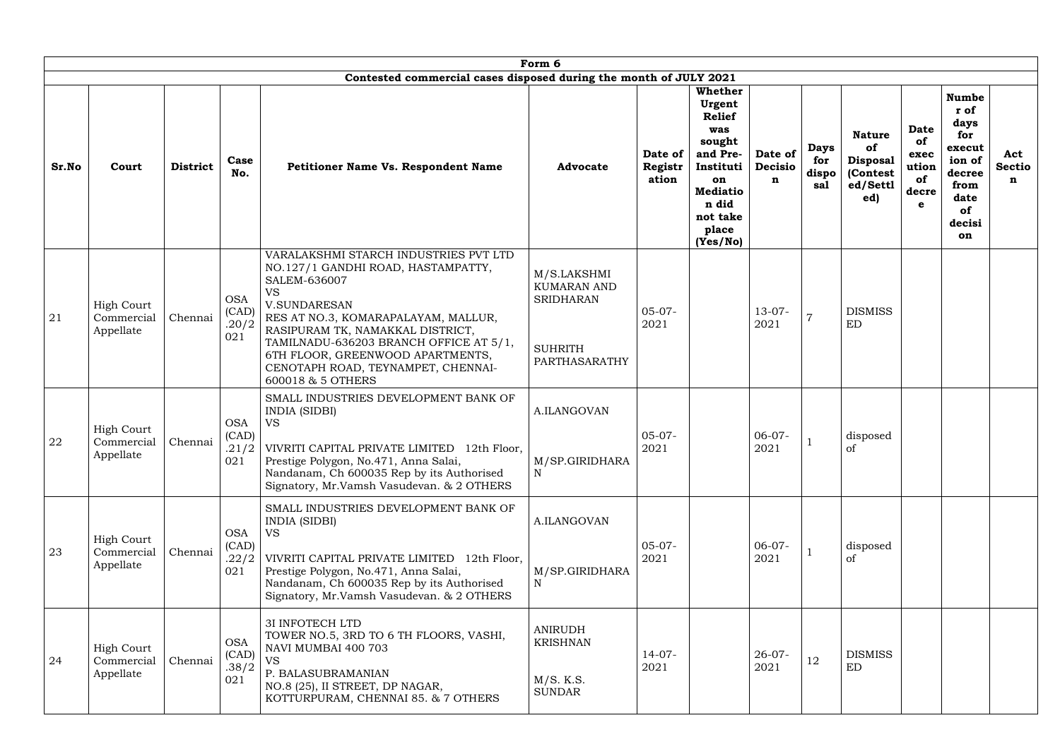|       | Form 6<br>Contested commercial cases disposed during the month of JULY 2021 |                 |                                     |                                                                                                                                                                                                                                                                                                                                                     |                                                                                          |                             |                                                                                                                                                        |                                          |                                    |                                                                       |                                                        |                                                                                                         |                           |
|-------|-----------------------------------------------------------------------------|-----------------|-------------------------------------|-----------------------------------------------------------------------------------------------------------------------------------------------------------------------------------------------------------------------------------------------------------------------------------------------------------------------------------------------------|------------------------------------------------------------------------------------------|-----------------------------|--------------------------------------------------------------------------------------------------------------------------------------------------------|------------------------------------------|------------------------------------|-----------------------------------------------------------------------|--------------------------------------------------------|---------------------------------------------------------------------------------------------------------|---------------------------|
|       |                                                                             |                 |                                     |                                                                                                                                                                                                                                                                                                                                                     |                                                                                          |                             |                                                                                                                                                        |                                          |                                    |                                                                       |                                                        |                                                                                                         |                           |
| Sr.No | Court                                                                       | <b>District</b> | Case<br>No.                         | Petitioner Name Vs. Respondent Name                                                                                                                                                                                                                                                                                                                 | <b>Advocate</b>                                                                          | Date of<br>Registr<br>ation | <b>Whether</b><br>Urgent<br><b>Relief</b><br>was<br>sought<br>and Pre-<br>Instituti<br>on<br><b>Mediatio</b><br>n did<br>not take<br>place<br>(Yes/No) | Date of<br><b>Decisio</b><br>$\mathbf n$ | <b>Days</b><br>for<br>dispo<br>sal | <b>Nature</b><br>of<br><b>Disposal</b><br>(Contest<br>ed/Settl<br>ed) | <b>Date</b><br>of<br>exec<br>ution<br>of<br>decre<br>e | <b>Numbe</b><br>r of<br>days<br>for<br>execut<br>ion of<br>decree<br>from<br>date<br>of<br>decisi<br>on | Act<br><b>Sectio</b><br>n |
| 21    | <b>High Court</b><br>Commercial<br>Appellate                                | Chennai         | <b>OSA</b><br>(CAD)<br>.20/2<br>021 | VARALAKSHMI STARCH INDUSTRIES PVT LTD<br>NO.127/1 GANDHI ROAD, HASTAMPATTY,<br>SALEM-636007<br><b>VS</b><br><b>V.SUNDARESAN</b><br>RES AT NO.3, KOMARAPALAYAM, MALLUR,<br>RASIPURAM TK, NAMAKKAL DISTRICT,<br>TAMILNADU-636203 BRANCH OFFICE AT 5/1,<br>6TH FLOOR, GREENWOOD APARTMENTS,<br>CENOTAPH ROAD, TEYNAMPET, CHENNAI-<br>600018 & 5 OTHERS | M/S.LAKSHMI<br><b>KUMARAN AND</b><br><b>SRIDHARAN</b><br><b>SUHRITH</b><br>PARTHASARATHY | $05-07-$<br>2021            |                                                                                                                                                        | $13-07-$<br>2021                         | $\overline{7}$                     | <b>DISMISS</b><br><b>ED</b>                                           |                                                        |                                                                                                         |                           |
| 22    | <b>High Court</b><br>Commercial<br>Appellate                                | Chennai         | <b>OSA</b><br>(CAD)<br>.21/2<br>021 | SMALL INDUSTRIES DEVELOPMENT BANK OF<br><b>INDIA (SIDBI)</b><br><b>VS</b><br>VIVRITI CAPITAL PRIVATE LIMITED 12th Floor,<br>Prestige Polygon, No.471, Anna Salai,<br>Nandanam, Ch 600035 Rep by its Authorised<br>Signatory, Mr.Vamsh Vasudevan. & 2 OTHERS                                                                                         | A.ILANGOVAN<br>M/SP.GIRIDHARA<br>$\mathbf N$                                             | $05-07-$<br>2021            |                                                                                                                                                        | $06-07-$<br>2021                         |                                    | disposed<br><sub>of</sub>                                             |                                                        |                                                                                                         |                           |
| 23    | <b>High Court</b><br>Commercial<br>Appellate                                | Chennai         | <b>OSA</b><br>(CAD)<br>.22/2<br>021 | SMALL INDUSTRIES DEVELOPMENT BANK OF<br><b>INDIA (SIDBI)</b><br><b>VS</b><br>VIVRITI CAPITAL PRIVATE LIMITED 12th Floor,<br>Prestige Polygon, No.471, Anna Salai,<br>Nandanam, Ch 600035 Rep by its Authorised<br>Signatory, Mr. Vamsh Vasudevan. & 2 OTHERS                                                                                        | A.ILANGOVAN<br>M/SP.GIRIDHARA<br>N                                                       | $05-07-$<br>2021            |                                                                                                                                                        | $06-07-$<br>2021                         |                                    | disposed<br>of                                                        |                                                        |                                                                                                         |                           |
| 24    | <b>High Court</b><br>Commercial<br>Appellate                                | Chennai         | <b>OSA</b><br>(CAD)<br>.38/2<br>021 | 3I INFOTECH LTD<br>TOWER NO.5, 3RD TO 6 TH FLOORS, VASHI,<br>NAVI MUMBAI 400 703<br><b>VS</b><br>P. BALASUBRAMANIAN<br>NO.8 (25), II STREET, DP NAGAR,<br>KOTTURPURAM, CHENNAI 85. & 7 OTHERS                                                                                                                                                       | <b>ANIRUDH</b><br><b>KRISHNAN</b><br>$M/S.$ K.S.<br><b>SUNDAR</b>                        | $14-07-$<br>2021            |                                                                                                                                                        | $26-07-$<br>2021                         | 12                                 | <b>DISMISS</b><br><b>ED</b>                                           |                                                        |                                                                                                         |                           |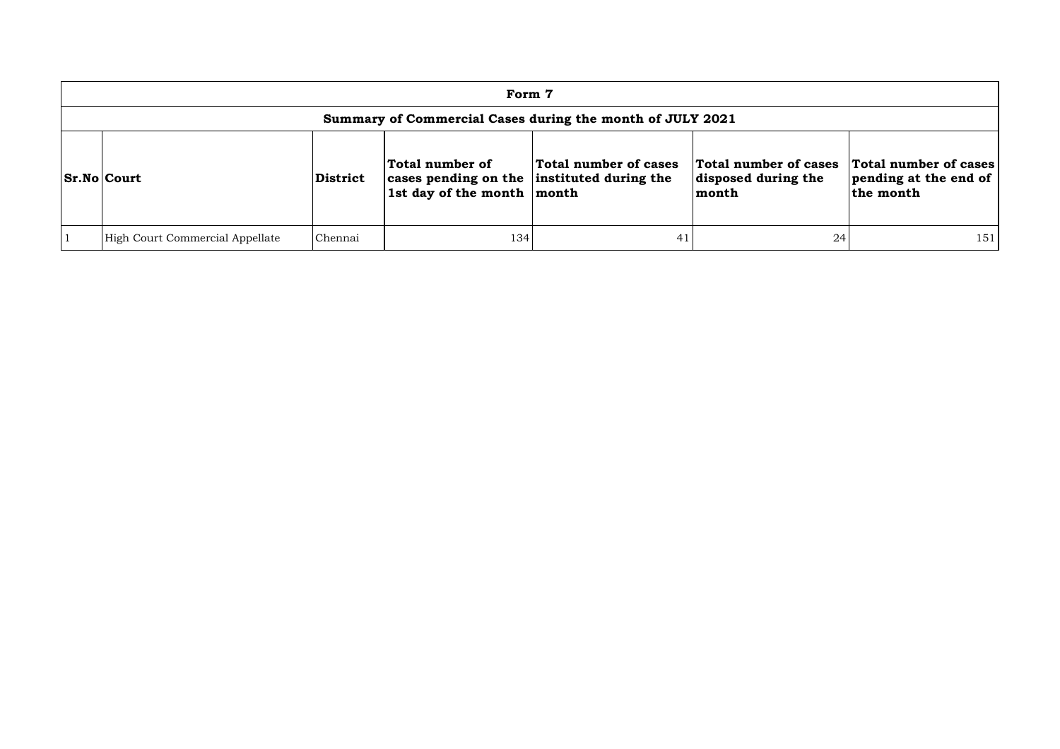| Form 7                                                    |                 |                                                                                                             |                       |                                                       |                                                             |  |  |  |  |  |  |
|-----------------------------------------------------------|-----------------|-------------------------------------------------------------------------------------------------------------|-----------------------|-------------------------------------------------------|-------------------------------------------------------------|--|--|--|--|--|--|
| Summary of Commercial Cases during the month of JULY 2021 |                 |                                                                                                             |                       |                                                       |                                                             |  |  |  |  |  |  |
| <b>Sr.No Court</b>                                        | <b>District</b> | Total number of<br>cases pending on the instituted during the<br>$\vert$ 1st day of the month $\vert$ month | Total number of cases | Total number of cases<br>disposed during the<br>month | Total number of cases<br>pending at the end of<br>the month |  |  |  |  |  |  |
| High Court Commercial Appellate                           | Chennai         | 134                                                                                                         |                       | 24                                                    | 151                                                         |  |  |  |  |  |  |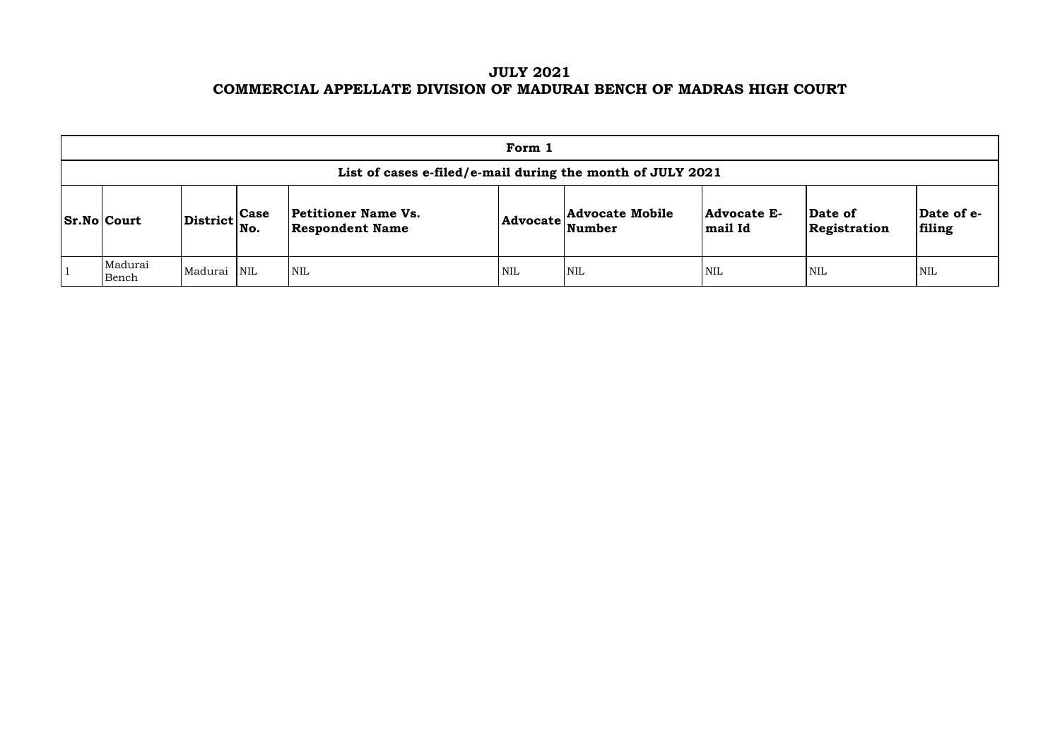# **JULY 2021 COMMERCIAL APPELLATE DIVISION OF MADURAI BENCH OF MADRAS HIGH COURT**

| Form 1                                                     |                                                           |  |                                                      |            |                                                            |                               |                                |                       |  |  |  |  |
|------------------------------------------------------------|-----------------------------------------------------------|--|------------------------------------------------------|------------|------------------------------------------------------------|-------------------------------|--------------------------------|-----------------------|--|--|--|--|
| List of cases e-filed/e-mail during the month of JULY 2021 |                                                           |  |                                                      |            |                                                            |                               |                                |                       |  |  |  |  |
| <b>Sr.No Court</b>                                         | $\left \text{District}\right _{\text{No.}}^{\text{Case}}$ |  | <b>Petitioner Name Vs.</b><br><b>Respondent Name</b> |            | <b>Advocate Mobile</b><br>$ {\bf Advocate} \text{Number} $ | <b>Advocate E-</b><br>mail Id | <b>Date of</b><br>Registration | $\mathbf{Da}$<br>fili |  |  |  |  |
| Madurai<br>Bench                                           | Madurai NIL                                               |  | <b>NIL</b>                                           | <b>NIL</b> | <b>NIL</b>                                                 | <b>NIL</b>                    | <b>NIL</b>                     | NIL                   |  |  |  |  |

| Date of<br>Registration | Date of e-<br>filing |
|-------------------------|----------------------|
| NIL                     | NH.                  |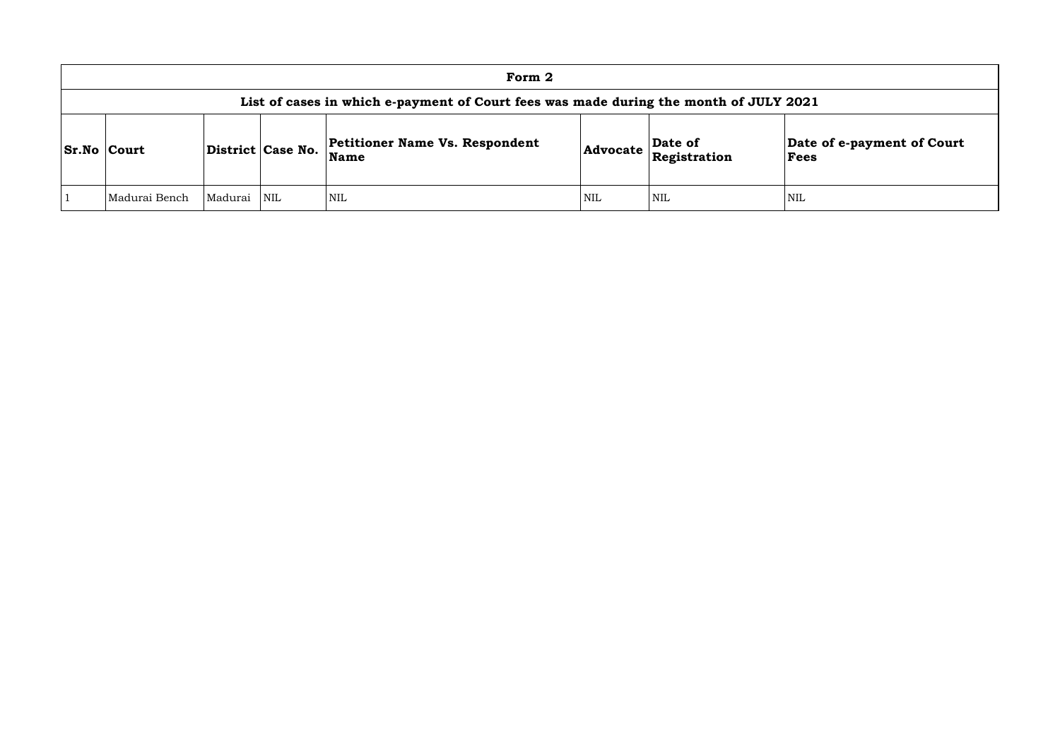|           | Form 2             |         |                   |                                                                                       |     |                                                     |                     |  |  |  |  |  |
|-----------|--------------------|---------|-------------------|---------------------------------------------------------------------------------------|-----|-----------------------------------------------------|---------------------|--|--|--|--|--|
|           |                    |         |                   | List of cases in which e-payment of Court fees was made during the month of JULY 2021 |     |                                                     |                     |  |  |  |  |  |
|           | <b>Sr.No Court</b> |         | District Case No. | Petitioner Name Vs. Respondent<br>Name                                                |     | Date of<br>$ {\bf Advocate}\ _{{\bf Registration}}$ | <b>Date</b><br>Fees |  |  |  |  |  |
| $\vert$ 1 | Madurai Bench      | Madurai | <b>NIL</b>        | <b>NIL</b>                                                                            | NIL | <b>NIL</b>                                          | NIL                 |  |  |  |  |  |

### **Date of e-payment of Court Fees**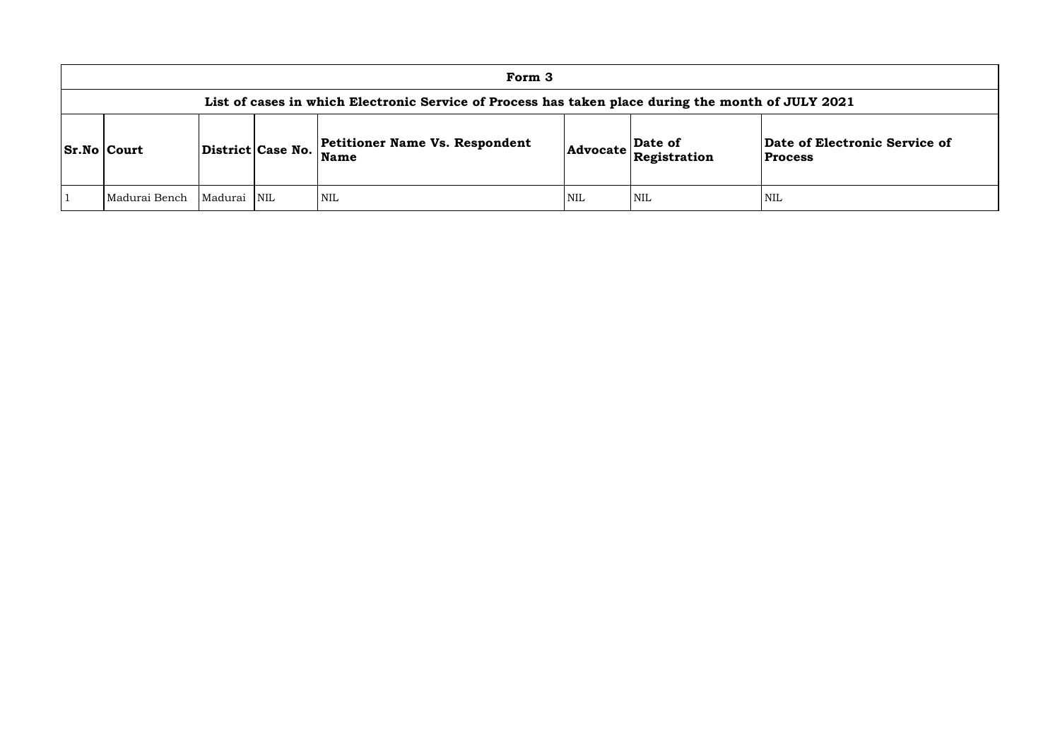### **of Electronic Service of Process**

| Form 3                                                                                             |         |                         |                                               |            |                                                                     |                                  |  |  |  |
|----------------------------------------------------------------------------------------------------|---------|-------------------------|-----------------------------------------------|------------|---------------------------------------------------------------------|----------------------------------|--|--|--|
| List of cases in which Electronic Service of Process has taken place during the month of JULY 2021 |         |                         |                                               |            |                                                                     |                                  |  |  |  |
| <b>Sr.No   Court</b>                                                                               |         | District Case No.       | <b>Petitioner Name Vs. Respondent</b><br>Name |            | Date of<br>$ {\sf Advocate}\left \sum_{\text{Registration}}\right $ | Date of Electr<br><b>Process</b> |  |  |  |
| Madurai Bench                                                                                      | Madurai | $\overline{\text{NIL}}$ | <b>NIL</b>                                    | <b>NIL</b> | NIL                                                                 | <b>NIL</b>                       |  |  |  |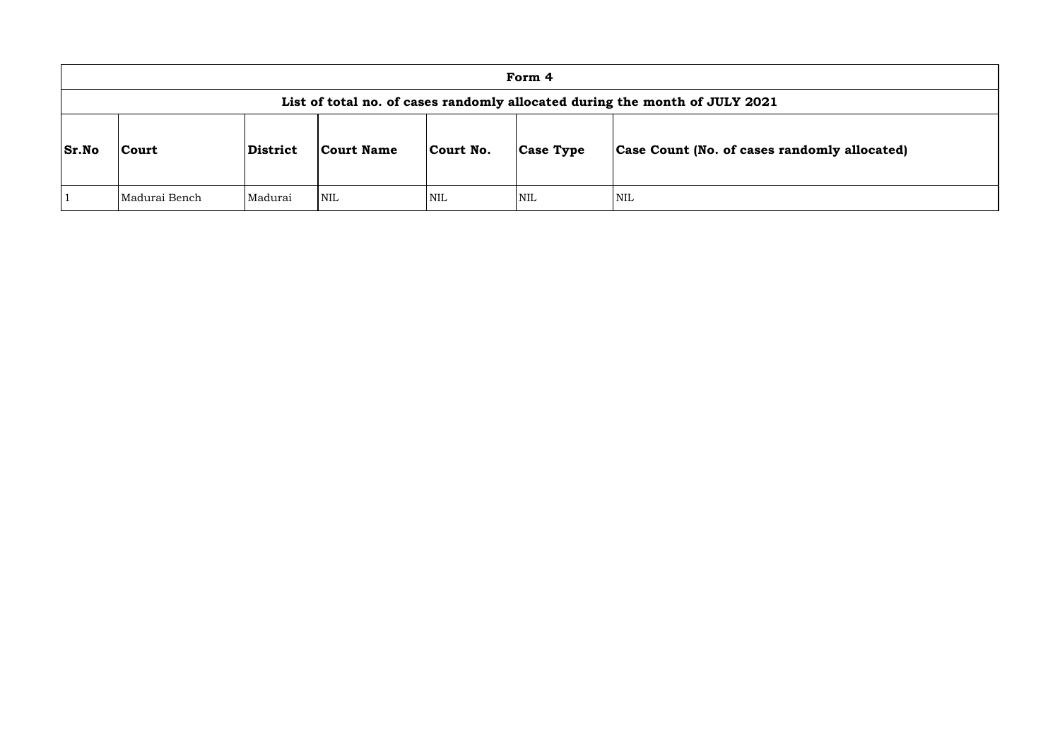|              | Form 4                                                                      |                |            |            |                  |                               |  |  |  |  |
|--------------|-----------------------------------------------------------------------------|----------------|------------|------------|------------------|-------------------------------|--|--|--|--|
|              | List of total no. of cases randomly allocated during the month of JULY 2021 |                |            |            |                  |                               |  |  |  |  |
| <b>Sr.No</b> | Court                                                                       | District       | Court Name | Court No.  | <b>Case Type</b> | Case Count (No. of cases rand |  |  |  |  |
|              | Madurai Bench                                                               | <b>Madurai</b> | <b>NIL</b> | <b>NIL</b> | <b>NIL</b>       | NIL                           |  |  |  |  |

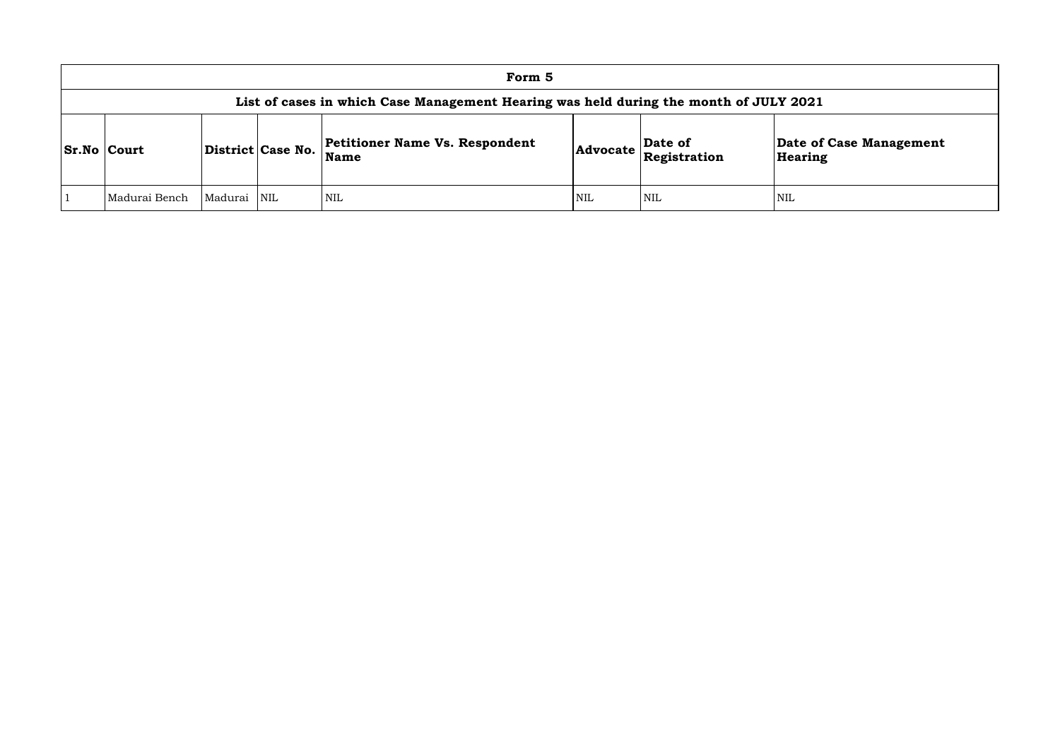| Form 5                                                                                |         |                   |                                               |     |                                                                            |                    |  |  |  |  |
|---------------------------------------------------------------------------------------|---------|-------------------|-----------------------------------------------|-----|----------------------------------------------------------------------------|--------------------|--|--|--|--|
| List of cases in which Case Management Hearing was held during the month of JULY 2021 |         |                   |                                               |     |                                                                            |                    |  |  |  |  |
| <b>Sr.No Court</b>                                                                    |         | District Case No. | Petitioner Name Vs. Respondent<br><b>Name</b> |     | $\left  \text{Advocate} \right \frac{\text{Date of}}{\text{Resistration}}$ | Date of<br>Hearing |  |  |  |  |
| Madurai Bench                                                                         | Madurai | <b>NIL</b>        | NIL                                           | NIL | <b>NIL</b>                                                                 | <b>NIL</b>         |  |  |  |  |

# **e of Case Management** ring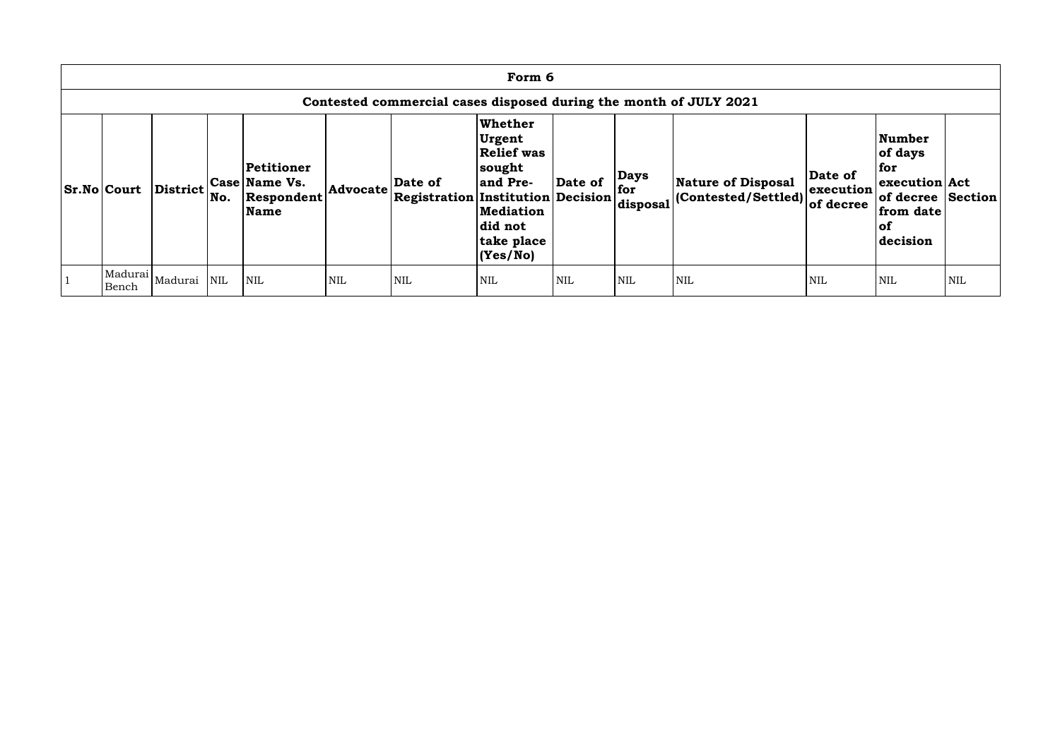| Form 6                                                            |                             |            |                                                   |            |                                                     |                                                                                                                                |            |                                  |                                                   |                                   |                                                                                                          |            |
|-------------------------------------------------------------------|-----------------------------|------------|---------------------------------------------------|------------|-----------------------------------------------------|--------------------------------------------------------------------------------------------------------------------------------|------------|----------------------------------|---------------------------------------------------|-----------------------------------|----------------------------------------------------------------------------------------------------------|------------|
| Contested commercial cases disposed during the month of JULY 2021 |                             |            |                                                   |            |                                                     |                                                                                                                                |            |                                  |                                                   |                                   |                                                                                                          |            |
| <b>Sr.No Court</b>                                                | <b>District</b>             | No.        | Petitioner<br>Case Name Vs.<br>Respondent<br>Name | Advocate   | Date of<br><b>Registration Institution Decision</b> | Whether<br><b>Urgent</b><br><b>Relief was</b><br> sought<br>and Pre-<br><b>Mediation</b><br>did not<br>take place<br> (Yes/No) | Date of    | <b>Days</b><br>  for<br>disposal | Nature of Disposal<br>$ $ (Contested/Settled) $ $ | Date of<br>execution<br>of decree | <b>Number</b><br>of days<br>for<br>execution Act<br>of decree Section<br>from date<br>$ $ of<br>decision |            |
| Bench                                                             | Madurai  <sub>Madurai</sub> | <b>NIL</b> | <b>NIL</b>                                        | <b>NIL</b> | <b>NIL</b>                                          | <b>NIL</b>                                                                                                                     | <b>NIL</b> | <b>NIL</b>                       | <b>NIL</b>                                        | <b>NIL</b>                        | <b>NIL</b>                                                                                               | <b>NIL</b> |